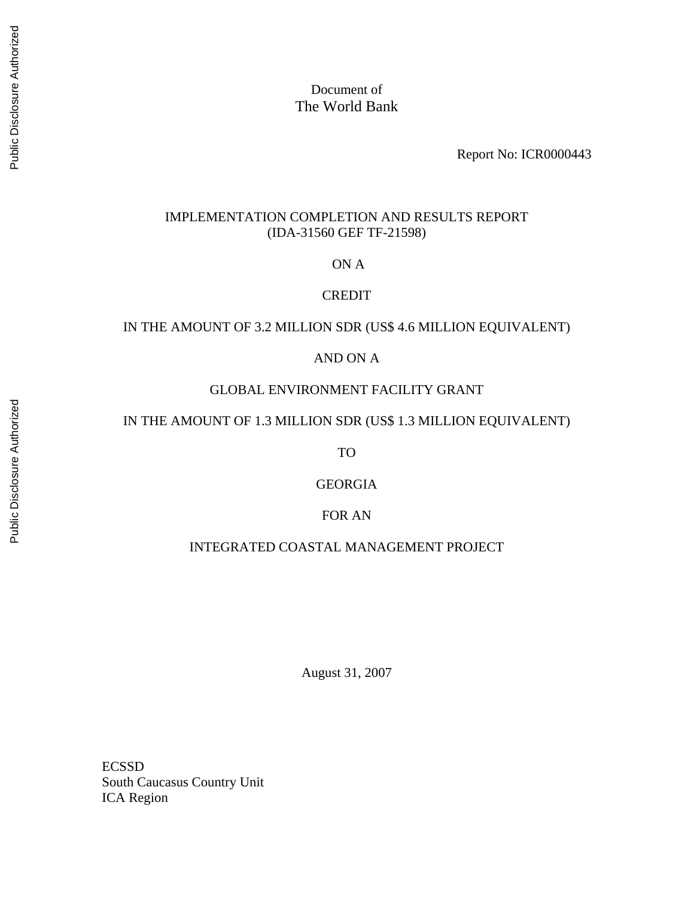Document of The World Bank

Report No: ICR0000443

#### IMPLEMENTATION COMPLETION AND RESULTS REPORT (IDA-31560 GEF TF-21598)

ON A

#### **CREDIT**

## IN THE AMOUNT OF 3.2 MILLION SDR (US\$ 4.6 MILLION EQUIVALENT)

## AND ON A

#### GLOBAL ENVIRONMENT FACILITY GRANT

## IN THE AMOUNT OF 1.3 MILLION SDR (US\$ 1.3 MILLION EQUIVALENT)

TO

#### GEORGIA

#### FOR AN

#### INTEGRATED COASTAL MANAGEMENT PROJECT

August 31, 2007

ECSSD South Caucasus Country Unit ICA Region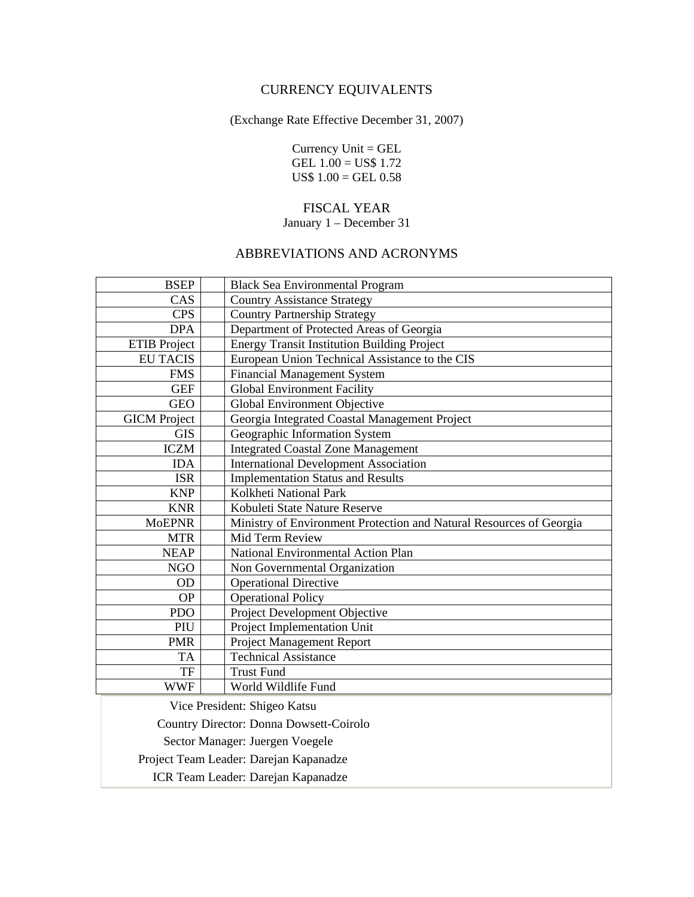# CURRENCY EQUIVALENTS

(Exchange Rate Effective December 31, 2007)

Currency Unit = GEL GEL  $1.00 = US$$  1.72  $US$ 1.00 = GEL 0.58$ 

#### FISCAL YEAR

#### January 1 – December 31

# ABBREVIATIONS AND ACRONYMS

| <b>BSEP</b>                             | <b>Black Sea Environmental Program</b>                              |  |
|-----------------------------------------|---------------------------------------------------------------------|--|
| CAS                                     | <b>Country Assistance Strategy</b>                                  |  |
| <b>CPS</b>                              | <b>Country Partnership Strategy</b>                                 |  |
| <b>DPA</b>                              | Department of Protected Areas of Georgia                            |  |
| <b>ETIB</b> Project                     | <b>Energy Transit Institution Building Project</b>                  |  |
| <b>EU TACIS</b>                         | European Union Technical Assistance to the CIS                      |  |
| <b>FMS</b>                              | <b>Financial Management System</b>                                  |  |
| <b>GEF</b>                              | <b>Global Environment Facility</b>                                  |  |
| <b>GEO</b>                              | Global Environment Objective                                        |  |
| <b>GICM</b> Project                     | Georgia Integrated Coastal Management Project                       |  |
| <b>GIS</b>                              | Geographic Information System                                       |  |
| <b>ICZM</b>                             | <b>Integrated Coastal Zone Management</b>                           |  |
| <b>IDA</b>                              | <b>International Development Association</b>                        |  |
| <b>ISR</b>                              | <b>Implementation Status and Results</b>                            |  |
| <b>KNP</b>                              | Kolkheti National Park                                              |  |
| <b>KNR</b>                              | Kobuleti State Nature Reserve                                       |  |
| <b>MoEPNR</b>                           | Ministry of Environment Protection and Natural Resources of Georgia |  |
| <b>MTR</b>                              | Mid Term Review                                                     |  |
| <b>NEAP</b>                             | National Environmental Action Plan                                  |  |
| NGO                                     | Non Governmental Organization                                       |  |
| OD                                      | <b>Operational Directive</b>                                        |  |
| <b>OP</b>                               | <b>Operational Policy</b>                                           |  |
| <b>PDO</b>                              | Project Development Objective                                       |  |
| PIU                                     | Project Implementation Unit                                         |  |
| <b>PMR</b>                              | Project Management Report                                           |  |
| TA                                      | <b>Technical Assistance</b>                                         |  |
| <b>TF</b>                               | <b>Trust Fund</b>                                                   |  |
| <b>WWF</b>                              | World Wildlife Fund                                                 |  |
|                                         | Vice President: Shigeo Katsu                                        |  |
| Country Director: Donna Dowsett-Coirolo |                                                                     |  |
|                                         | Sector Manager: Juergen Voegele                                     |  |
|                                         | Project Team Leader: Darejan Kapanadze                              |  |
| ICR Team Leader: Darejan Kapanadze      |                                                                     |  |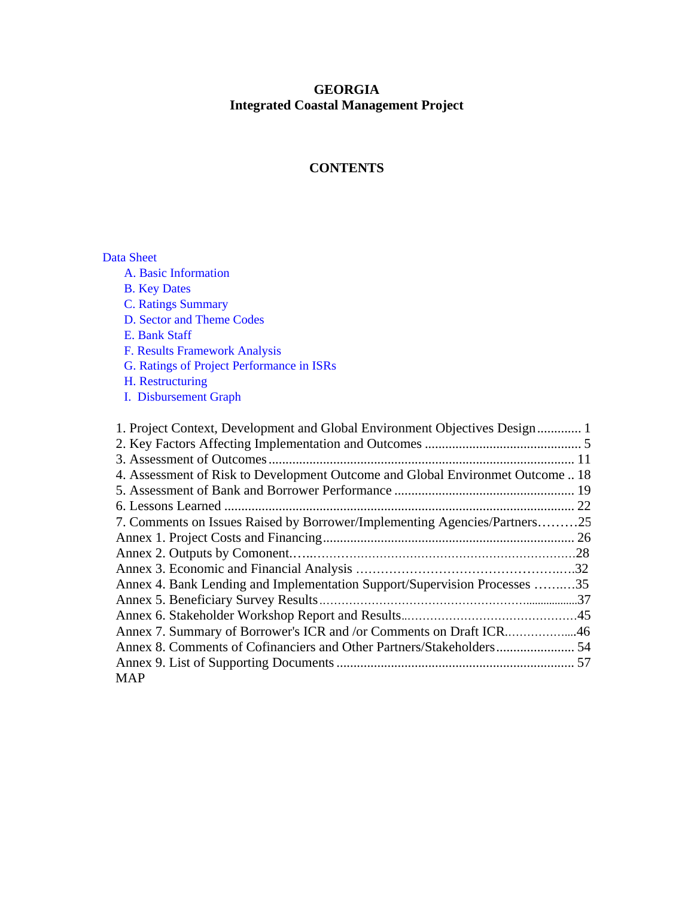## **GEORGIA Integrated Coastal Management Project**

# **CONTENTS**

Data Sheet

A. Basic Information

- B. Key Dates
- C. Ratings Summary
- D. Sector and Theme Codes
- E. Bank Staff
- F. Results Framework Analysis
- G. Ratings of Project Performance in ISRs
- H. Restructuring
- I. Disbursement Graph

| 1. Project Context, Development and Global Environment Objectives Design 1     |  |
|--------------------------------------------------------------------------------|--|
|                                                                                |  |
|                                                                                |  |
| 4. Assessment of Risk to Development Outcome and Global Environmet Outcome  18 |  |
|                                                                                |  |
|                                                                                |  |
| 7. Comments on Issues Raised by Borrower/Implementing Agencies/Partners25      |  |
|                                                                                |  |
|                                                                                |  |
|                                                                                |  |
| Annex 4. Bank Lending and Implementation Support/Supervision Processes 35      |  |
|                                                                                |  |
|                                                                                |  |
| Annex 7. Summary of Borrower's ICR and /or Comments on Draft ICR46             |  |
|                                                                                |  |
|                                                                                |  |
| <b>MAP</b>                                                                     |  |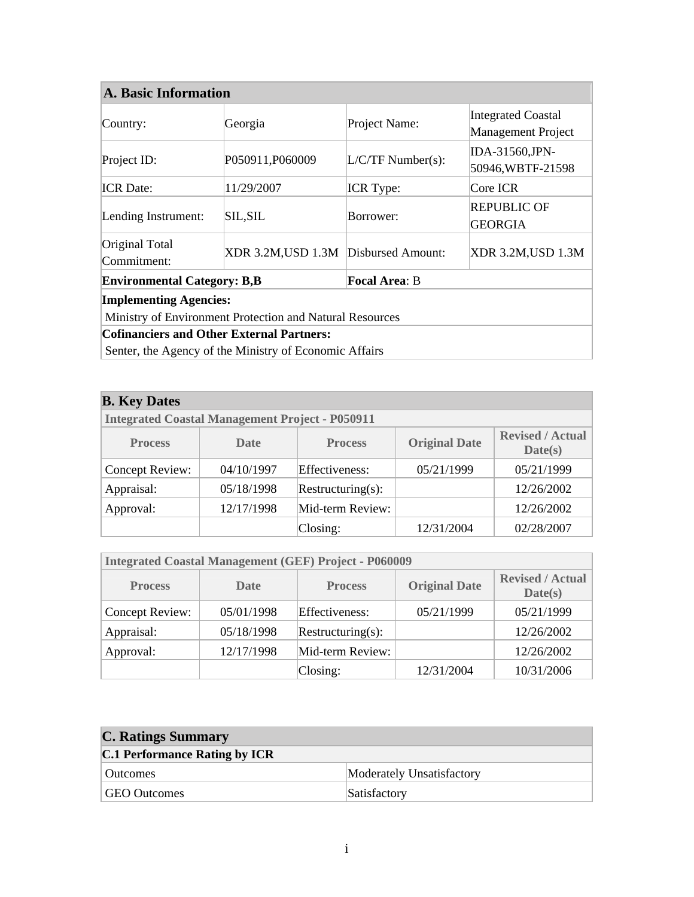| <b>A. Basic Information</b>                                |                                      |                     |                                                        |  |  |
|------------------------------------------------------------|--------------------------------------|---------------------|--------------------------------------------------------|--|--|
| Country:                                                   | Georgia                              | Project Name:       | <b>Integrated Coastal</b><br><b>Management Project</b> |  |  |
| Project ID:                                                | P050911,P060009                      | $L/C/TF$ Number(s): | IDA-31560,JPN-<br>50946, WBTF-21598                    |  |  |
| <b>ICR</b> Date:                                           | 11/29/2007                           | <b>ICR</b> Type:    | Core ICR                                               |  |  |
| Lending Instrument:                                        | <b>SIL,SIL</b>                       | Borrower:           | <b>REPUBLIC OF</b><br><b>GEORGIA</b>                   |  |  |
| Original Total<br>Commitment:                              | XDR 3.2M, USD 1.3M Disbursed Amount: |                     | XDR 3.2M, USD 1.3M                                     |  |  |
| <b>Focal Area: B</b><br><b>Environmental Category: B,B</b> |                                      |                     |                                                        |  |  |
| <b>Implementing Agencies:</b>                              |                                      |                     |                                                        |  |  |
| Ministry of Environment Protection and Natural Resources   |                                      |                     |                                                        |  |  |
| <b>Cofinanciers and Other External Partners:</b>           |                                      |                     |                                                        |  |  |
| Senter, the Agency of the Ministry of Economic Affairs     |                                      |                     |                                                        |  |  |

| <b>B.</b> Key Dates                                    |            |                   |                      |                                    |  |
|--------------------------------------------------------|------------|-------------------|----------------------|------------------------------------|--|
| <b>Integrated Coastal Management Project - P050911</b> |            |                   |                      |                                    |  |
| <b>Process</b>                                         | Date       | <b>Process</b>    | <b>Original Date</b> | <b>Revised / Actual</b><br>Date(s) |  |
| Concept Review:                                        | 04/10/1997 | Effectiveness:    | 05/21/1999           | 05/21/1999                         |  |
| Appraisal:                                             | 05/18/1998 | Restructuring(s): |                      | 12/26/2002                         |  |
| Approval:                                              | 12/17/1998 | Mid-term Review:  |                      | 12/26/2002                         |  |
|                                                        |            | Closing:          | 12/31/2004           | 02/28/2007                         |  |

| <b>Integrated Coastal Management (GEF) Project - P060009</b> |            |                   |                      |                                    |  |
|--------------------------------------------------------------|------------|-------------------|----------------------|------------------------------------|--|
| <b>Process</b>                                               | Date       | <b>Process</b>    | <b>Original Date</b> | <b>Revised / Actual</b><br>Date(s) |  |
| Concept Review:                                              | 05/01/1998 | Effectiveness:    | 05/21/1999           | 05/21/1999                         |  |
| Appraisal:                                                   | 05/18/1998 | Restructuring(s): |                      | 12/26/2002                         |  |
| Approval:                                                    | 12/17/1998 | Mid-term Review:  |                      | 12/26/2002                         |  |
|                                                              |            | $\text{Closing:}$ | 12/31/2004           | 10/31/2006                         |  |

| <b>C. Ratings Summary</b>            |                           |  |
|--------------------------------------|---------------------------|--|
| <b>C.1 Performance Rating by ICR</b> |                           |  |
| Outcomes                             | Moderately Unsatisfactory |  |
| GEO Outcomes                         | Satisfactory              |  |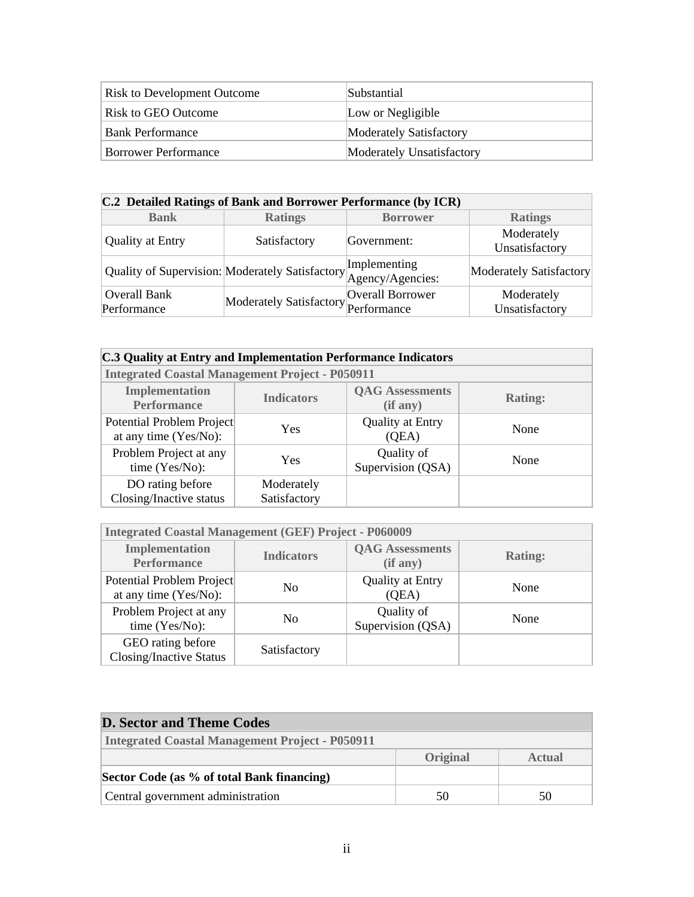| <b>Risk to Development Outcome</b> | Substantial               |
|------------------------------------|---------------------------|
| Risk to GEO Outcome                | Low or Negligible         |
| <b>Bank Performance</b>            | Moderately Satisfactory   |
| <b>Borrower Performance</b>        | Moderately Unsatisfactory |

| C.2 Detailed Ratings of Bank and Borrower Performance (by ICR) |                                                                                  |                  |                              |  |  |
|----------------------------------------------------------------|----------------------------------------------------------------------------------|------------------|------------------------------|--|--|
| <b>Bank</b>                                                    | <b>Ratings</b>                                                                   | <b>Borrower</b>  | <b>Ratings</b>               |  |  |
|                                                                | Satisfactory                                                                     |                  | Moderately                   |  |  |
| <b>Quality at Entry</b>                                        |                                                                                  | Government:      | Unsatisfactory               |  |  |
|                                                                | Quality of Supervision: Moderately Satisfactory Implementing<br>Agency/Agencies: |                  | Moderately Satisfactory      |  |  |
| Overall Bank<br>Performance                                    | Moderately Satisfactory Performance                                              | Overall Borrower | Moderately<br>Unsatisfactory |  |  |

#### **C.3 Quality at Entry and Implementation Performance Indicators**

| THE PRODUCED LOANS IN THE PRODUCT INTO THE PRODUCT PURSUAL |                            |                                    |                |  |  |
|------------------------------------------------------------|----------------------------|------------------------------------|----------------|--|--|
| Implementation<br><b>Performance</b>                       | <b>Indicators</b>          | <b>QAG</b> Assessments<br>(if any) | <b>Rating:</b> |  |  |
| Potential Problem Project<br>at any time (Yes/No):         | Yes                        | <b>Quality at Entry</b><br>(QEA)   | None           |  |  |
| Problem Project at any<br>time (Yes/No):                   | Yes                        | Quality of<br>Supervision (QSA)    | None           |  |  |
| DO rating before<br>Closing/Inactive status                | Moderately<br>Satisfactory |                                    |                |  |  |

 **Integrated Coastal Management Project - P050911** 

| <b>Integrated Coastal Management (GEF) Project - P060009</b> |                   |                                    |                |
|--------------------------------------------------------------|-------------------|------------------------------------|----------------|
| <b>Implementation</b><br><b>Performance</b>                  | <b>Indicators</b> | <b>QAG</b> Assessments<br>(if any) | <b>Rating:</b> |
| Potential Problem Project<br>at any time (Yes/No):           | N <sub>0</sub>    | <b>Quality at Entry</b><br>(QEA)   | None           |
| Problem Project at any<br>time (Yes/No):                     | N <sub>0</sub>    | Quality of<br>Supervision (QSA)    | None           |
| GEO rating before<br><b>Closing/Inactive Status</b>          | Satisfactory      |                                    |                |

| <b>D. Sector and Theme Codes</b>                       |          |        |
|--------------------------------------------------------|----------|--------|
| <b>Integrated Coastal Management Project - P050911</b> |          |        |
|                                                        | Original | Actual |
| Sector Code (as % of total Bank financing)             |          |        |
| Central government administration                      | 50       | 50     |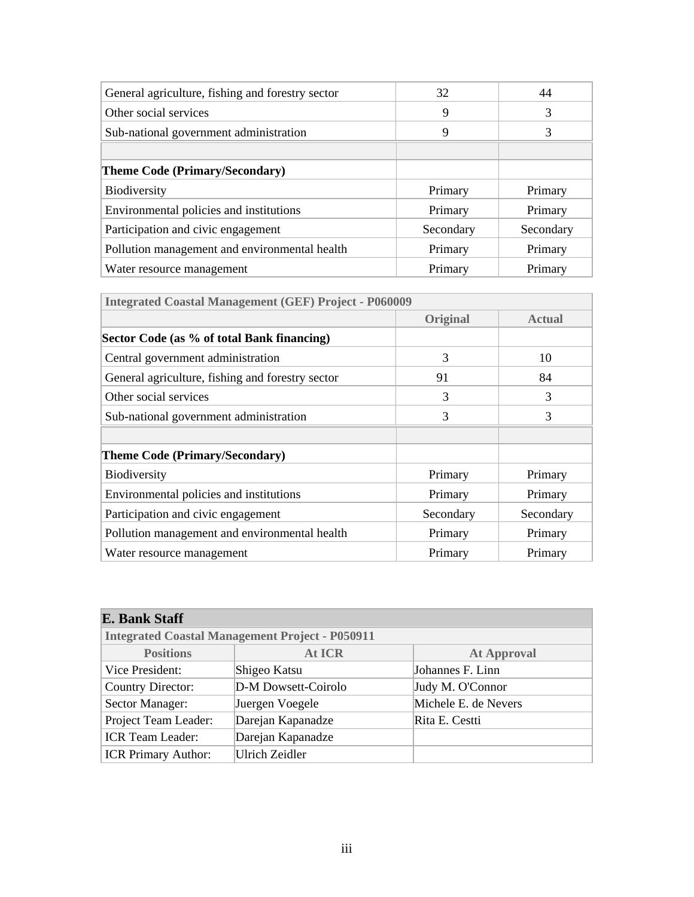| General agriculture, fishing and forestry sector | 32        | 44        |
|--------------------------------------------------|-----------|-----------|
| Other social services                            | 9         | 3         |
| Sub-national government administration           | 9         | 3         |
|                                                  |           |           |
| <b>Theme Code (Primary/Secondary)</b>            |           |           |
| Biodiversity                                     | Primary   | Primary   |
| Environmental policies and institutions          | Primary   | Primary   |
| Participation and civic engagement               | Secondary | Secondary |
| Pollution management and environmental health    | Primary   | Primary   |
| Water resource management                        | Primary   | Primary   |

| <b>Integrated Coastal Management (GEF) Project - P060009</b> |                 |               |  |  |  |
|--------------------------------------------------------------|-----------------|---------------|--|--|--|
|                                                              | <b>Original</b> | <b>Actual</b> |  |  |  |
| Sector Code (as % of total Bank financing)                   |                 |               |  |  |  |
| Central government administration                            | 3               | 10            |  |  |  |
| General agriculture, fishing and forestry sector             | 91              | 84            |  |  |  |
| Other social services                                        | $\mathcal{R}$   | 3             |  |  |  |
| Sub-national government administration                       | 3               | 3             |  |  |  |
|                                                              |                 |               |  |  |  |
| <b>Theme Code (Primary/Secondary)</b>                        |                 |               |  |  |  |
| Biodiversity                                                 | Primary         | Primary       |  |  |  |
| Environmental policies and institutions                      | Primary         | Primary       |  |  |  |
| Participation and civic engagement                           | Secondary       | Secondary     |  |  |  |
| Pollution management and environmental health                | Primary         | Primary       |  |  |  |
| Water resource management                                    | Primary         | Primary       |  |  |  |

# **E. Bank Staff**

| <b>Integrated Coastal Management Project - P050911</b> |                       |                      |  |  |  |
|--------------------------------------------------------|-----------------------|----------------------|--|--|--|
| <b>Positions</b>                                       | <b>At ICR</b>         | <b>At Approval</b>   |  |  |  |
| Vice President:                                        | Shigeo Katsu          | Johannes F. Linn     |  |  |  |
| <b>Country Director:</b>                               | D-M Dowsett-Coirolo   | Judy M. O'Connor     |  |  |  |
| Sector Manager:                                        | Juergen Voegele       | Michele E. de Nevers |  |  |  |
| Project Team Leader:                                   | Darejan Kapanadze     | Rita E. Cestti       |  |  |  |
| <b>ICR</b> Team Leader:                                | Darejan Kapanadze     |                      |  |  |  |
| <b>ICR Primary Author:</b>                             | <b>Ulrich Zeidler</b> |                      |  |  |  |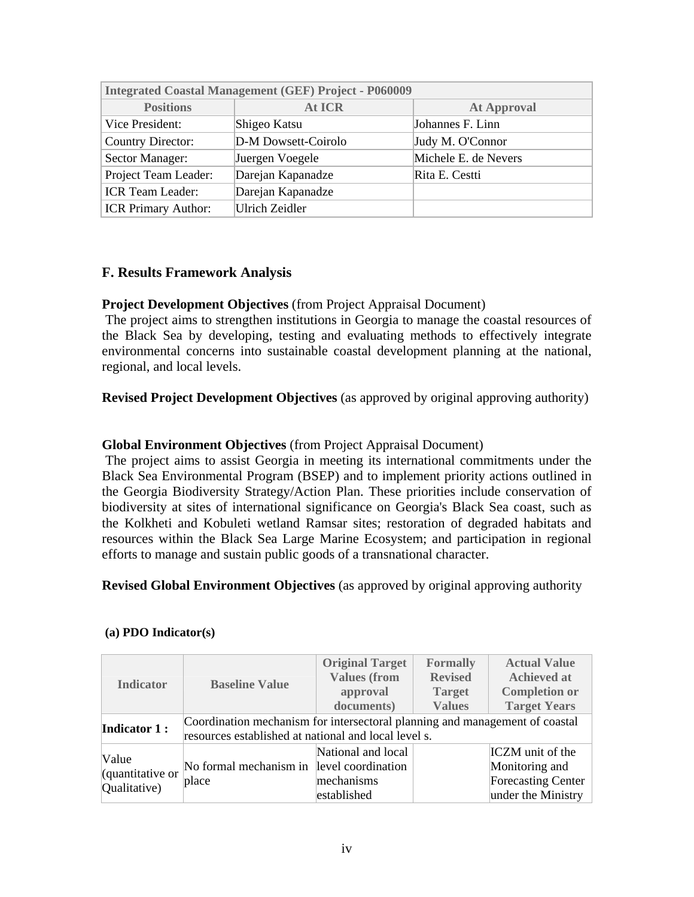| <b>Integrated Coastal Management (GEF) Project - P060009</b> |                     |                      |  |  |  |
|--------------------------------------------------------------|---------------------|----------------------|--|--|--|
| <b>Positions</b>                                             | <b>At ICR</b>       | <b>At Approval</b>   |  |  |  |
| Vice President:                                              | Shigeo Katsu        | Johannes F. Linn     |  |  |  |
| <b>Country Director:</b>                                     | D-M Dowsett-Coirolo | Judy M. O'Connor     |  |  |  |
| Sector Manager:                                              | Juergen Voegele     | Michele E. de Nevers |  |  |  |
| Project Team Leader:                                         | Darejan Kapanadze   | Rita E. Cestti       |  |  |  |
| <b>ICR</b> Team Leader:                                      | Darejan Kapanadze   |                      |  |  |  |
| <b>ICR Primary Author:</b>                                   | Ulrich Zeidler      |                      |  |  |  |

# **F. Results Framework Analysis**

#### **Project Development Objectives** (from Project Appraisal Document)

 The project aims to strengthen institutions in Georgia to manage the coastal resources of the Black Sea by developing, testing and evaluating methods to effectively integrate environmental concerns into sustainable coastal development planning at the national, regional, and local levels.

**Revised Project Development Objectives** (as approved by original approving authority)

#### **Global Environment Objectives** (from Project Appraisal Document)

 The project aims to assist Georgia in meeting its international commitments under the Black Sea Environmental Program (BSEP) and to implement priority actions outlined in the Georgia Biodiversity Strategy/Action Plan. These priorities include conservation of biodiversity at sites of international significance on Georgia's Black Sea coast, such as the Kolkheti and Kobuleti wetland Ramsar sites; restoration of degraded habitats and resources within the Black Sea Large Marine Ecosystem; and participation in regional efforts to manage and sustain public goods of a transnational character.

## **Revised Global Environment Objectives** (as approved by original approving authority

|                                           |                                                                                                                                     | <b>Original Target</b><br><b>Values (from</b>            | <b>Formally</b><br><b>Revised</b> | <b>Actual Value</b><br><b>Achieved at</b>                                                    |  |
|-------------------------------------------|-------------------------------------------------------------------------------------------------------------------------------------|----------------------------------------------------------|-----------------------------------|----------------------------------------------------------------------------------------------|--|
| <b>Indicator</b>                          | <b>Baseline Value</b>                                                                                                               | approval<br><b>Target</b><br>documents)<br><b>Values</b> |                                   | <b>Completion or</b><br><b>Target Years</b>                                                  |  |
| <b>Indicator 1:</b>                       | Coordination mechanism for intersectoral planning and management of coastal<br>resources established at national and local level s. |                                                          |                                   |                                                                                              |  |
| Value<br>(quantitative or<br>Qualitative) | No formal mechanism in level coordination<br>place                                                                                  | National and local<br>mechanisms<br>established          |                                   | <b>ICZM</b> unit of the<br>Monitoring and<br><b>Forecasting Center</b><br>under the Ministry |  |

#### **(a) PDO Indicator(s)**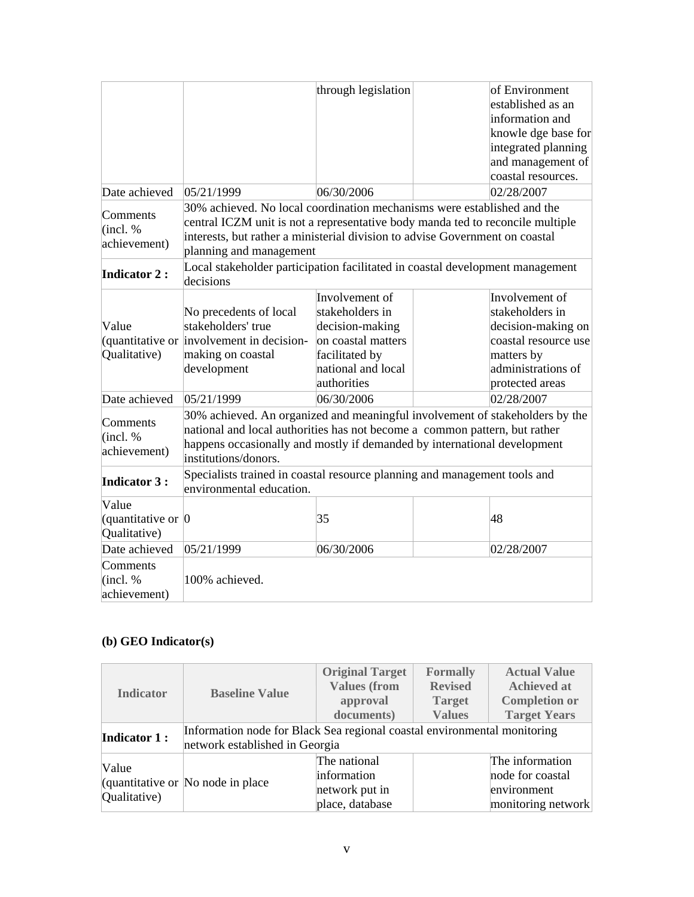|                                                             |                                                                                                                                                                                                                                                                      | through legislation                                                                                                               |  | of Environment<br>established as an<br>information and<br>knowle dge base for<br>integrated planning<br>and management of<br>coastal resources. |  |  |  |  |
|-------------------------------------------------------------|----------------------------------------------------------------------------------------------------------------------------------------------------------------------------------------------------------------------------------------------------------------------|-----------------------------------------------------------------------------------------------------------------------------------|--|-------------------------------------------------------------------------------------------------------------------------------------------------|--|--|--|--|
| Date achieved                                               | 05/21/1999                                                                                                                                                                                                                                                           | 06/30/2006                                                                                                                        |  | 02/28/2007                                                                                                                                      |  |  |  |  |
| Comments<br>(incl. %<br>achievement)                        | 30% achieved. No local coordination mechanisms were established and the<br>central ICZM unit is not a representative body manda ted to reconcile multiple<br>interests, but rather a ministerial division to advise Government on coastal<br>planning and management |                                                                                                                                   |  |                                                                                                                                                 |  |  |  |  |
| <b>Indicator 2:</b>                                         | Local stakeholder participation facilitated in coastal development management<br>decisions                                                                                                                                                                           |                                                                                                                                   |  |                                                                                                                                                 |  |  |  |  |
| Value<br>(quantitative or<br>Qualitative)                   | No precedents of local<br>stakeholders' true<br>involvement in decision-<br>making on coastal<br>development                                                                                                                                                         | Involvement of<br>stakeholders in<br>decision-making<br>on coastal matters<br>facilitated by<br>national and local<br>authorities |  | Involvement of<br>stakeholders in<br>decision-making on<br>coastal resource use<br>matters by<br>administrations of<br>protected areas          |  |  |  |  |
| Date achieved                                               | 05/21/1999                                                                                                                                                                                                                                                           | 06/30/2006                                                                                                                        |  | 02/28/2007                                                                                                                                      |  |  |  |  |
| Comments<br>(incl. %<br>achievement)                        | 30% achieved. An organized and meaningful involvement of stakeholders by the<br>national and local authorities has not become a common pattern, but rather<br>happens occasionally and mostly if demanded by international development<br>institutions/donors.       |                                                                                                                                   |  |                                                                                                                                                 |  |  |  |  |
| <b>Indicator 3:</b>                                         | Specialists trained in coastal resource planning and management tools and<br>environmental education.                                                                                                                                                                |                                                                                                                                   |  |                                                                                                                                                 |  |  |  |  |
| Value<br>(quantitative or $\vert 0 \vert$ )<br>Qualitative) |                                                                                                                                                                                                                                                                      | 35                                                                                                                                |  | 48                                                                                                                                              |  |  |  |  |
| Date achieved                                               | 05/21/1999                                                                                                                                                                                                                                                           | 06/30/2006<br>02/28/2007                                                                                                          |  |                                                                                                                                                 |  |  |  |  |
| Comments<br>(incl. %<br>achievement)                        | 100% achieved.                                                                                                                                                                                                                                                       |                                                                                                                                   |  |                                                                                                                                                 |  |  |  |  |

# **(b) GEO Indicator(s)**

| <b>Indicator</b>      | <b>Baseline Value</b>                                                                                      | <b>Original Target</b><br><b>Values (from</b><br>approval        | <b>Formally</b><br><b>Revised</b><br><b>Target</b> | <b>Actual Value</b><br><b>Achieved at</b><br><b>Completion or</b>        |  |
|-----------------------|------------------------------------------------------------------------------------------------------------|------------------------------------------------------------------|----------------------------------------------------|--------------------------------------------------------------------------|--|
|                       |                                                                                                            | documents)                                                       | <b>Values</b>                                      | <b>Target Years</b>                                                      |  |
| <b>Indicator 1:</b>   | Information node for Black Sea regional coastal environmental monitoring<br>network established in Georgia |                                                                  |                                                    |                                                                          |  |
| Value<br>Qualitative) | (quantitative or No node in place)                                                                         | The national<br>information<br>network put in<br>place, database |                                                    | The information<br>node for coastal<br>environment<br>monitoring network |  |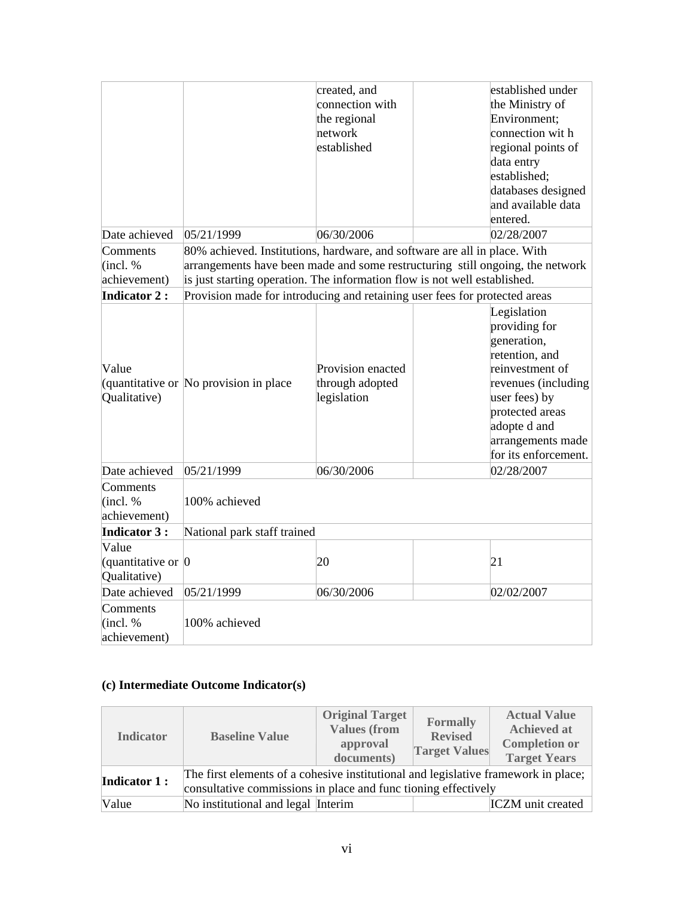|                                    |                                                                           | created, and      | established under                                                             |
|------------------------------------|---------------------------------------------------------------------------|-------------------|-------------------------------------------------------------------------------|
|                                    |                                                                           | connection with   | the Ministry of                                                               |
|                                    |                                                                           | the regional      | Environment:                                                                  |
|                                    |                                                                           | network           | connection with                                                               |
|                                    |                                                                           | established       | regional points of                                                            |
|                                    |                                                                           |                   | data entry                                                                    |
|                                    |                                                                           |                   | established;                                                                  |
|                                    |                                                                           |                   | databases designed                                                            |
|                                    |                                                                           |                   | and available data                                                            |
|                                    |                                                                           |                   | entered.                                                                      |
| Date achieved                      | 05/21/1999                                                                | 06/30/2006        | 02/28/2007                                                                    |
| Comments                           |                                                                           |                   | 80% achieved. Institutions, hardware, and software are all in place. With     |
| (incl. %                           |                                                                           |                   | arrangements have been made and some restructuring still ongoing, the network |
| achievement)                       | is just starting operation. The information flow is not well established. |                   |                                                                               |
| <b>Indicator 2:</b>                |                                                                           |                   | Provision made for introducing and retaining user fees for protected areas    |
|                                    |                                                                           |                   | Legislation                                                                   |
|                                    |                                                                           |                   | providing for                                                                 |
|                                    |                                                                           |                   | generation,                                                                   |
|                                    |                                                                           |                   | retention, and                                                                |
| Value                              |                                                                           | Provision enacted | reinvestment of                                                               |
|                                    | quantitative or No provision in place                                     | through adopted   | revenues (including                                                           |
| Qualitative)                       |                                                                           | legislation       | user fees) by                                                                 |
|                                    |                                                                           |                   | protected areas                                                               |
|                                    |                                                                           |                   | adopte d and                                                                  |
|                                    |                                                                           |                   | arrangements made                                                             |
|                                    |                                                                           |                   | for its enforcement.                                                          |
| Date achieved                      | 05/21/1999                                                                | 06/30/2006        | 02/28/2007                                                                    |
| Comments                           |                                                                           |                   |                                                                               |
| (incl. %                           | 100% achieved                                                             |                   |                                                                               |
| achievement)                       |                                                                           |                   |                                                                               |
| <b>Indicator 3:</b>                | National park staff trained                                               |                   |                                                                               |
| Value                              |                                                                           |                   |                                                                               |
|                                    |                                                                           | 20                | 21                                                                            |
| (quantitative or $\vert 0 \vert$ ) |                                                                           |                   |                                                                               |
| Qualitative)                       |                                                                           |                   |                                                                               |
| Date achieved                      | 05/21/1999                                                                | 06/30/2006        | 02/02/2007                                                                    |
| Comments                           |                                                                           |                   |                                                                               |
| (incl. %                           | 100% achieved                                                             |                   |                                                                               |
| achievement)                       |                                                                           |                   |                                                                               |

# **(c) Intermediate Outcome Indicator(s)**

| <b>Indicator</b>    | <b>Baseline Value</b>                                                                                                                                | <b>Original Target</b><br><b>Values (from</b><br>approval<br>documents) | <b>Formally</b><br><b>Revised</b><br><b>Target Values</b> | <b>Actual Value</b><br><b>Achieved at</b><br><b>Completion or</b><br><b>Target Years</b> |  |  |
|---------------------|------------------------------------------------------------------------------------------------------------------------------------------------------|-------------------------------------------------------------------------|-----------------------------------------------------------|------------------------------------------------------------------------------------------|--|--|
| <b>Indicator 1:</b> | The first elements of a cohesive institutional and legislative framework in place;<br>consultative commissions in place and func tioning effectively |                                                                         |                                                           |                                                                                          |  |  |
| Value               | No institutional and legal Interim                                                                                                                   |                                                                         |                                                           | <b>ICZM</b> unit created                                                                 |  |  |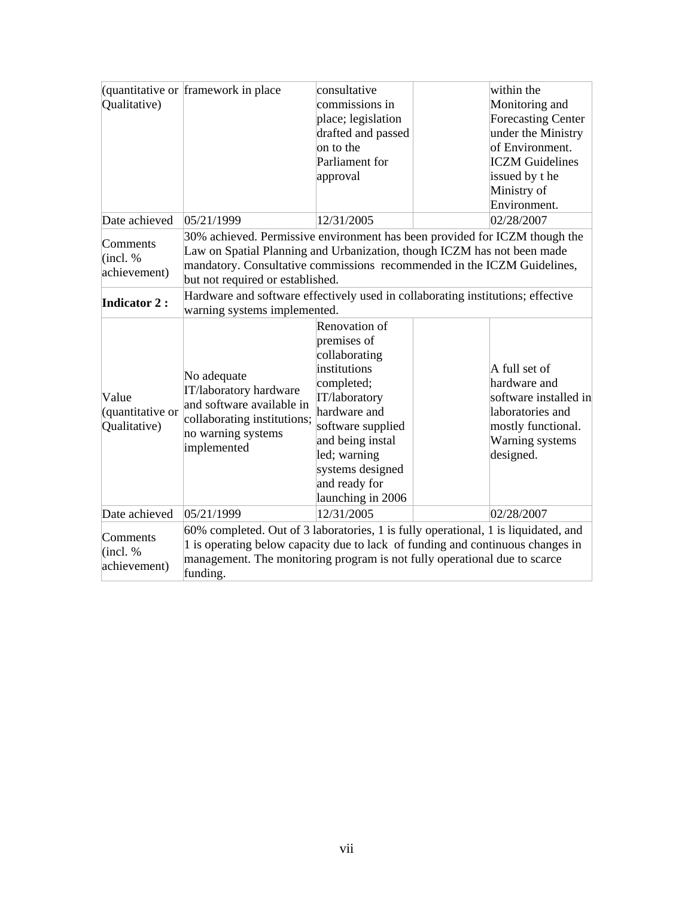|                      | quantitative or framework in place                                              | consultative                 | within the                                                                         |  |  |  |  |  |
|----------------------|---------------------------------------------------------------------------------|------------------------------|------------------------------------------------------------------------------------|--|--|--|--|--|
| Qualitative)         |                                                                                 | commissions in               | Monitoring and                                                                     |  |  |  |  |  |
|                      |                                                                                 | place; legislation           | <b>Forecasting Center</b>                                                          |  |  |  |  |  |
|                      |                                                                                 | drafted and passed           | under the Ministry                                                                 |  |  |  |  |  |
|                      |                                                                                 | on to the                    | of Environment.                                                                    |  |  |  |  |  |
|                      |                                                                                 | Parliament for               | <b>ICZM</b> Guidelines                                                             |  |  |  |  |  |
|                      |                                                                                 | approval                     | issued by the                                                                      |  |  |  |  |  |
|                      |                                                                                 |                              | Ministry of                                                                        |  |  |  |  |  |
|                      |                                                                                 |                              | Environment.                                                                       |  |  |  |  |  |
| Date achieved        | 05/21/1999                                                                      | 12/31/2005                   | 02/28/2007                                                                         |  |  |  |  |  |
|                      |                                                                                 |                              | 30% achieved. Permissive environment has been provided for ICZM though the         |  |  |  |  |  |
| Comments             |                                                                                 |                              | Law on Spatial Planning and Urbanization, though ICZM has not been made            |  |  |  |  |  |
| (incl. %             |                                                                                 |                              | mandatory. Consultative commissions recommended in the ICZM Guidelines,            |  |  |  |  |  |
| achievement)         | but not required or established.                                                |                              |                                                                                    |  |  |  |  |  |
| <b>Indicator 2:</b>  | Hardware and software effectively used in collaborating institutions; effective |                              |                                                                                    |  |  |  |  |  |
|                      |                                                                                 | warning systems implemented. |                                                                                    |  |  |  |  |  |
|                      |                                                                                 | Renovation of                |                                                                                    |  |  |  |  |  |
|                      | No adequate<br>IT/laboratory hardware<br>and software available in              | premises of                  |                                                                                    |  |  |  |  |  |
|                      |                                                                                 | collaborating                |                                                                                    |  |  |  |  |  |
|                      |                                                                                 | institutions                 | A full set of                                                                      |  |  |  |  |  |
|                      |                                                                                 | completed;                   | hardware and                                                                       |  |  |  |  |  |
| Value                |                                                                                 | IT/laboratory                | software installed in                                                              |  |  |  |  |  |
| (quantitative or     | collaborating institutions;                                                     | hardware and                 | laboratories and                                                                   |  |  |  |  |  |
| Qualitative)         | no warning systems                                                              | software supplied            | mostly functional.                                                                 |  |  |  |  |  |
|                      | implemented                                                                     | and being instal             | Warning systems                                                                    |  |  |  |  |  |
|                      |                                                                                 | led; warning                 | designed.                                                                          |  |  |  |  |  |
|                      |                                                                                 | systems designed             |                                                                                    |  |  |  |  |  |
|                      |                                                                                 | and ready for                |                                                                                    |  |  |  |  |  |
|                      |                                                                                 | launching in 2006            |                                                                                    |  |  |  |  |  |
| Date achieved        | 05/21/1999                                                                      | 12/31/2005                   | 02/28/2007                                                                         |  |  |  |  |  |
|                      |                                                                                 |                              | 60% completed. Out of 3 laboratories, 1 is fully operational, 1 is liquidated, and |  |  |  |  |  |
| Comments<br>(incl. % |                                                                                 |                              | 1 is operating below capacity due to lack of funding and continuous changes in     |  |  |  |  |  |
| achievement)         |                                                                                 |                              | management. The monitoring program is not fully operational due to scarce          |  |  |  |  |  |
|                      | funding.                                                                        |                              |                                                                                    |  |  |  |  |  |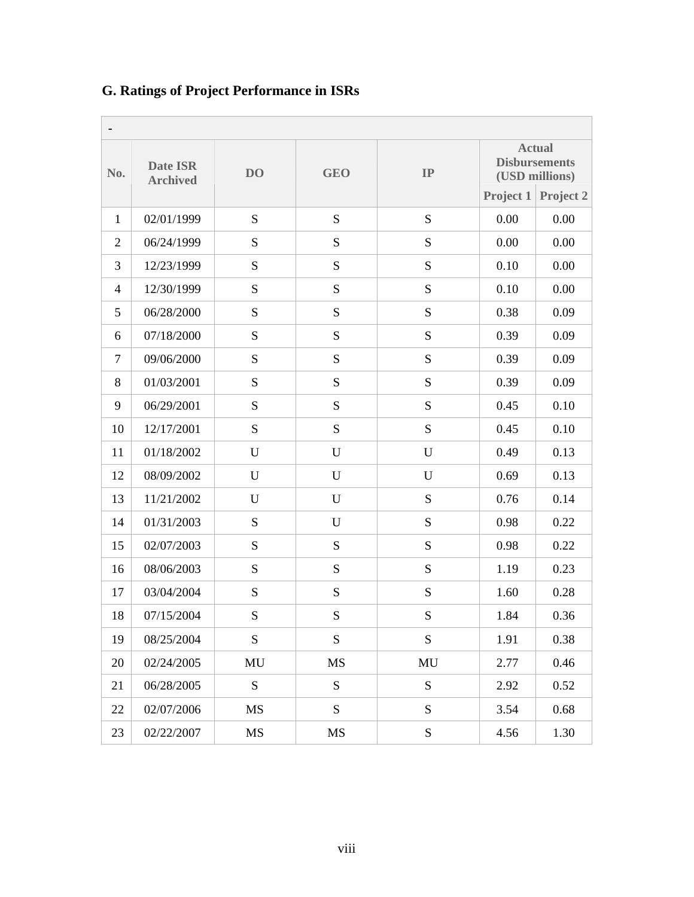| No.            | <b>Date ISR</b><br><b>Archived</b> | D <sub>O</sub> |             | IP          |      | <b>Actual</b><br><b>Disbursements</b><br>(USD millions) |  |  |  |
|----------------|------------------------------------|----------------|-------------|-------------|------|---------------------------------------------------------|--|--|--|
|                |                                    |                |             |             |      | Project 1 Project 2                                     |  |  |  |
| $\mathbf{1}$   | 02/01/1999                         | ${\bf S}$      | ${\bf S}$   | ${\bf S}$   | 0.00 | 0.00                                                    |  |  |  |
| $\overline{2}$ | 06/24/1999                         | S              | ${\bf S}$   | ${\bf S}$   | 0.00 | 0.00                                                    |  |  |  |
| 3              | 12/23/1999                         | ${\bf S}$      | ${\bf S}$   | ${\bf S}$   | 0.10 | 0.00                                                    |  |  |  |
| $\overline{4}$ | 12/30/1999                         | S              | S           | ${\bf S}$   | 0.10 | 0.00                                                    |  |  |  |
| 5              | 06/28/2000                         | S              | ${\bf S}$   | ${\bf S}$   | 0.38 | 0.09                                                    |  |  |  |
| 6              | 07/18/2000                         | ${\bf S}$      | S           | S           | 0.39 | 0.09                                                    |  |  |  |
| $\tau$         | 09/06/2000                         | ${\bf S}$      | ${\bf S}$   | ${\bf S}$   | 0.39 | 0.09                                                    |  |  |  |
| 8              | 01/03/2001                         | S              | S           | ${\bf S}$   | 0.39 | 0.09                                                    |  |  |  |
| 9              | 06/29/2001                         | ${\bf S}$      | ${\bf S}$   | ${\bf S}$   | 0.45 | 0.10                                                    |  |  |  |
| 10             | 12/17/2001                         | ${\bf S}$      | S           | ${\bf S}$   | 0.45 | 0.10                                                    |  |  |  |
| 11             | 01/18/2002                         | U              | $\mathbf U$ | $\mathbf U$ | 0.49 | 0.13                                                    |  |  |  |
| 12             | 08/09/2002                         | U              | $\mathbf U$ | U           | 0.69 | 0.13                                                    |  |  |  |
| 13             | 11/21/2002                         | U              | U           | S           | 0.76 | 0.14                                                    |  |  |  |
| 14             | 01/31/2003                         | ${\bf S}$      | $\mathbf U$ | S           | 0.98 | 0.22                                                    |  |  |  |
| 15             | 02/07/2003                         | S              | ${\bf S}$   | ${\bf S}$   | 0.98 | 0.22                                                    |  |  |  |
| 16             | 08/06/2003                         | ${\bf S}$      | ${\bf S}$   | ${\bf S}$   | 1.19 | 0.23                                                    |  |  |  |
| 17             | 03/04/2004                         | ${\bf S}$      | ${\bf S}$   | ${\bf S}$   | 1.60 | 0.28                                                    |  |  |  |
| 18             | 07/15/2004                         | S              | S           | ${\bf S}$   | 1.84 | 0.36                                                    |  |  |  |
| 19             | 08/25/2004                         | ${\bf S}$      | ${\bf S}$   | ${\bf S}$   | 1.91 | 0.38                                                    |  |  |  |
| 20             | 02/24/2005                         | MU             | <b>MS</b>   | MU          | 2.77 | 0.46                                                    |  |  |  |
| 21             | 06/28/2005                         | ${\bf S}$      | ${\bf S}$   | ${\bf S}$   | 2.92 | 0.52                                                    |  |  |  |
| 22             | 02/07/2006                         | MS             | S           | S           | 3.54 | 0.68                                                    |  |  |  |
| 23             | 02/22/2007                         | MS             | $\rm MS$    | ${\bf S}$   | 4.56 | 1.30                                                    |  |  |  |

# **G. Ratings of Project Performance in ISRs**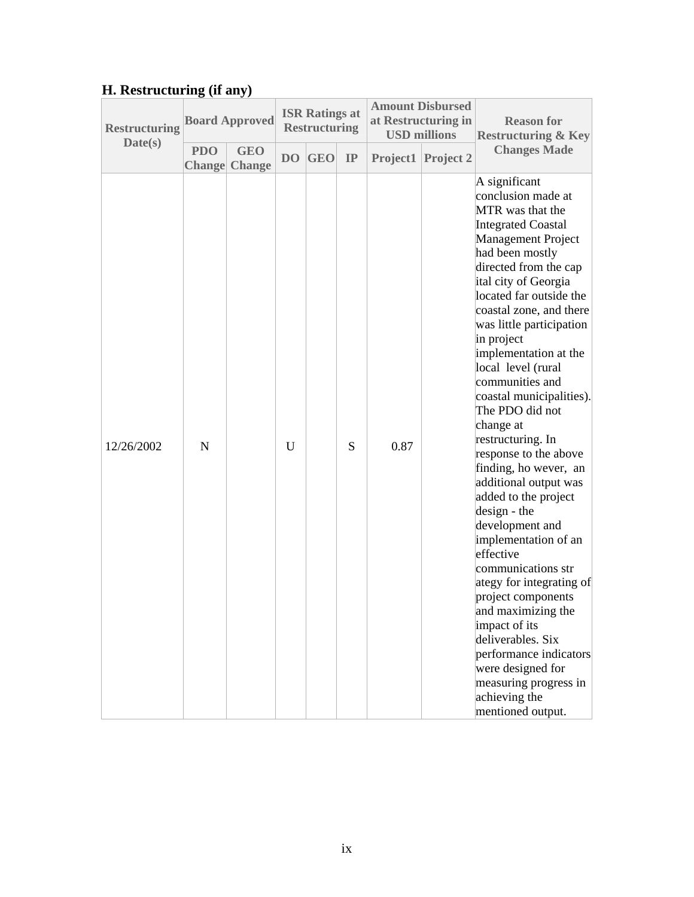# **H. Restructuring (if any)**

| <b>Restructuring</b><br>Date(s) |            | <b>Board Approved</b>              |    | <b>ISR Ratings at</b><br><b>Restructuring</b> |    | <b>Amount Disbursed</b><br>at Restructuring in<br><b>USD millions</b> |           | <b>Reason for</b><br><b>Restructuring &amp; Key</b>                                                                                                                                                                                                                                                                                                                                                                                                                                                                                                                                                                                                                                                                                                                                                                                                            |  |
|---------------------------------|------------|------------------------------------|----|-----------------------------------------------|----|-----------------------------------------------------------------------|-----------|----------------------------------------------------------------------------------------------------------------------------------------------------------------------------------------------------------------------------------------------------------------------------------------------------------------------------------------------------------------------------------------------------------------------------------------------------------------------------------------------------------------------------------------------------------------------------------------------------------------------------------------------------------------------------------------------------------------------------------------------------------------------------------------------------------------------------------------------------------------|--|
|                                 | <b>PDO</b> | <b>GEO</b><br><b>Change</b> Change | DO | <b>GEO</b>                                    | IP | Project1                                                              | Project 2 | <b>Changes Made</b>                                                                                                                                                                                                                                                                                                                                                                                                                                                                                                                                                                                                                                                                                                                                                                                                                                            |  |
| 12/26/2002                      | N          |                                    | U  |                                               | S  | 0.87                                                                  |           | A significant<br>conclusion made at<br>MTR was that the<br><b>Integrated Coastal</b><br>Management Project<br>had been mostly<br>directed from the cap<br>ital city of Georgia<br>located far outside the<br>coastal zone, and there<br>was little participation<br>in project<br>implementation at the<br>local level (rural<br>communities and<br>coastal municipalities).<br>The PDO did not<br>change at<br>restructuring. In<br>response to the above<br>finding, ho wever, an<br>additional output was<br>added to the project<br>design - the<br>development and<br>implementation of an<br>effective<br>communications str<br>ategy for integrating of<br>project components<br>and maximizing the<br>impact of its<br>deliverables. Six<br>performance indicators<br>were designed for<br>measuring progress in<br>achieving the<br>mentioned output. |  |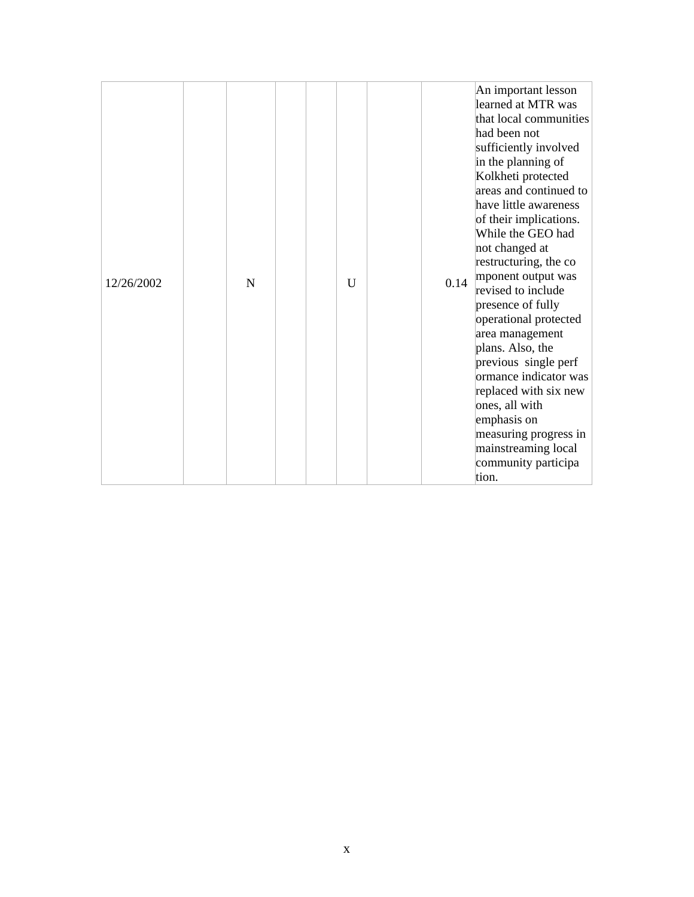| 12/26/2002 | N | $\overline{U}$ | 0.14 | An important lesson<br>learned at MTR was<br>that local communities<br>had been not<br>sufficiently involved<br>in the planning of<br>Kolkheti protected<br>areas and continued to<br>have little awareness<br>of their implications.<br>While the GEO had<br>not changed at<br>restructuring, the co<br>mponent output was<br>revised to include<br>presence of fully<br>operational protected<br>area management<br>plans. Also, the<br>previous single perf<br>ormance indicator was<br>replaced with six new<br>ones, all with<br>emphasis on<br>measuring progress in |
|------------|---|----------------|------|----------------------------------------------------------------------------------------------------------------------------------------------------------------------------------------------------------------------------------------------------------------------------------------------------------------------------------------------------------------------------------------------------------------------------------------------------------------------------------------------------------------------------------------------------------------------------|
|            |   |                |      | mainstreaming local<br>community participa<br>tion.                                                                                                                                                                                                                                                                                                                                                                                                                                                                                                                        |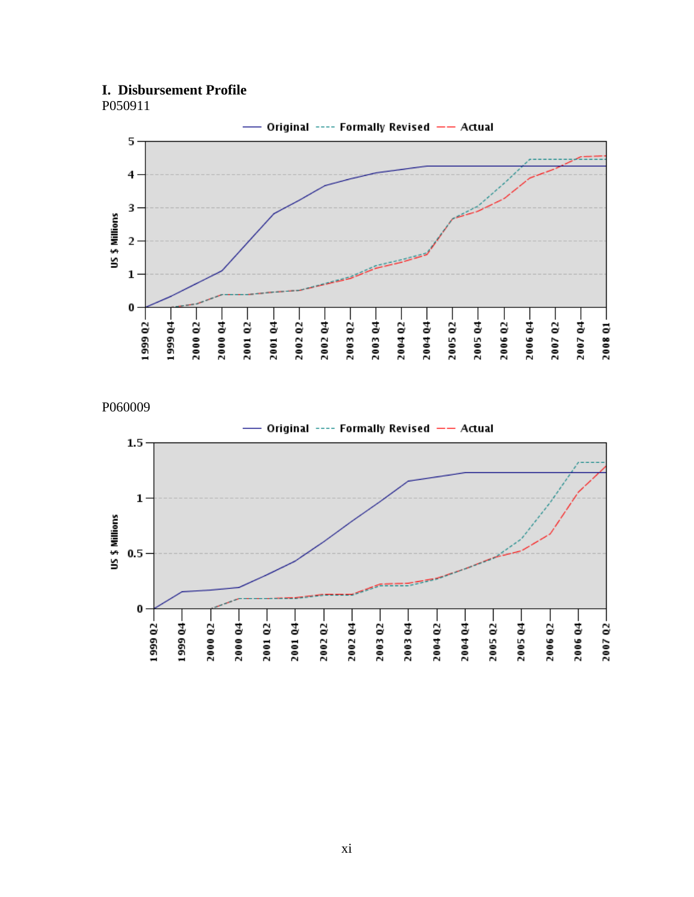# **I. Disbursement Profile**



P060009

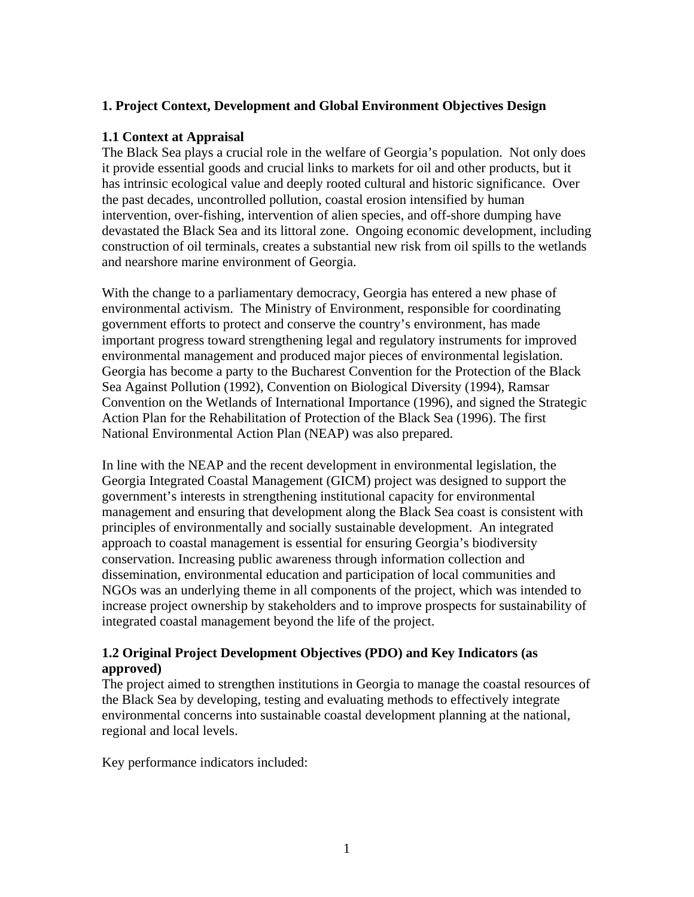## **1. Project Context, Development and Global Environment Objectives Design**

## **1.1 Context at Appraisal**

The Black Sea plays a crucial role in the welfare of Georgia's population. Not only does it provide essential goods and crucial links to markets for oil and other products, but it has intrinsic ecological value and deeply rooted cultural and historic significance. Over the past decades, uncontrolled pollution, coastal erosion intensified by human intervention, over-fishing, intervention of alien species, and off-shore dumping have devastated the Black Sea and its littoral zone. Ongoing economic development, including construction of oil terminals, creates a substantial new risk from oil spills to the wetlands and nearshore marine environment of Georgia.

With the change to a parliamentary democracy, Georgia has entered a new phase of environmental activism. The Ministry of Environment, responsible for coordinating government efforts to protect and conserve the country's environment, has made important progress toward strengthening legal and regulatory instruments for improved environmental management and produced major pieces of environmental legislation. Georgia has become a party to the Bucharest Convention for the Protection of the Black Sea Against Pollution (1992), Convention on Biological Diversity (1994), Ramsar Convention on the Wetlands of International Importance (1996), and signed the Strategic Action Plan for the Rehabilitation of Protection of the Black Sea (1996). The first National Environmental Action Plan (NEAP) was also prepared.

In line with the NEAP and the recent development in environmental legislation, the Georgia Integrated Coastal Management (GICM) project was designed to support the government's interests in strengthening institutional capacity for environmental management and ensuring that development along the Black Sea coast is consistent with principles of environmentally and socially sustainable development. An integrated approach to coastal management is essential for ensuring Georgia's biodiversity conservation. Increasing public awareness through information collection and dissemination, environmental education and participation of local communities and NGOs was an underlying theme in all components of the project, which was intended to increase project ownership by stakeholders and to improve prospects for sustainability of integrated coastal management beyond the life of the project.

## **1.2 Original Project Development Objectives (PDO) and Key Indicators (as approved)**

The project aimed to strengthen institutions in Georgia to manage the coastal resources of the Black Sea by developing, testing and evaluating methods to effectively integrate environmental concerns into sustainable coastal development planning at the national, regional and local levels.

Key performance indicators included: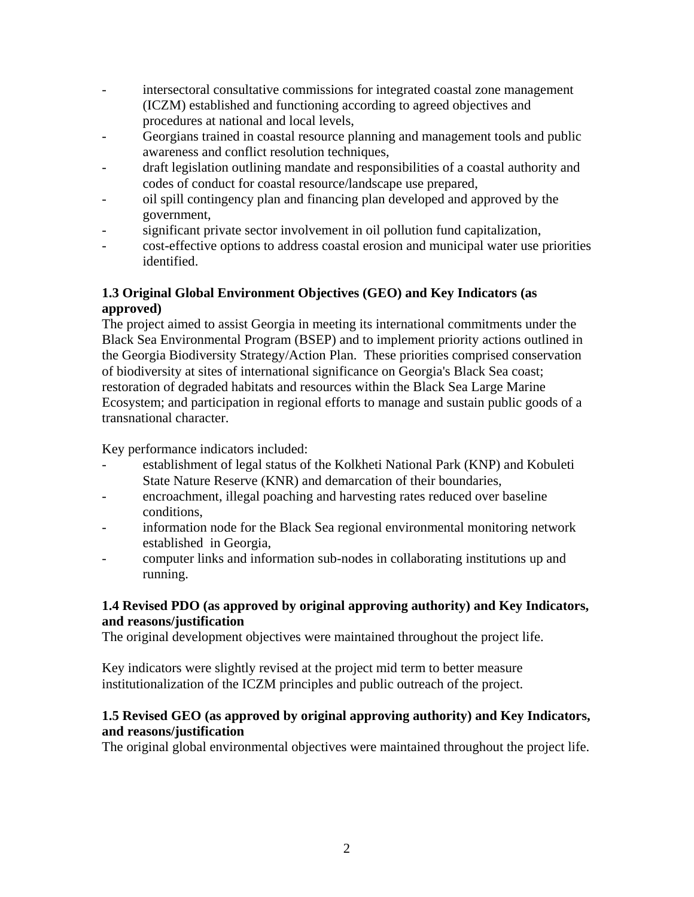- intersectoral consultative commissions for integrated coastal zone management (ICZM) established and functioning according to agreed objectives and procedures at national and local levels,
- Georgians trained in coastal resource planning and management tools and public awareness and conflict resolution techniques,
- draft legislation outlining mandate and responsibilities of a coastal authority and codes of conduct for coastal resource/landscape use prepared,
- oil spill contingency plan and financing plan developed and approved by the government,
- significant private sector involvement in oil pollution fund capitalization,
- cost-effective options to address coastal erosion and municipal water use priorities identified.

# **1.3 Original Global Environment Objectives (GEO) and Key Indicators (as approved)**

The project aimed to assist Georgia in meeting its international commitments under the Black Sea Environmental Program (BSEP) and to implement priority actions outlined in the Georgia Biodiversity Strategy/Action Plan. These priorities comprised conservation of biodiversity at sites of international significance on Georgia's Black Sea coast; restoration of degraded habitats and resources within the Black Sea Large Marine Ecosystem; and participation in regional efforts to manage and sustain public goods of a transnational character.

Key performance indicators included:

- establishment of legal status of the Kolkheti National Park (KNP) and Kobuleti State Nature Reserve (KNR) and demarcation of their boundaries,
- encroachment, illegal poaching and harvesting rates reduced over baseline conditions,
- information node for the Black Sea regional environmental monitoring network established in Georgia,
- computer links and information sub-nodes in collaborating institutions up and running.

# **1.4 Revised PDO (as approved by original approving authority) and Key Indicators, and reasons/justification**

The original development objectives were maintained throughout the project life.

Key indicators were slightly revised at the project mid term to better measure institutionalization of the ICZM principles and public outreach of the project.

## **1.5 Revised GEO (as approved by original approving authority) and Key Indicators, and reasons/justification**

The original global environmental objectives were maintained throughout the project life.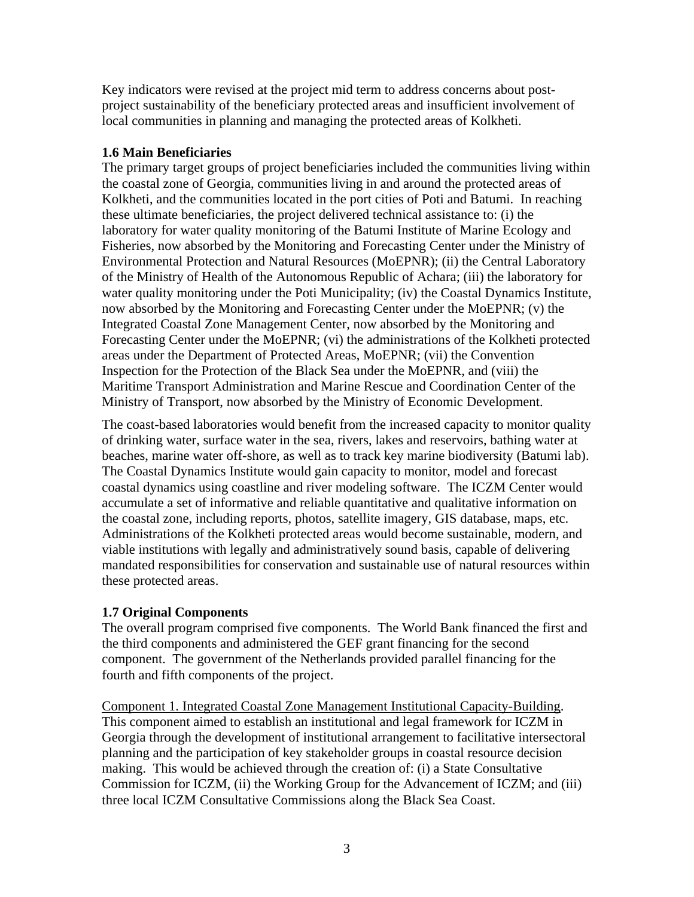Key indicators were revised at the project mid term to address concerns about postproject sustainability of the beneficiary protected areas and insufficient involvement of local communities in planning and managing the protected areas of Kolkheti.

## **1.6 Main Beneficiaries**

The primary target groups of project beneficiaries included the communities living within the coastal zone of Georgia, communities living in and around the protected areas of Kolkheti, and the communities located in the port cities of Poti and Batumi. In reaching these ultimate beneficiaries, the project delivered technical assistance to: (i) the laboratory for water quality monitoring of the Batumi Institute of Marine Ecology and Fisheries, now absorbed by the Monitoring and Forecasting Center under the Ministry of Environmental Protection and Natural Resources (MoEPNR); (ii) the Central Laboratory of the Ministry of Health of the Autonomous Republic of Achara; (iii) the laboratory for water quality monitoring under the Poti Municipality; (iv) the Coastal Dynamics Institute, now absorbed by the Monitoring and Forecasting Center under the MoEPNR; (v) the Integrated Coastal Zone Management Center, now absorbed by the Monitoring and Forecasting Center under the MoEPNR; (vi) the administrations of the Kolkheti protected areas under the Department of Protected Areas, MoEPNR; (vii) the Convention Inspection for the Protection of the Black Sea under the MoEPNR, and (viii) the Maritime Transport Administration and Marine Rescue and Coordination Center of the Ministry of Transport, now absorbed by the Ministry of Economic Development.

The coast-based laboratories would benefit from the increased capacity to monitor quality of drinking water, surface water in the sea, rivers, lakes and reservoirs, bathing water at beaches, marine water off-shore, as well as to track key marine biodiversity (Batumi lab). The Coastal Dynamics Institute would gain capacity to monitor, model and forecast coastal dynamics using coastline and river modeling software. The ICZM Center would accumulate a set of informative and reliable quantitative and qualitative information on the coastal zone, including reports, photos, satellite imagery, GIS database, maps, etc. Administrations of the Kolkheti protected areas would become sustainable, modern, and viable institutions with legally and administratively sound basis, capable of delivering mandated responsibilities for conservation and sustainable use of natural resources within these protected areas.

# **1.7 Original Components**

The overall program comprised five components. The World Bank financed the first and the third components and administered the GEF grant financing for the second component. The government of the Netherlands provided parallel financing for the fourth and fifth components of the project.

Component 1. Integrated Coastal Zone Management Institutional Capacity-Building. This component aimed to establish an institutional and legal framework for ICZM in Georgia through the development of institutional arrangement to facilitative intersectoral planning and the participation of key stakeholder groups in coastal resource decision making. This would be achieved through the creation of: (i) a State Consultative Commission for ICZM, (ii) the Working Group for the Advancement of ICZM; and (iii) three local ICZM Consultative Commissions along the Black Sea Coast.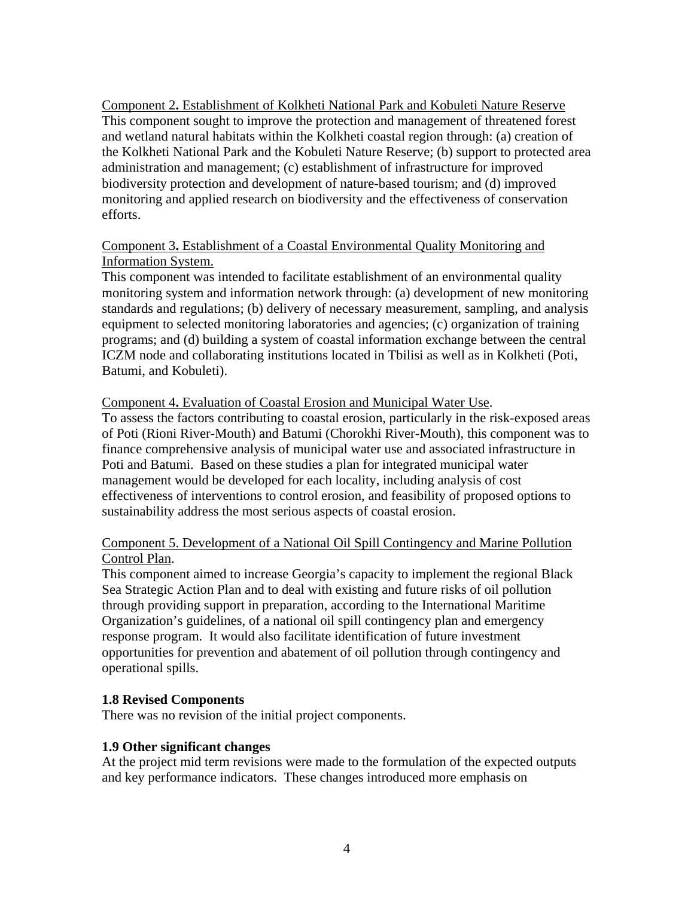Component 2**.** Establishment of Kolkheti National Park and Kobuleti Nature Reserve This component sought to improve the protection and management of threatened forest and wetland natural habitats within the Kolkheti coastal region through: (a) creation of the Kolkheti National Park and the Kobuleti Nature Reserve; (b) support to protected area administration and management; (c) establishment of infrastructure for improved biodiversity protection and development of nature-based tourism; and (d) improved monitoring and applied research on biodiversity and the effectiveness of conservation efforts.

## Component 3**.** Establishment of a Coastal Environmental Quality Monitoring and Information System.

This component was intended to facilitate establishment of an environmental quality monitoring system and information network through: (a) development of new monitoring standards and regulations; (b) delivery of necessary measurement, sampling, and analysis equipment to selected monitoring laboratories and agencies; (c) organization of training programs; and (d) building a system of coastal information exchange between the central ICZM node and collaborating institutions located in Tbilisi as well as in Kolkheti (Poti, Batumi, and Kobuleti).

## Component 4**.** Evaluation of Coastal Erosion and Municipal Water Use.

To assess the factors contributing to coastal erosion, particularly in the risk-exposed areas of Poti (Rioni River-Mouth) and Batumi (Chorokhi River-Mouth), this component was to finance comprehensive analysis of municipal water use and associated infrastructure in Poti and Batumi. Based on these studies a plan for integrated municipal water management would be developed for each locality, including analysis of cost effectiveness of interventions to control erosion, and feasibility of proposed options to sustainability address the most serious aspects of coastal erosion.

## Component 5. Development of a National Oil Spill Contingency and Marine Pollution Control Plan.

This component aimed to increase Georgia's capacity to implement the regional Black Sea Strategic Action Plan and to deal with existing and future risks of oil pollution through providing support in preparation, according to the International Maritime Organization's guidelines, of a national oil spill contingency plan and emergency response program. It would also facilitate identification of future investment opportunities for prevention and abatement of oil pollution through contingency and operational spills.

## **1.8 Revised Components**

There was no revision of the initial project components.

#### **1.9 Other significant changes**

At the project mid term revisions were made to the formulation of the expected outputs and key performance indicators. These changes introduced more emphasis on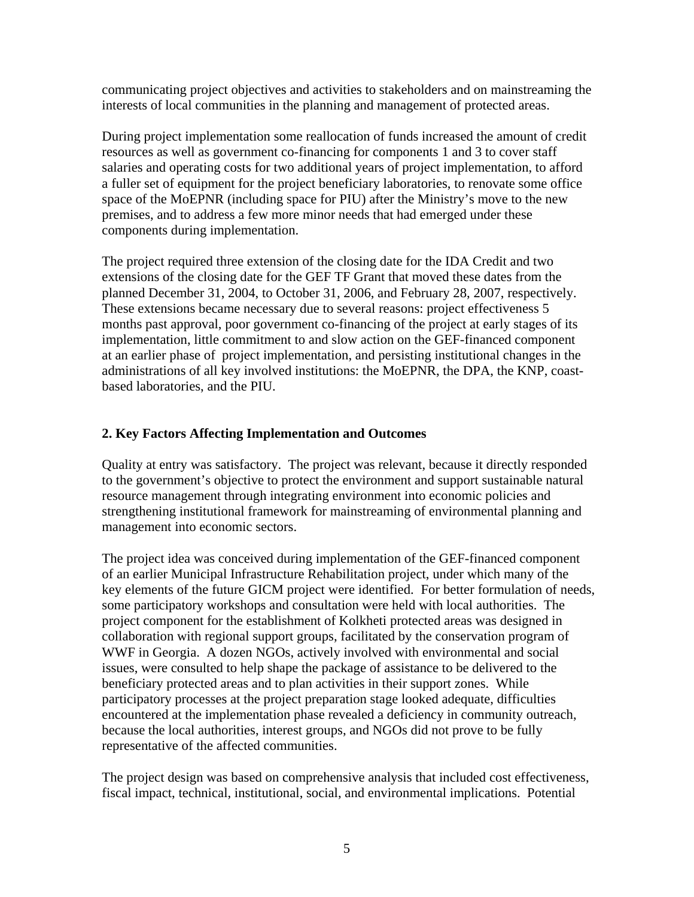communicating project objectives and activities to stakeholders and on mainstreaming the interests of local communities in the planning and management of protected areas.

During project implementation some reallocation of funds increased the amount of credit resources as well as government co-financing for components 1 and 3 to cover staff salaries and operating costs for two additional years of project implementation, to afford a fuller set of equipment for the project beneficiary laboratories, to renovate some office space of the MoEPNR (including space for PIU) after the Ministry's move to the new premises, and to address a few more minor needs that had emerged under these components during implementation.

The project required three extension of the closing date for the IDA Credit and two extensions of the closing date for the GEF TF Grant that moved these dates from the planned December 31, 2004, to October 31, 2006, and February 28, 2007, respectively. These extensions became necessary due to several reasons: project effectiveness 5 months past approval, poor government co-financing of the project at early stages of its implementation, little commitment to and slow action on the GEF-financed component at an earlier phase of project implementation, and persisting institutional changes in the administrations of all key involved institutions: the MoEPNR, the DPA, the KNP, coastbased laboratories, and the PIU.

## **2. Key Factors Affecting Implementation and Outcomes**

Quality at entry was satisfactory. The project was relevant, because it directly responded to the government's objective to protect the environment and support sustainable natural resource management through integrating environment into economic policies and strengthening institutional framework for mainstreaming of environmental planning and management into economic sectors.

The project idea was conceived during implementation of the GEF-financed component of an earlier Municipal Infrastructure Rehabilitation project, under which many of the key elements of the future GICM project were identified. For better formulation of needs, some participatory workshops and consultation were held with local authorities. The project component for the establishment of Kolkheti protected areas was designed in collaboration with regional support groups, facilitated by the conservation program of WWF in Georgia. A dozen NGOs, actively involved with environmental and social issues, were consulted to help shape the package of assistance to be delivered to the beneficiary protected areas and to plan activities in their support zones. While participatory processes at the project preparation stage looked adequate, difficulties encountered at the implementation phase revealed a deficiency in community outreach, because the local authorities, interest groups, and NGOs did not prove to be fully representative of the affected communities.

The project design was based on comprehensive analysis that included cost effectiveness, fiscal impact, technical, institutional, social, and environmental implications. Potential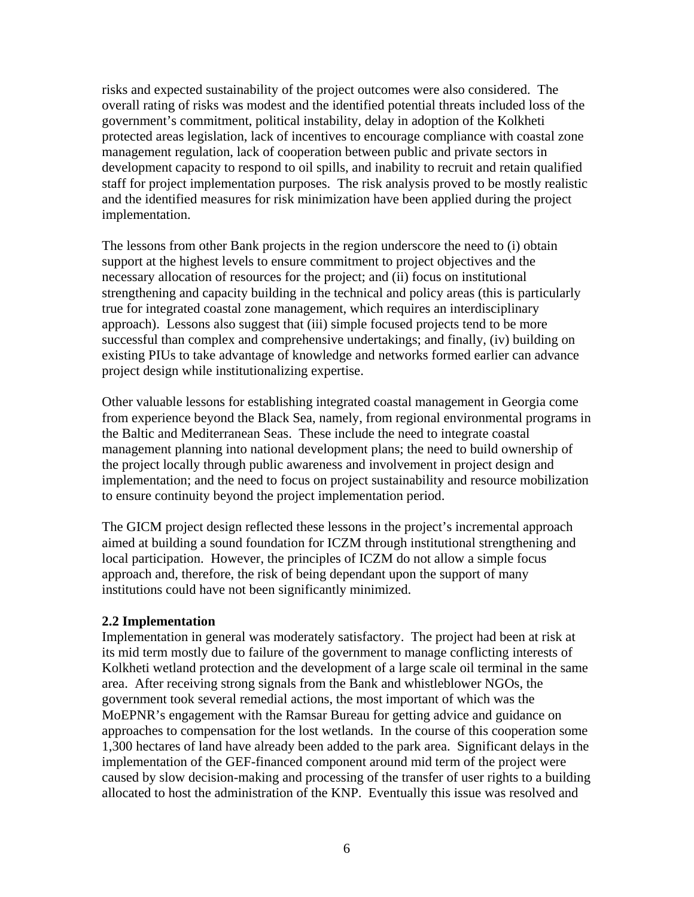risks and expected sustainability of the project outcomes were also considered. The overall rating of risks was modest and the identified potential threats included loss of the government's commitment, political instability, delay in adoption of the Kolkheti protected areas legislation, lack of incentives to encourage compliance with coastal zone management regulation, lack of cooperation between public and private sectors in development capacity to respond to oil spills, and inability to recruit and retain qualified staff for project implementation purposes. The risk analysis proved to be mostly realistic and the identified measures for risk minimization have been applied during the project implementation.

The lessons from other Bank projects in the region underscore the need to (i) obtain support at the highest levels to ensure commitment to project objectives and the necessary allocation of resources for the project; and (ii) focus on institutional strengthening and capacity building in the technical and policy areas (this is particularly true for integrated coastal zone management, which requires an interdisciplinary approach). Lessons also suggest that (iii) simple focused projects tend to be more successful than complex and comprehensive undertakings; and finally, (iv) building on existing PIUs to take advantage of knowledge and networks formed earlier can advance project design while institutionalizing expertise.

Other valuable lessons for establishing integrated coastal management in Georgia come from experience beyond the Black Sea, namely, from regional environmental programs in the Baltic and Mediterranean Seas. These include the need to integrate coastal management planning into national development plans; the need to build ownership of the project locally through public awareness and involvement in project design and implementation; and the need to focus on project sustainability and resource mobilization to ensure continuity beyond the project implementation period.

The GICM project design reflected these lessons in the project's incremental approach aimed at building a sound foundation for ICZM through institutional strengthening and local participation. However, the principles of ICZM do not allow a simple focus approach and, therefore, the risk of being dependant upon the support of many institutions could have not been significantly minimized.

#### **2.2 Implementation**

Implementation in general was moderately satisfactory. The project had been at risk at its mid term mostly due to failure of the government to manage conflicting interests of Kolkheti wetland protection and the development of a large scale oil terminal in the same area. After receiving strong signals from the Bank and whistleblower NGOs, the government took several remedial actions, the most important of which was the MoEPNR's engagement with the Ramsar Bureau for getting advice and guidance on approaches to compensation for the lost wetlands. In the course of this cooperation some 1,300 hectares of land have already been added to the park area. Significant delays in the implementation of the GEF-financed component around mid term of the project were caused by slow decision-making and processing of the transfer of user rights to a building allocated to host the administration of the KNP. Eventually this issue was resolved and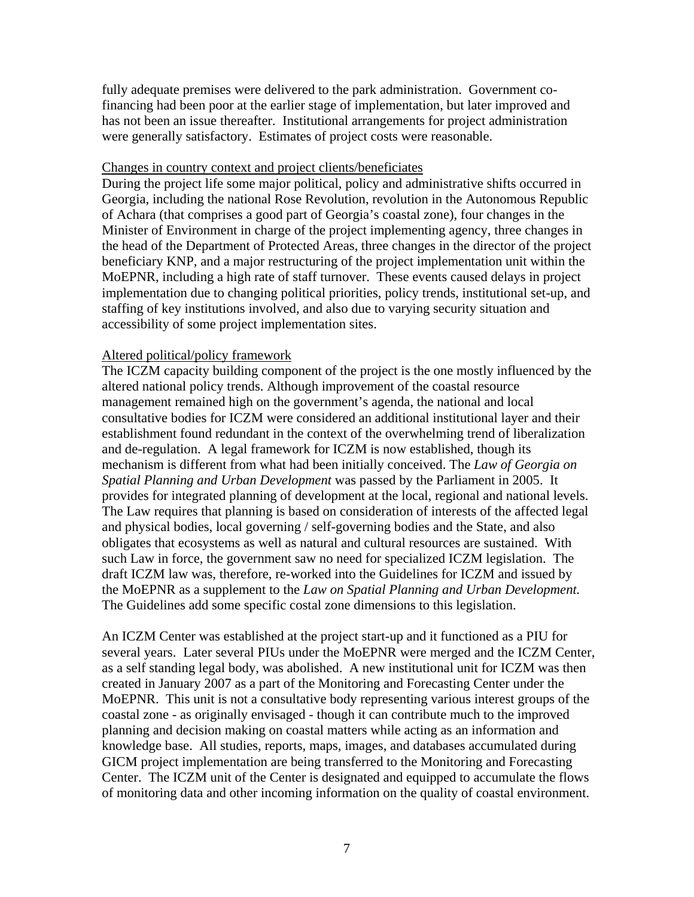fully adequate premises were delivered to the park administration. Government cofinancing had been poor at the earlier stage of implementation, but later improved and has not been an issue thereafter. Institutional arrangements for project administration were generally satisfactory. Estimates of project costs were reasonable.

#### Changes in country context and project clients/beneficiates

During the project life some major political, policy and administrative shifts occurred in Georgia, including the national Rose Revolution, revolution in the Autonomous Republic of Achara (that comprises a good part of Georgia's coastal zone), four changes in the Minister of Environment in charge of the project implementing agency, three changes in the head of the Department of Protected Areas, three changes in the director of the project beneficiary KNP, and a major restructuring of the project implementation unit within the MoEPNR, including a high rate of staff turnover. These events caused delays in project implementation due to changing political priorities, policy trends, institutional set-up, and staffing of key institutions involved, and also due to varying security situation and accessibility of some project implementation sites.

#### Altered political/policy framework

The ICZM capacity building component of the project is the one mostly influenced by the altered national policy trends. Although improvement of the coastal resource management remained high on the government's agenda, the national and local consultative bodies for ICZM were considered an additional institutional layer and their establishment found redundant in the context of the overwhelming trend of liberalization and de-regulation. A legal framework for ICZM is now established, though its mechanism is different from what had been initially conceived. The *Law of Georgia on Spatial Planning and Urban Development* was passed by the Parliament in 2005. It provides for integrated planning of development at the local, regional and national levels. The Law requires that planning is based on consideration of interests of the affected legal and physical bodies, local governing / self-governing bodies and the State, and also obligates that ecosystems as well as natural and cultural resources are sustained. With such Law in force, the government saw no need for specialized ICZM legislation. The draft ICZM law was, therefore, re-worked into the Guidelines for ICZM and issued by the MoEPNR as a supplement to the *Law on Spatial Planning and Urban Development.*  The Guidelines add some specific costal zone dimensions to this legislation.

An ICZM Center was established at the project start-up and it functioned as a PIU for several years. Later several PIUs under the MoEPNR were merged and the ICZM Center, as a self standing legal body, was abolished. A new institutional unit for ICZM was then created in January 2007 as a part of the Monitoring and Forecasting Center under the MoEPNR. This unit is not a consultative body representing various interest groups of the coastal zone - as originally envisaged - though it can contribute much to the improved planning and decision making on coastal matters while acting as an information and knowledge base. All studies, reports, maps, images, and databases accumulated during GICM project implementation are being transferred to the Monitoring and Forecasting Center. The ICZM unit of the Center is designated and equipped to accumulate the flows of monitoring data and other incoming information on the quality of coastal environment.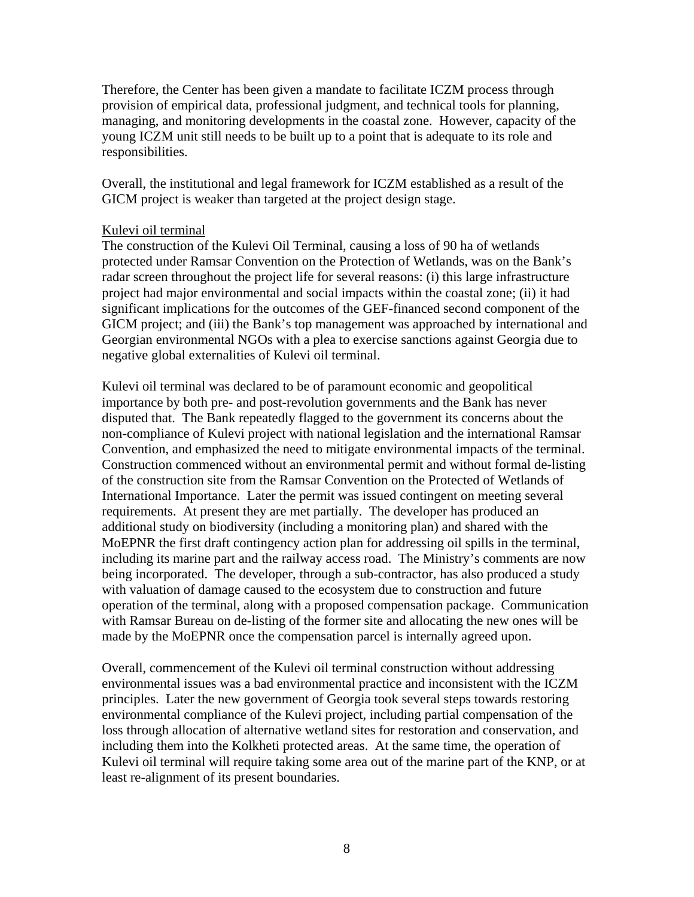Therefore, the Center has been given a mandate to facilitate ICZM process through provision of empirical data, professional judgment, and technical tools for planning, managing, and monitoring developments in the coastal zone. However, capacity of the young ICZM unit still needs to be built up to a point that is adequate to its role and responsibilities.

Overall, the institutional and legal framework for ICZM established as a result of the GICM project is weaker than targeted at the project design stage.

#### Kulevi oil terminal

The construction of the Kulevi Oil Terminal, causing a loss of 90 ha of wetlands protected under Ramsar Convention on the Protection of Wetlands, was on the Bank's radar screen throughout the project life for several reasons: (i) this large infrastructure project had major environmental and social impacts within the coastal zone; (ii) it had significant implications for the outcomes of the GEF-financed second component of the GICM project; and (iii) the Bank's top management was approached by international and Georgian environmental NGOs with a plea to exercise sanctions against Georgia due to negative global externalities of Kulevi oil terminal.

Kulevi oil terminal was declared to be of paramount economic and geopolitical importance by both pre- and post-revolution governments and the Bank has never disputed that. The Bank repeatedly flagged to the government its concerns about the non-compliance of Kulevi project with national legislation and the international Ramsar Convention, and emphasized the need to mitigate environmental impacts of the terminal. Construction commenced without an environmental permit and without formal de-listing of the construction site from the Ramsar Convention on the Protected of Wetlands of International Importance. Later the permit was issued contingent on meeting several requirements. At present they are met partially. The developer has produced an additional study on biodiversity (including a monitoring plan) and shared with the MoEPNR the first draft contingency action plan for addressing oil spills in the terminal, including its marine part and the railway access road. The Ministry's comments are now being incorporated. The developer, through a sub-contractor, has also produced a study with valuation of damage caused to the ecosystem due to construction and future operation of the terminal, along with a proposed compensation package. Communication with Ramsar Bureau on de-listing of the former site and allocating the new ones will be made by the MoEPNR once the compensation parcel is internally agreed upon.

Overall, commencement of the Kulevi oil terminal construction without addressing environmental issues was a bad environmental practice and inconsistent with the ICZM principles. Later the new government of Georgia took several steps towards restoring environmental compliance of the Kulevi project, including partial compensation of the loss through allocation of alternative wetland sites for restoration and conservation, and including them into the Kolkheti protected areas. At the same time, the operation of Kulevi oil terminal will require taking some area out of the marine part of the KNP, or at least re-alignment of its present boundaries.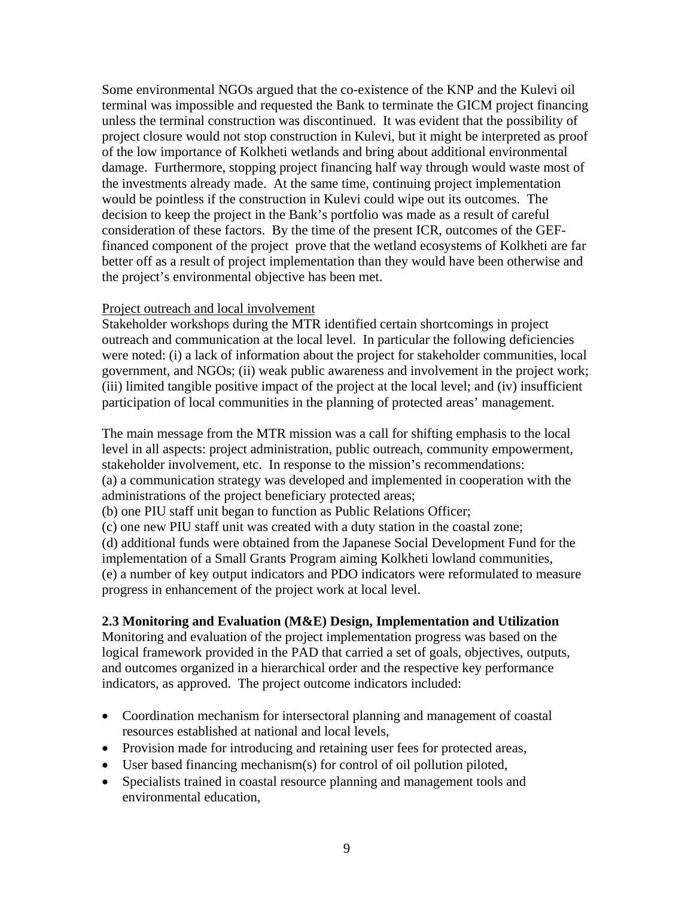Some environmental NGOs argued that the co-existence of the KNP and the Kulevi oil terminal was impossible and requested the Bank to terminate the GICM project financing unless the terminal construction was discontinued. It was evident that the possibility of project closure would not stop construction in Kulevi, but it might be interpreted as proof of the low importance of Kolkheti wetlands and bring about additional environmental damage. Furthermore, stopping project financing half way through would waste most of the investments already made. At the same time, continuing project implementation would be pointless if the construction in Kulevi could wipe out its outcomes. The decision to keep the project in the Bank's portfolio was made as a result of careful consideration of these factors. By the time of the present ICR, outcomes of the GEFfinanced component of the project prove that the wetland ecosystems of Kolkheti are far better off as a result of project implementation than they would have been otherwise and the project's environmental objective has been met.

#### Project outreach and local involvement

Stakeholder workshops during the MTR identified certain shortcomings in project outreach and communication at the local level. In particular the following deficiencies were noted: (i) a lack of information about the project for stakeholder communities, local government, and NGOs; (ii) weak public awareness and involvement in the project work; (iii) limited tangible positive impact of the project at the local level; and (iv) insufficient participation of local communities in the planning of protected areas' management.

The main message from the MTR mission was a call for shifting emphasis to the local level in all aspects: project administration, public outreach, community empowerment, stakeholder involvement, etc. In response to the mission's recommendations: (a) a communication strategy was developed and implemented in cooperation with the administrations of the project beneficiary protected areas;

(b) one PIU staff unit began to function as Public Relations Officer;

(c) one new PIU staff unit was created with a duty station in the coastal zone;

(d) additional funds were obtained from the Japanese Social Development Fund for the implementation of a Small Grants Program aiming Kolkheti lowland communities, (e) a number of key output indicators and PDO indicators were reformulated to measure progress in enhancement of the project work at local level.

## **2.3 Monitoring and Evaluation (M&E) Design, Implementation and Utilization**

Monitoring and evaluation of the project implementation progress was based on the logical framework provided in the PAD that carried a set of goals, objectives, outputs, and outcomes organized in a hierarchical order and the respective key performance indicators, as approved. The project outcome indicators included:

- Coordination mechanism for intersectoral planning and management of coastal resources established at national and local levels,
- Provision made for introducing and retaining user fees for protected areas,
- User based financing mechanism(s) for control of oil pollution piloted,
- Specialists trained in coastal resource planning and management tools and environmental education,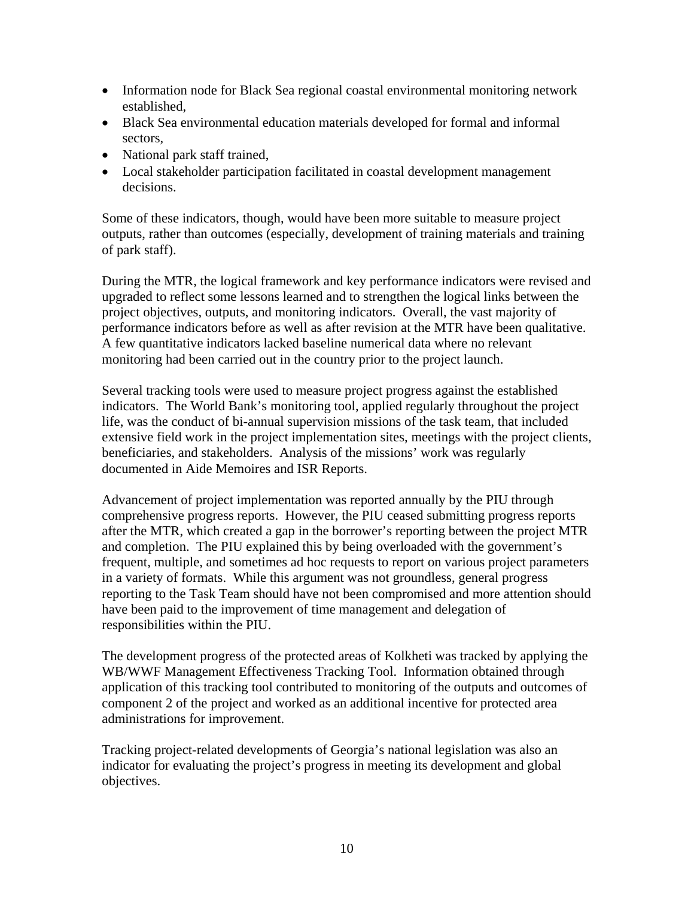- Information node for Black Sea regional coastal environmental monitoring network established,
- Black Sea environmental education materials developed for formal and informal sectors,
- National park staff trained,
- Local stakeholder participation facilitated in coastal development management decisions.

Some of these indicators, though, would have been more suitable to measure project outputs, rather than outcomes (especially, development of training materials and training of park staff).

During the MTR, the logical framework and key performance indicators were revised and upgraded to reflect some lessons learned and to strengthen the logical links between the project objectives, outputs, and monitoring indicators. Overall, the vast majority of performance indicators before as well as after revision at the MTR have been qualitative. A few quantitative indicators lacked baseline numerical data where no relevant monitoring had been carried out in the country prior to the project launch.

Several tracking tools were used to measure project progress against the established indicators. The World Bank's monitoring tool, applied regularly throughout the project life, was the conduct of bi-annual supervision missions of the task team, that included extensive field work in the project implementation sites, meetings with the project clients, beneficiaries, and stakeholders. Analysis of the missions' work was regularly documented in Aide Memoires and ISR Reports.

Advancement of project implementation was reported annually by the PIU through comprehensive progress reports. However, the PIU ceased submitting progress reports after the MTR, which created a gap in the borrower's reporting between the project MTR and completion. The PIU explained this by being overloaded with the government's frequent, multiple, and sometimes ad hoc requests to report on various project parameters in a variety of formats. While this argument was not groundless, general progress reporting to the Task Team should have not been compromised and more attention should have been paid to the improvement of time management and delegation of responsibilities within the PIU.

The development progress of the protected areas of Kolkheti was tracked by applying the WB/WWF Management Effectiveness Tracking Tool. Information obtained through application of this tracking tool contributed to monitoring of the outputs and outcomes of component 2 of the project and worked as an additional incentive for protected area administrations for improvement.

Tracking project-related developments of Georgia's national legislation was also an indicator for evaluating the project's progress in meeting its development and global objectives.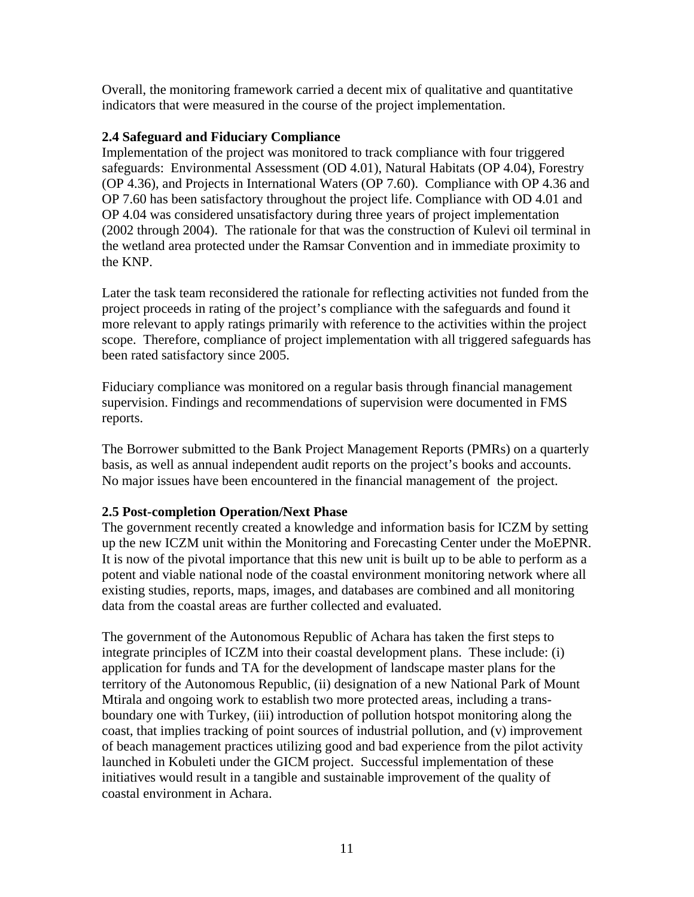Overall, the monitoring framework carried a decent mix of qualitative and quantitative indicators that were measured in the course of the project implementation.

## **2.4 Safeguard and Fiduciary Compliance**

Implementation of the project was monitored to track compliance with four triggered safeguards: Environmental Assessment (OD 4.01), Natural Habitats (OP 4.04), Forestry (OP 4.36), and Projects in International Waters (OP 7.60). Compliance with OP 4.36 and OP 7.60 has been satisfactory throughout the project life. Compliance with OD 4.01 and OP 4.04 was considered unsatisfactory during three years of project implementation (2002 through 2004). The rationale for that was the construction of Kulevi oil terminal in the wetland area protected under the Ramsar Convention and in immediate proximity to the KNP.

Later the task team reconsidered the rationale for reflecting activities not funded from the project proceeds in rating of the project's compliance with the safeguards and found it more relevant to apply ratings primarily with reference to the activities within the project scope. Therefore, compliance of project implementation with all triggered safeguards has been rated satisfactory since 2005.

Fiduciary compliance was monitored on a regular basis through financial management supervision. Findings and recommendations of supervision were documented in FMS reports.

The Borrower submitted to the Bank Project Management Reports (PMRs) on a quarterly basis, as well as annual independent audit reports on the project's books and accounts. No major issues have been encountered in the financial management of the project.

## **2.5 Post-completion Operation/Next Phase**

The government recently created a knowledge and information basis for ICZM by setting up the new ICZM unit within the Monitoring and Forecasting Center under the MoEPNR. It is now of the pivotal importance that this new unit is built up to be able to perform as a potent and viable national node of the coastal environment monitoring network where all existing studies, reports, maps, images, and databases are combined and all monitoring data from the coastal areas are further collected and evaluated.

The government of the Autonomous Republic of Achara has taken the first steps to integrate principles of ICZM into their coastal development plans. These include: (i) application for funds and TA for the development of landscape master plans for the territory of the Autonomous Republic, (ii) designation of a new National Park of Mount Mtirala and ongoing work to establish two more protected areas, including a transboundary one with Turkey, (iii) introduction of pollution hotspot monitoring along the coast, that implies tracking of point sources of industrial pollution, and (v) improvement of beach management practices utilizing good and bad experience from the pilot activity launched in Kobuleti under the GICM project. Successful implementation of these initiatives would result in a tangible and sustainable improvement of the quality of coastal environment in Achara.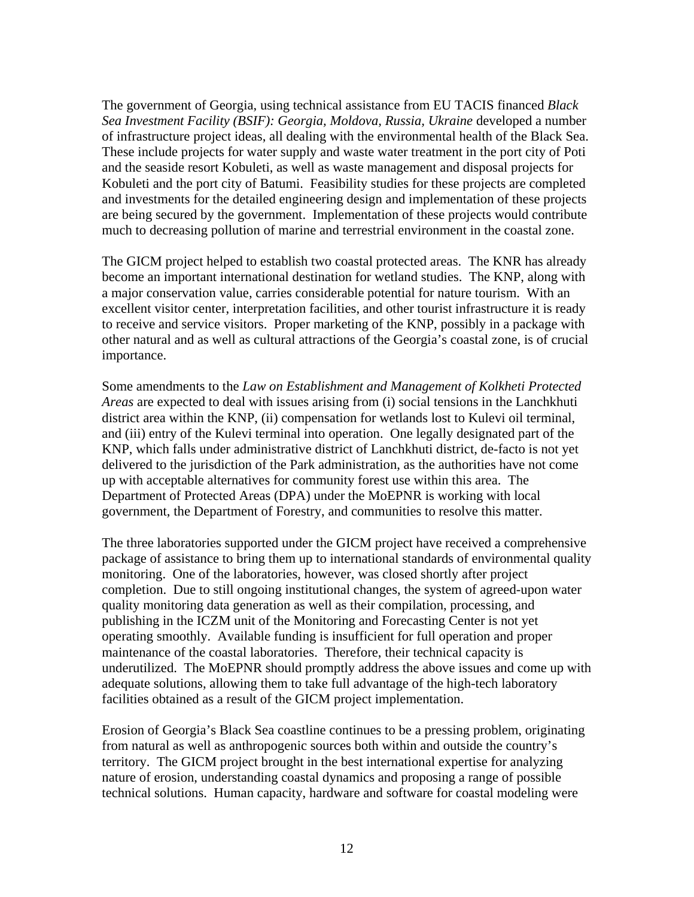The government of Georgia, using technical assistance from EU TACIS financed *Black Sea Investment Facility (BSIF): Georgia, Moldova, Russia, Ukraine* developed a number of infrastructure project ideas, all dealing with the environmental health of the Black Sea. These include projects for water supply and waste water treatment in the port city of Poti and the seaside resort Kobuleti, as well as waste management and disposal projects for Kobuleti and the port city of Batumi. Feasibility studies for these projects are completed and investments for the detailed engineering design and implementation of these projects are being secured by the government. Implementation of these projects would contribute much to decreasing pollution of marine and terrestrial environment in the coastal zone.

The GICM project helped to establish two coastal protected areas. The KNR has already become an important international destination for wetland studies. The KNP, along with a major conservation value, carries considerable potential for nature tourism. With an excellent visitor center, interpretation facilities, and other tourist infrastructure it is ready to receive and service visitors. Proper marketing of the KNP, possibly in a package with other natural and as well as cultural attractions of the Georgia's coastal zone, is of crucial importance.

Some amendments to the *Law on Establishment and Management of Kolkheti Protected Areas* are expected to deal with issues arising from (i) social tensions in the Lanchkhuti district area within the KNP, (ii) compensation for wetlands lost to Kulevi oil terminal, and (iii) entry of the Kulevi terminal into operation. One legally designated part of the KNP, which falls under administrative district of Lanchkhuti district, de-facto is not yet delivered to the jurisdiction of the Park administration, as the authorities have not come up with acceptable alternatives for community forest use within this area. The Department of Protected Areas (DPA) under the MoEPNR is working with local government, the Department of Forestry, and communities to resolve this matter.

The three laboratories supported under the GICM project have received a comprehensive package of assistance to bring them up to international standards of environmental quality monitoring. One of the laboratories, however, was closed shortly after project completion. Due to still ongoing institutional changes, the system of agreed-upon water quality monitoring data generation as well as their compilation, processing, and publishing in the ICZM unit of the Monitoring and Forecasting Center is not yet operating smoothly. Available funding is insufficient for full operation and proper maintenance of the coastal laboratories. Therefore, their technical capacity is underutilized. The MoEPNR should promptly address the above issues and come up with adequate solutions, allowing them to take full advantage of the high-tech laboratory facilities obtained as a result of the GICM project implementation.

Erosion of Georgia's Black Sea coastline continues to be a pressing problem, originating from natural as well as anthropogenic sources both within and outside the country's territory. The GICM project brought in the best international expertise for analyzing nature of erosion, understanding coastal dynamics and proposing a range of possible technical solutions. Human capacity, hardware and software for coastal modeling were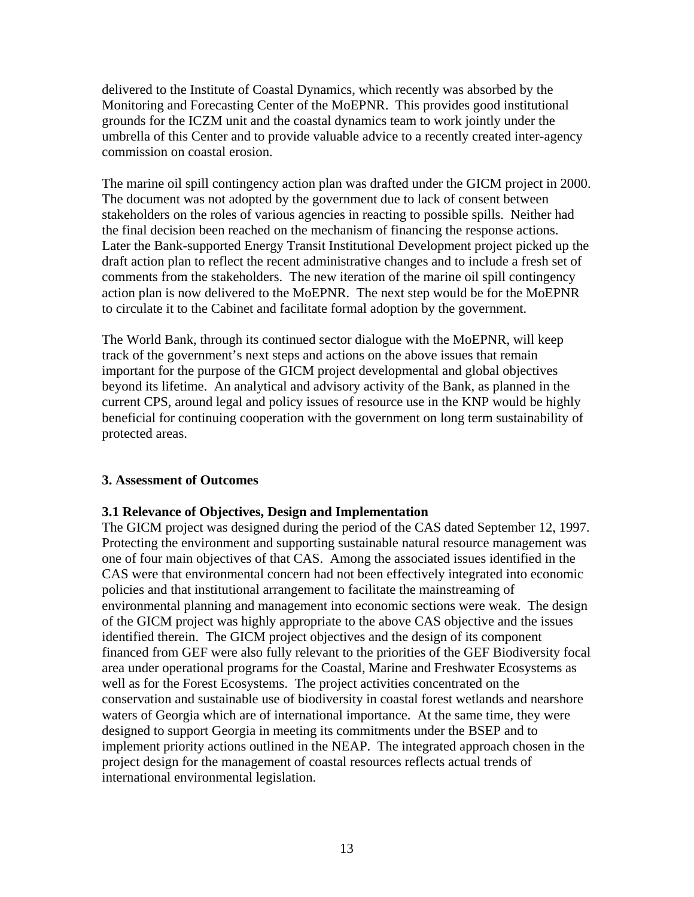delivered to the Institute of Coastal Dynamics, which recently was absorbed by the Monitoring and Forecasting Center of the MoEPNR. This provides good institutional grounds for the ICZM unit and the coastal dynamics team to work jointly under the umbrella of this Center and to provide valuable advice to a recently created inter-agency commission on coastal erosion.

The marine oil spill contingency action plan was drafted under the GICM project in 2000. The document was not adopted by the government due to lack of consent between stakeholders on the roles of various agencies in reacting to possible spills. Neither had the final decision been reached on the mechanism of financing the response actions. Later the Bank-supported Energy Transit Institutional Development project picked up the draft action plan to reflect the recent administrative changes and to include a fresh set of comments from the stakeholders. The new iteration of the marine oil spill contingency action plan is now delivered to the MoEPNR. The next step would be for the MoEPNR to circulate it to the Cabinet and facilitate formal adoption by the government.

The World Bank, through its continued sector dialogue with the MoEPNR, will keep track of the government's next steps and actions on the above issues that remain important for the purpose of the GICM project developmental and global objectives beyond its lifetime. An analytical and advisory activity of the Bank, as planned in the current CPS, around legal and policy issues of resource use in the KNP would be highly beneficial for continuing cooperation with the government on long term sustainability of protected areas.

#### **3. Assessment of Outcomes**

#### **3.1 Relevance of Objectives, Design and Implementation**

The GICM project was designed during the period of the CAS dated September 12, 1997. Protecting the environment and supporting sustainable natural resource management was one of four main objectives of that CAS. Among the associated issues identified in the CAS were that environmental concern had not been effectively integrated into economic policies and that institutional arrangement to facilitate the mainstreaming of environmental planning and management into economic sections were weak. The design of the GICM project was highly appropriate to the above CAS objective and the issues identified therein. The GICM project objectives and the design of its component financed from GEF were also fully relevant to the priorities of the GEF Biodiversity focal area under operational programs for the Coastal, Marine and Freshwater Ecosystems as well as for the Forest Ecosystems. The project activities concentrated on the conservation and sustainable use of biodiversity in coastal forest wetlands and nearshore waters of Georgia which are of international importance. At the same time, they were designed to support Georgia in meeting its commitments under the BSEP and to implement priority actions outlined in the NEAP. The integrated approach chosen in the project design for the management of coastal resources reflects actual trends of international environmental legislation.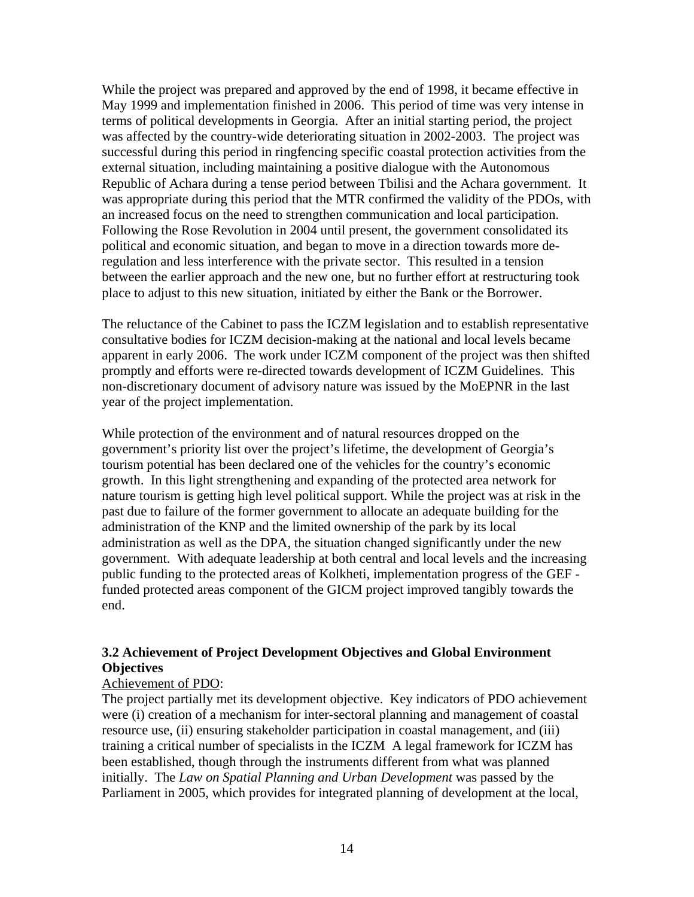While the project was prepared and approved by the end of 1998, it became effective in May 1999 and implementation finished in 2006. This period of time was very intense in terms of political developments in Georgia. After an initial starting period, the project was affected by the country-wide deteriorating situation in 2002-2003. The project was successful during this period in ringfencing specific coastal protection activities from the external situation, including maintaining a positive dialogue with the Autonomous Republic of Achara during a tense period between Tbilisi and the Achara government. It was appropriate during this period that the MTR confirmed the validity of the PDOs, with an increased focus on the need to strengthen communication and local participation. Following the Rose Revolution in 2004 until present, the government consolidated its political and economic situation, and began to move in a direction towards more deregulation and less interference with the private sector. This resulted in a tension between the earlier approach and the new one, but no further effort at restructuring took place to adjust to this new situation, initiated by either the Bank or the Borrower.

The reluctance of the Cabinet to pass the ICZM legislation and to establish representative consultative bodies for ICZM decision-making at the national and local levels became apparent in early 2006. The work under ICZM component of the project was then shifted promptly and efforts were re-directed towards development of ICZM Guidelines. This non-discretionary document of advisory nature was issued by the MoEPNR in the last year of the project implementation.

While protection of the environment and of natural resources dropped on the government's priority list over the project's lifetime, the development of Georgia's tourism potential has been declared one of the vehicles for the country's economic growth. In this light strengthening and expanding of the protected area network for nature tourism is getting high level political support. While the project was at risk in the past due to failure of the former government to allocate an adequate building for the administration of the KNP and the limited ownership of the park by its local administration as well as the DPA, the situation changed significantly under the new government. With adequate leadership at both central and local levels and the increasing public funding to the protected areas of Kolkheti, implementation progress of the GEF funded protected areas component of the GICM project improved tangibly towards the end.

## **3.2 Achievement of Project Development Objectives and Global Environment Objectives**

#### Achievement of PDO:

The project partially met its development objective. Key indicators of PDO achievement were (i) creation of a mechanism for inter-sectoral planning and management of coastal resource use, (ii) ensuring stakeholder participation in coastal management, and (iii) training a critical number of specialists in the ICZM A legal framework for ICZM has been established, though through the instruments different from what was planned initially. The *Law on Spatial Planning and Urban Development* was passed by the Parliament in 2005, which provides for integrated planning of development at the local,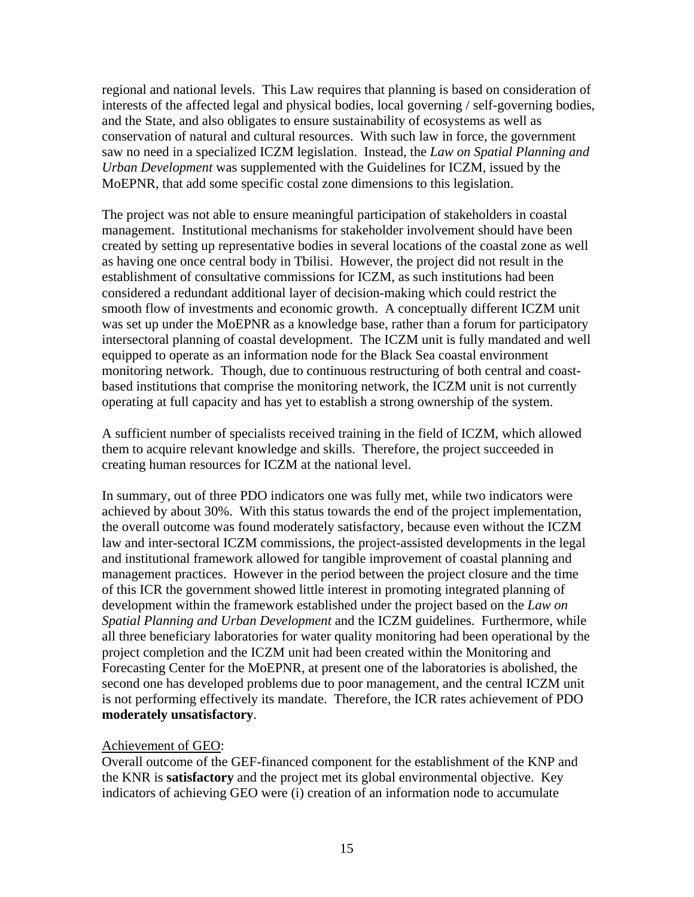regional and national levels. This Law requires that planning is based on consideration of interests of the affected legal and physical bodies, local governing / self-governing bodies, and the State, and also obligates to ensure sustainability of ecosystems as well as conservation of natural and cultural resources. With such law in force, the government saw no need in a specialized ICZM legislation. Instead, the *Law on Spatial Planning and Urban Development* was supplemented with the Guidelines for ICZM, issued by the MoEPNR, that add some specific costal zone dimensions to this legislation.

The project was not able to ensure meaningful participation of stakeholders in coastal management. Institutional mechanisms for stakeholder involvement should have been created by setting up representative bodies in several locations of the coastal zone as well as having one once central body in Tbilisi. However, the project did not result in the establishment of consultative commissions for ICZM, as such institutions had been considered a redundant additional layer of decision-making which could restrict the smooth flow of investments and economic growth. A conceptually different ICZM unit was set up under the MoEPNR as a knowledge base, rather than a forum for participatory intersectoral planning of coastal development. The ICZM unit is fully mandated and well equipped to operate as an information node for the Black Sea coastal environment monitoring network. Though, due to continuous restructuring of both central and coastbased institutions that comprise the monitoring network, the ICZM unit is not currently operating at full capacity and has yet to establish a strong ownership of the system.

A sufficient number of specialists received training in the field of ICZM, which allowed them to acquire relevant knowledge and skills. Therefore, the project succeeded in creating human resources for ICZM at the national level.

In summary, out of three PDO indicators one was fully met, while two indicators were achieved by about 30%. With this status towards the end of the project implementation, the overall outcome was found moderately satisfactory, because even without the ICZM law and inter-sectoral ICZM commissions, the project-assisted developments in the legal and institutional framework allowed for tangible improvement of coastal planning and management practices. However in the period between the project closure and the time of this ICR the government showed little interest in promoting integrated planning of development within the framework established under the project based on the *Law on Spatial Planning and Urban Development* and the ICZM guidelines. Furthermore, while all three beneficiary laboratories for water quality monitoring had been operational by the project completion and the ICZM unit had been created within the Monitoring and Forecasting Center for the MoEPNR, at present one of the laboratories is abolished, the second one has developed problems due to poor management, and the central ICZM unit is not performing effectively its mandate. Therefore, the ICR rates achievement of PDO **moderately unsatisfactory**.

## Achievement of GEO:

Overall outcome of the GEF-financed component for the establishment of the KNP and the KNR is **satisfactory** and the project met its global environmental objective. Key indicators of achieving GEO were (i) creation of an information node to accumulate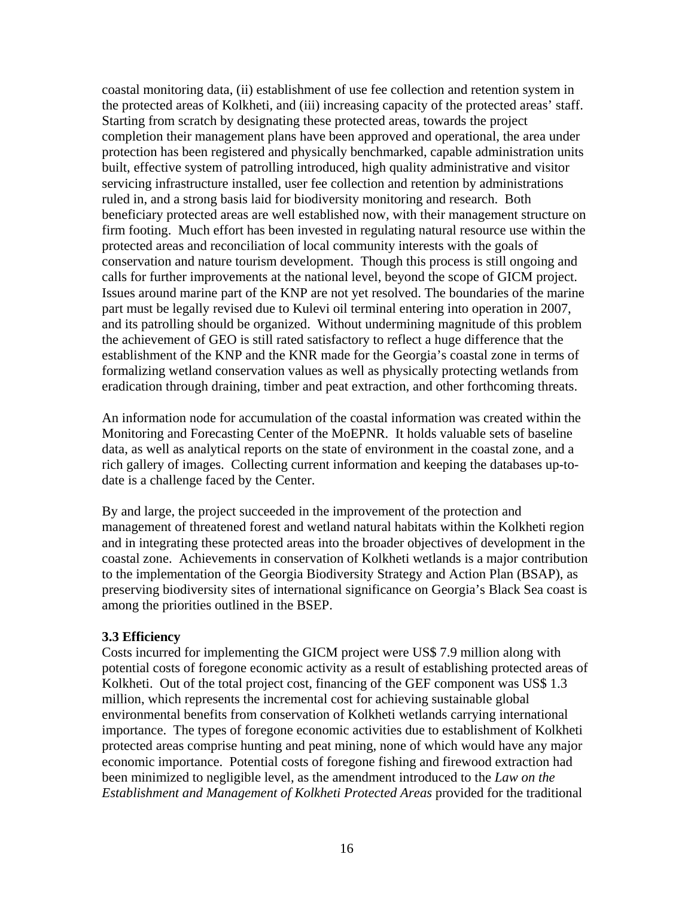coastal monitoring data, (ii) establishment of use fee collection and retention system in the protected areas of Kolkheti, and (iii) increasing capacity of the protected areas' staff. Starting from scratch by designating these protected areas, towards the project completion their management plans have been approved and operational, the area under protection has been registered and physically benchmarked, capable administration units built, effective system of patrolling introduced, high quality administrative and visitor servicing infrastructure installed, user fee collection and retention by administrations ruled in, and a strong basis laid for biodiversity monitoring and research. Both beneficiary protected areas are well established now, with their management structure on firm footing. Much effort has been invested in regulating natural resource use within the protected areas and reconciliation of local community interests with the goals of conservation and nature tourism development. Though this process is still ongoing and calls for further improvements at the national level, beyond the scope of GICM project. Issues around marine part of the KNP are not yet resolved. The boundaries of the marine part must be legally revised due to Kulevi oil terminal entering into operation in 2007, and its patrolling should be organized. Without undermining magnitude of this problem the achievement of GEO is still rated satisfactory to reflect a huge difference that the establishment of the KNP and the KNR made for the Georgia's coastal zone in terms of formalizing wetland conservation values as well as physically protecting wetlands from eradication through draining, timber and peat extraction, and other forthcoming threats.

An information node for accumulation of the coastal information was created within the Monitoring and Forecasting Center of the MoEPNR. It holds valuable sets of baseline data, as well as analytical reports on the state of environment in the coastal zone, and a rich gallery of images. Collecting current information and keeping the databases up-todate is a challenge faced by the Center.

By and large, the project succeeded in the improvement of the protection and management of threatened forest and wetland natural habitats within the Kolkheti region and in integrating these protected areas into the broader objectives of development in the coastal zone. Achievements in conservation of Kolkheti wetlands is a major contribution to the implementation of the Georgia Biodiversity Strategy and Action Plan (BSAP), as preserving biodiversity sites of international significance on Georgia's Black Sea coast is among the priorities outlined in the BSEP.

#### **3.3 Efficiency**

Costs incurred for implementing the GICM project were US\$ 7.9 million along with potential costs of foregone economic activity as a result of establishing protected areas of Kolkheti. Out of the total project cost, financing of the GEF component was US\$ 1.3 million, which represents the incremental cost for achieving sustainable global environmental benefits from conservation of Kolkheti wetlands carrying international importance. The types of foregone economic activities due to establishment of Kolkheti protected areas comprise hunting and peat mining, none of which would have any major economic importance. Potential costs of foregone fishing and firewood extraction had been minimized to negligible level, as the amendment introduced to the *Law on the Establishment and Management of Kolkheti Protected Areas* provided for the traditional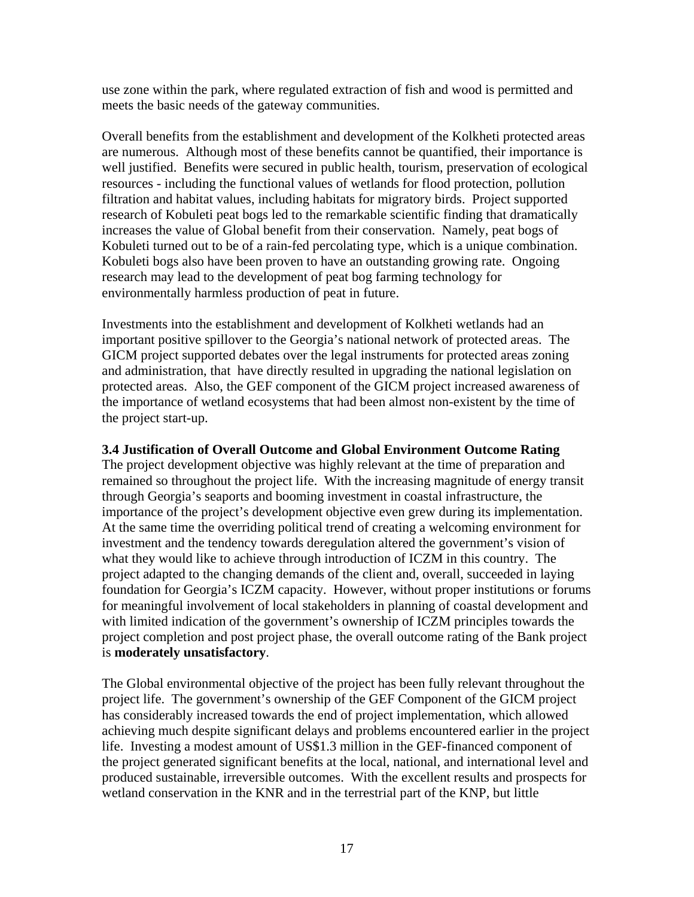use zone within the park, where regulated extraction of fish and wood is permitted and meets the basic needs of the gateway communities.

Overall benefits from the establishment and development of the Kolkheti protected areas are numerous. Although most of these benefits cannot be quantified, their importance is well justified. Benefits were secured in public health, tourism, preservation of ecological resources - including the functional values of wetlands for flood protection, pollution filtration and habitat values, including habitats for migratory birds. Project supported research of Kobuleti peat bogs led to the remarkable scientific finding that dramatically increases the value of Global benefit from their conservation. Namely, peat bogs of Kobuleti turned out to be of a rain-fed percolating type, which is a unique combination. Kobuleti bogs also have been proven to have an outstanding growing rate. Ongoing research may lead to the development of peat bog farming technology for environmentally harmless production of peat in future.

Investments into the establishment and development of Kolkheti wetlands had an important positive spillover to the Georgia's national network of protected areas. The GICM project supported debates over the legal instruments for protected areas zoning and administration, that have directly resulted in upgrading the national legislation on protected areas. Also, the GEF component of the GICM project increased awareness of the importance of wetland ecosystems that had been almost non-existent by the time of the project start-up.

#### **3.4 Justification of Overall Outcome and Global Environment Outcome Rating**

The project development objective was highly relevant at the time of preparation and remained so throughout the project life. With the increasing magnitude of energy transit through Georgia's seaports and booming investment in coastal infrastructure, the importance of the project's development objective even grew during its implementation. At the same time the overriding political trend of creating a welcoming environment for investment and the tendency towards deregulation altered the government's vision of what they would like to achieve through introduction of ICZM in this country. The project adapted to the changing demands of the client and, overall, succeeded in laying foundation for Georgia's ICZM capacity. However, without proper institutions or forums for meaningful involvement of local stakeholders in planning of coastal development and with limited indication of the government's ownership of ICZM principles towards the project completion and post project phase, the overall outcome rating of the Bank project is **moderately unsatisfactory**.

The Global environmental objective of the project has been fully relevant throughout the project life. The government's ownership of the GEF Component of the GICM project has considerably increased towards the end of project implementation, which allowed achieving much despite significant delays and problems encountered earlier in the project life. Investing a modest amount of US\$1.3 million in the GEF-financed component of the project generated significant benefits at the local, national, and international level and produced sustainable, irreversible outcomes. With the excellent results and prospects for wetland conservation in the KNR and in the terrestrial part of the KNP, but little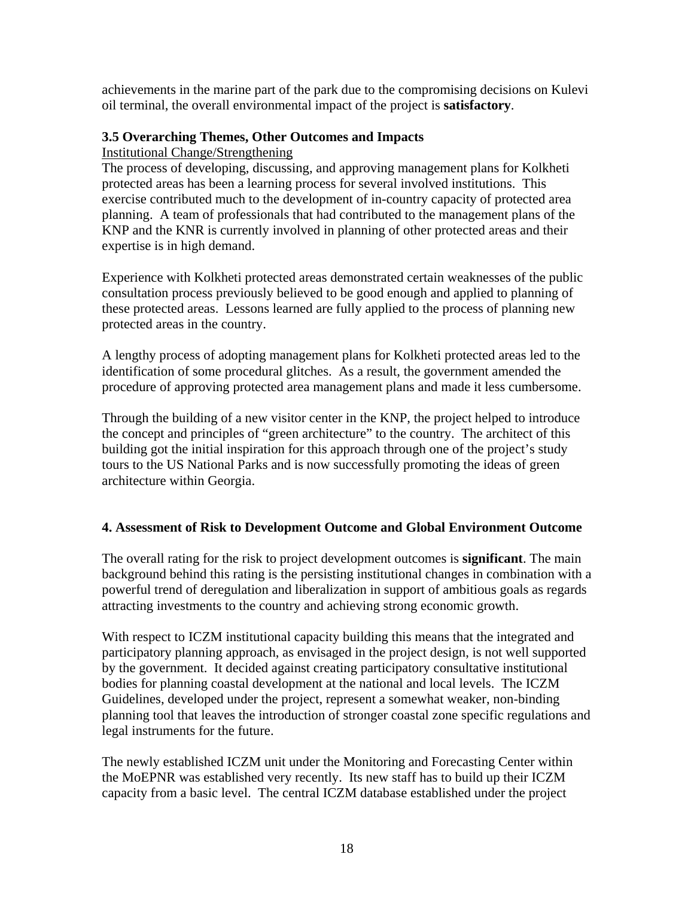achievements in the marine part of the park due to the compromising decisions on Kulevi oil terminal, the overall environmental impact of the project is **satisfactory**.

#### **3.5 Overarching Themes, Other Outcomes and Impacts**

Institutional Change/Strengthening

The process of developing, discussing, and approving management plans for Kolkheti protected areas has been a learning process for several involved institutions. This exercise contributed much to the development of in-country capacity of protected area planning. A team of professionals that had contributed to the management plans of the KNP and the KNR is currently involved in planning of other protected areas and their expertise is in high demand.

Experience with Kolkheti protected areas demonstrated certain weaknesses of the public consultation process previously believed to be good enough and applied to planning of these protected areas. Lessons learned are fully applied to the process of planning new protected areas in the country.

A lengthy process of adopting management plans for Kolkheti protected areas led to the identification of some procedural glitches. As a result, the government amended the procedure of approving protected area management plans and made it less cumbersome.

Through the building of a new visitor center in the KNP, the project helped to introduce the concept and principles of "green architecture" to the country. The architect of this building got the initial inspiration for this approach through one of the project's study tours to the US National Parks and is now successfully promoting the ideas of green architecture within Georgia.

## **4. Assessment of Risk to Development Outcome and Global Environment Outcome**

The overall rating for the risk to project development outcomes is **significant**. The main background behind this rating is the persisting institutional changes in combination with a powerful trend of deregulation and liberalization in support of ambitious goals as regards attracting investments to the country and achieving strong economic growth.

With respect to ICZM institutional capacity building this means that the integrated and participatory planning approach, as envisaged in the project design, is not well supported by the government. It decided against creating participatory consultative institutional bodies for planning coastal development at the national and local levels. The ICZM Guidelines, developed under the project, represent a somewhat weaker, non-binding planning tool that leaves the introduction of stronger coastal zone specific regulations and legal instruments for the future.

The newly established ICZM unit under the Monitoring and Forecasting Center within the MoEPNR was established very recently. Its new staff has to build up their ICZM capacity from a basic level. The central ICZM database established under the project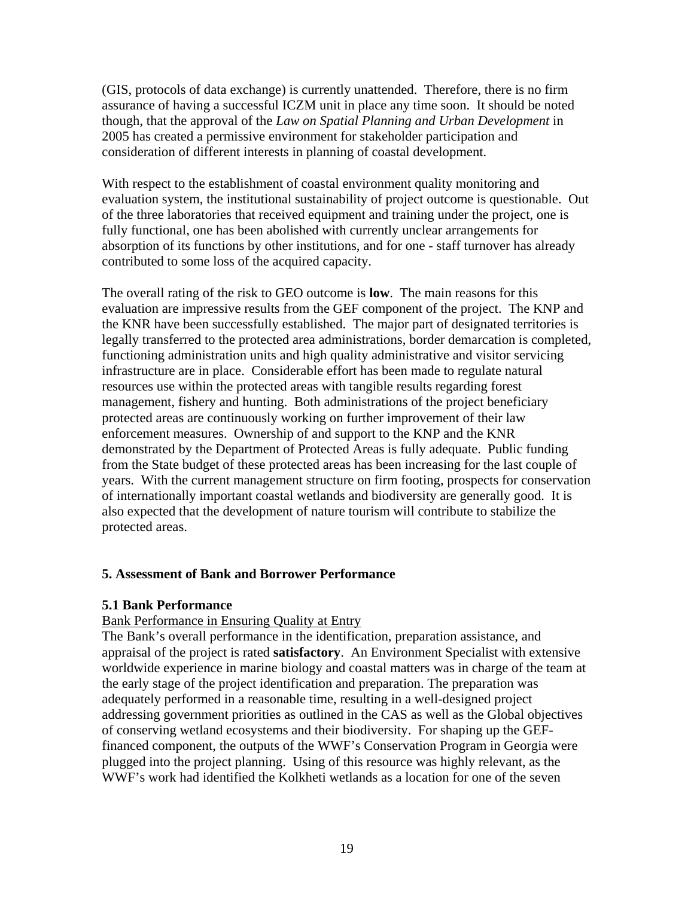(GIS, protocols of data exchange) is currently unattended. Therefore, there is no firm assurance of having a successful ICZM unit in place any time soon. It should be noted though, that the approval of the *Law on Spatial Planning and Urban Development* in 2005 has created a permissive environment for stakeholder participation and consideration of different interests in planning of coastal development.

With respect to the establishment of coastal environment quality monitoring and evaluation system, the institutional sustainability of project outcome is questionable. Out of the three laboratories that received equipment and training under the project, one is fully functional, one has been abolished with currently unclear arrangements for absorption of its functions by other institutions, and for one - staff turnover has already contributed to some loss of the acquired capacity.

The overall rating of the risk to GEO outcome is **low**. The main reasons for this evaluation are impressive results from the GEF component of the project. The KNP and the KNR have been successfully established. The major part of designated territories is legally transferred to the protected area administrations, border demarcation is completed, functioning administration units and high quality administrative and visitor servicing infrastructure are in place. Considerable effort has been made to regulate natural resources use within the protected areas with tangible results regarding forest management, fishery and hunting. Both administrations of the project beneficiary protected areas are continuously working on further improvement of their law enforcement measures. Ownership of and support to the KNP and the KNR demonstrated by the Department of Protected Areas is fully adequate. Public funding from the State budget of these protected areas has been increasing for the last couple of years. With the current management structure on firm footing, prospects for conservation of internationally important coastal wetlands and biodiversity are generally good. It is also expected that the development of nature tourism will contribute to stabilize the protected areas.

#### **5. Assessment of Bank and Borrower Performance**

#### **5.1 Bank Performance**

#### Bank Performance in Ensuring Quality at Entry

The Bank's overall performance in the identification, preparation assistance, and appraisal of the project is rated **satisfactory**. An Environment Specialist with extensive worldwide experience in marine biology and coastal matters was in charge of the team at the early stage of the project identification and preparation. The preparation was adequately performed in a reasonable time, resulting in a well-designed project addressing government priorities as outlined in the CAS as well as the Global objectives of conserving wetland ecosystems and their biodiversity. For shaping up the GEFfinanced component, the outputs of the WWF's Conservation Program in Georgia were plugged into the project planning. Using of this resource was highly relevant, as the WWF's work had identified the Kolkheti wetlands as a location for one of the seven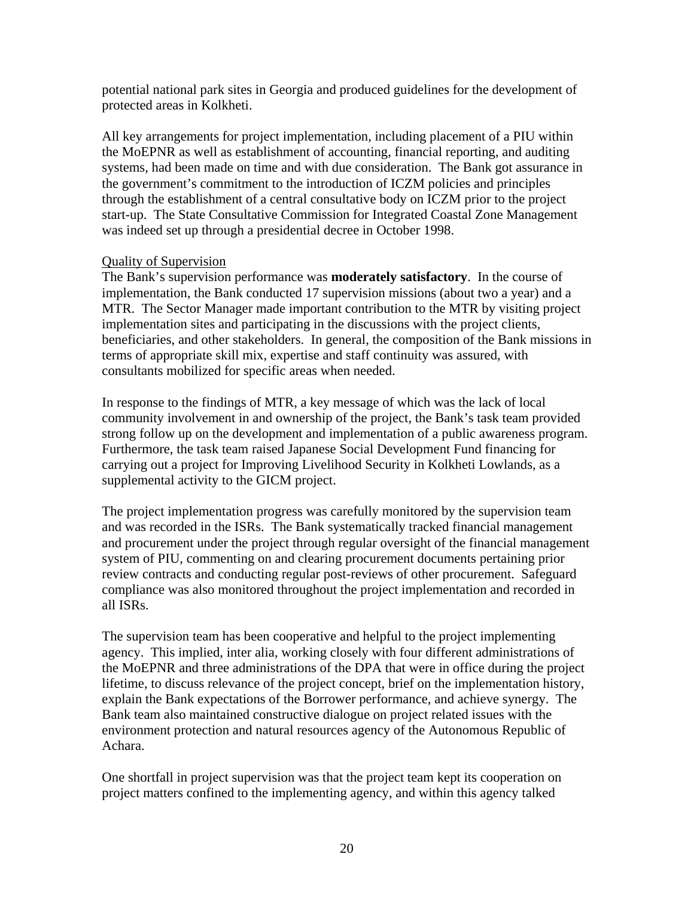potential national park sites in Georgia and produced guidelines for the development of protected areas in Kolkheti.

All key arrangements for project implementation, including placement of a PIU within the MoEPNR as well as establishment of accounting, financial reporting, and auditing systems, had been made on time and with due consideration. The Bank got assurance in the government's commitment to the introduction of ICZM policies and principles through the establishment of a central consultative body on ICZM prior to the project start-up. The State Consultative Commission for Integrated Coastal Zone Management was indeed set up through a presidential decree in October 1998.

#### Quality of Supervision

The Bank's supervision performance was **moderately satisfactory**. In the course of implementation, the Bank conducted 17 supervision missions (about two a year) and a MTR. The Sector Manager made important contribution to the MTR by visiting project implementation sites and participating in the discussions with the project clients, beneficiaries, and other stakeholders. In general, the composition of the Bank missions in terms of appropriate skill mix, expertise and staff continuity was assured, with consultants mobilized for specific areas when needed.

In response to the findings of MTR, a key message of which was the lack of local community involvement in and ownership of the project, the Bank's task team provided strong follow up on the development and implementation of a public awareness program. Furthermore, the task team raised Japanese Social Development Fund financing for carrying out a project for Improving Livelihood Security in Kolkheti Lowlands, as a supplemental activity to the GICM project.

The project implementation progress was carefully monitored by the supervision team and was recorded in the ISRs. The Bank systematically tracked financial management and procurement under the project through regular oversight of the financial management system of PIU, commenting on and clearing procurement documents pertaining prior review contracts and conducting regular post-reviews of other procurement. Safeguard compliance was also monitored throughout the project implementation and recorded in all ISRs.

The supervision team has been cooperative and helpful to the project implementing agency. This implied, inter alia, working closely with four different administrations of the MoEPNR and three administrations of the DPA that were in office during the project lifetime, to discuss relevance of the project concept, brief on the implementation history, explain the Bank expectations of the Borrower performance, and achieve synergy. The Bank team also maintained constructive dialogue on project related issues with the environment protection and natural resources agency of the Autonomous Republic of Achara.

One shortfall in project supervision was that the project team kept its cooperation on project matters confined to the implementing agency, and within this agency talked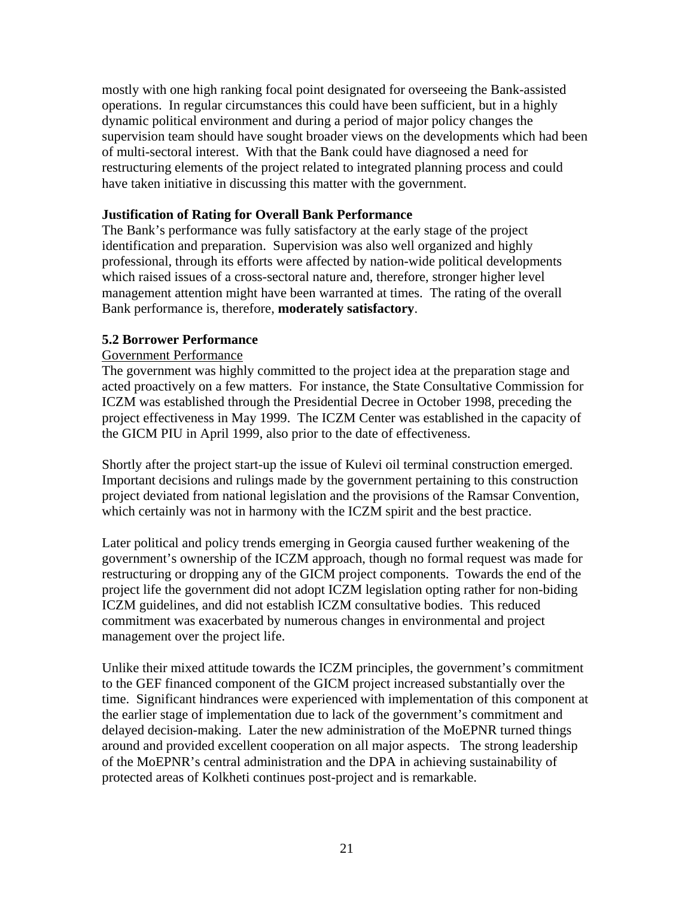mostly with one high ranking focal point designated for overseeing the Bank-assisted operations. In regular circumstances this could have been sufficient, but in a highly dynamic political environment and during a period of major policy changes the supervision team should have sought broader views on the developments which had been of multi-sectoral interest. With that the Bank could have diagnosed a need for restructuring elements of the project related to integrated planning process and could have taken initiative in discussing this matter with the government.

#### **Justification of Rating for Overall Bank Performance**

The Bank's performance was fully satisfactory at the early stage of the project identification and preparation. Supervision was also well organized and highly professional, through its efforts were affected by nation-wide political developments which raised issues of a cross-sectoral nature and, therefore, stronger higher level management attention might have been warranted at times. The rating of the overall Bank performance is, therefore, **moderately satisfactory**.

## **5.2 Borrower Performance**

## Government Performance

The government was highly committed to the project idea at the preparation stage and acted proactively on a few matters. For instance, the State Consultative Commission for ICZM was established through the Presidential Decree in October 1998, preceding the project effectiveness in May 1999. The ICZM Center was established in the capacity of the GICM PIU in April 1999, also prior to the date of effectiveness.

Shortly after the project start-up the issue of Kulevi oil terminal construction emerged. Important decisions and rulings made by the government pertaining to this construction project deviated from national legislation and the provisions of the Ramsar Convention, which certainly was not in harmony with the ICZM spirit and the best practice.

Later political and policy trends emerging in Georgia caused further weakening of the government's ownership of the ICZM approach, though no formal request was made for restructuring or dropping any of the GICM project components. Towards the end of the project life the government did not adopt ICZM legislation opting rather for non-biding ICZM guidelines, and did not establish ICZM consultative bodies. This reduced commitment was exacerbated by numerous changes in environmental and project management over the project life.

Unlike their mixed attitude towards the ICZM principles, the government's commitment to the GEF financed component of the GICM project increased substantially over the time. Significant hindrances were experienced with implementation of this component at the earlier stage of implementation due to lack of the government's commitment and delayed decision-making. Later the new administration of the MoEPNR turned things around and provided excellent cooperation on all major aspects. The strong leadership of the MoEPNR's central administration and the DPA in achieving sustainability of protected areas of Kolkheti continues post-project and is remarkable.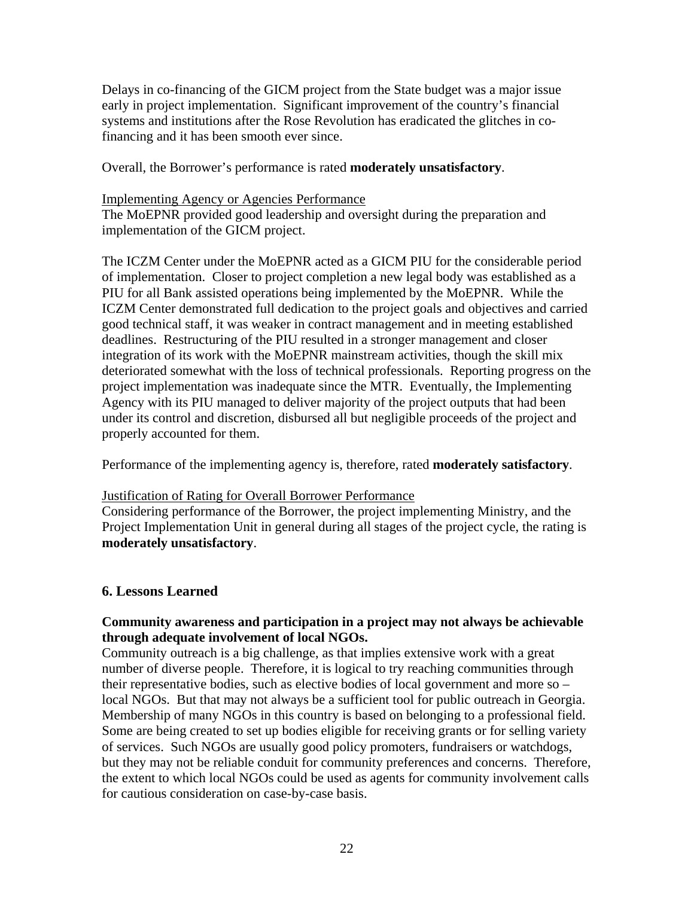Delays in co-financing of the GICM project from the State budget was a major issue early in project implementation. Significant improvement of the country's financial systems and institutions after the Rose Revolution has eradicated the glitches in cofinancing and it has been smooth ever since.

Overall, the Borrower's performance is rated **moderately unsatisfactory**.

#### Implementing Agency or Agencies Performance

The MoEPNR provided good leadership and oversight during the preparation and implementation of the GICM project.

The ICZM Center under the MoEPNR acted as a GICM PIU for the considerable period of implementation. Closer to project completion a new legal body was established as a PIU for all Bank assisted operations being implemented by the MoEPNR. While the ICZM Center demonstrated full dedication to the project goals and objectives and carried good technical staff, it was weaker in contract management and in meeting established deadlines. Restructuring of the PIU resulted in a stronger management and closer integration of its work with the MoEPNR mainstream activities, though the skill mix deteriorated somewhat with the loss of technical professionals. Reporting progress on the project implementation was inadequate since the MTR. Eventually, the Implementing Agency with its PIU managed to deliver majority of the project outputs that had been under its control and discretion, disbursed all but negligible proceeds of the project and properly accounted for them.

Performance of the implementing agency is, therefore, rated **moderately satisfactory**.

#### Justification of Rating for Overall Borrower Performance

Considering performance of the Borrower, the project implementing Ministry, and the Project Implementation Unit in general during all stages of the project cycle, the rating is **moderately unsatisfactory**.

#### **6. Lessons Learned**

#### **Community awareness and participation in a project may not always be achievable through adequate involvement of local NGOs.**

Community outreach is a big challenge, as that implies extensive work with a great number of diverse people. Therefore, it is logical to try reaching communities through their representative bodies, such as elective bodies of local government and more so – local NGOs. But that may not always be a sufficient tool for public outreach in Georgia. Membership of many NGOs in this country is based on belonging to a professional field. Some are being created to set up bodies eligible for receiving grants or for selling variety of services. Such NGOs are usually good policy promoters, fundraisers or watchdogs, but they may not be reliable conduit for community preferences and concerns. Therefore, the extent to which local NGOs could be used as agents for community involvement calls for cautious consideration on case-by-case basis.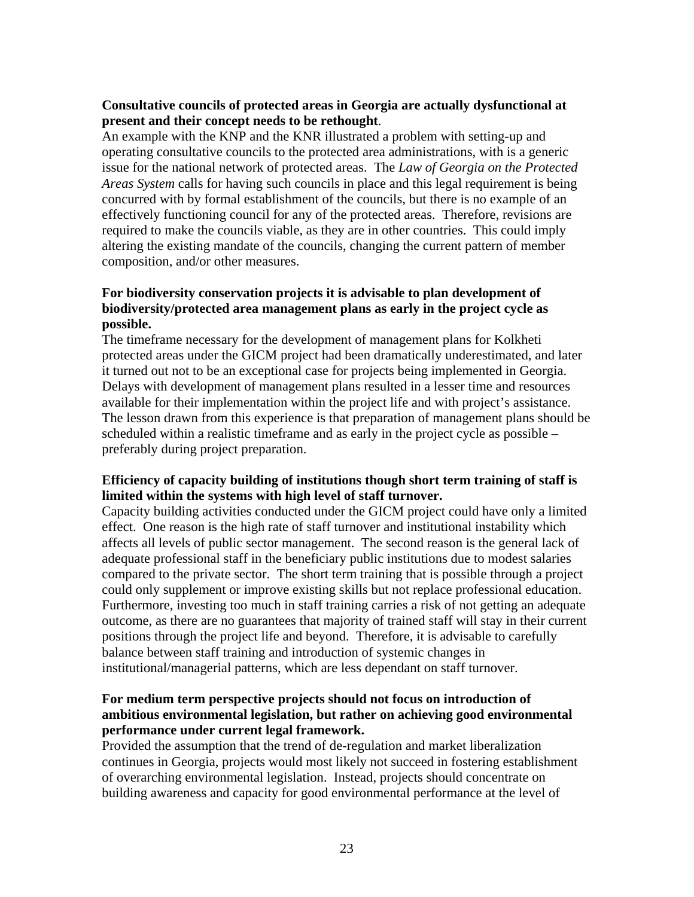#### **Consultative councils of protected areas in Georgia are actually dysfunctional at present and their concept needs to be rethought**.

An example with the KNP and the KNR illustrated a problem with setting-up and operating consultative councils to the protected area administrations, with is a generic issue for the national network of protected areas. The *Law of Georgia on the Protected Areas System* calls for having such councils in place and this legal requirement is being concurred with by formal establishment of the councils, but there is no example of an effectively functioning council for any of the protected areas. Therefore, revisions are required to make the councils viable, as they are in other countries. This could imply altering the existing mandate of the councils, changing the current pattern of member composition, and/or other measures.

#### **For biodiversity conservation projects it is advisable to plan development of biodiversity/protected area management plans as early in the project cycle as possible.**

The timeframe necessary for the development of management plans for Kolkheti protected areas under the GICM project had been dramatically underestimated, and later it turned out not to be an exceptional case for projects being implemented in Georgia. Delays with development of management plans resulted in a lesser time and resources available for their implementation within the project life and with project's assistance. The lesson drawn from this experience is that preparation of management plans should be scheduled within a realistic timeframe and as early in the project cycle as possible – preferably during project preparation.

#### **Efficiency of capacity building of institutions though short term training of staff is limited within the systems with high level of staff turnover.**

Capacity building activities conducted under the GICM project could have only a limited effect. One reason is the high rate of staff turnover and institutional instability which affects all levels of public sector management. The second reason is the general lack of adequate professional staff in the beneficiary public institutions due to modest salaries compared to the private sector. The short term training that is possible through a project could only supplement or improve existing skills but not replace professional education. Furthermore, investing too much in staff training carries a risk of not getting an adequate outcome, as there are no guarantees that majority of trained staff will stay in their current positions through the project life and beyond. Therefore, it is advisable to carefully balance between staff training and introduction of systemic changes in institutional/managerial patterns, which are less dependant on staff turnover.

#### **For medium term perspective projects should not focus on introduction of ambitious environmental legislation, but rather on achieving good environmental performance under current legal framework.**

Provided the assumption that the trend of de-regulation and market liberalization continues in Georgia, projects would most likely not succeed in fostering establishment of overarching environmental legislation. Instead, projects should concentrate on building awareness and capacity for good environmental performance at the level of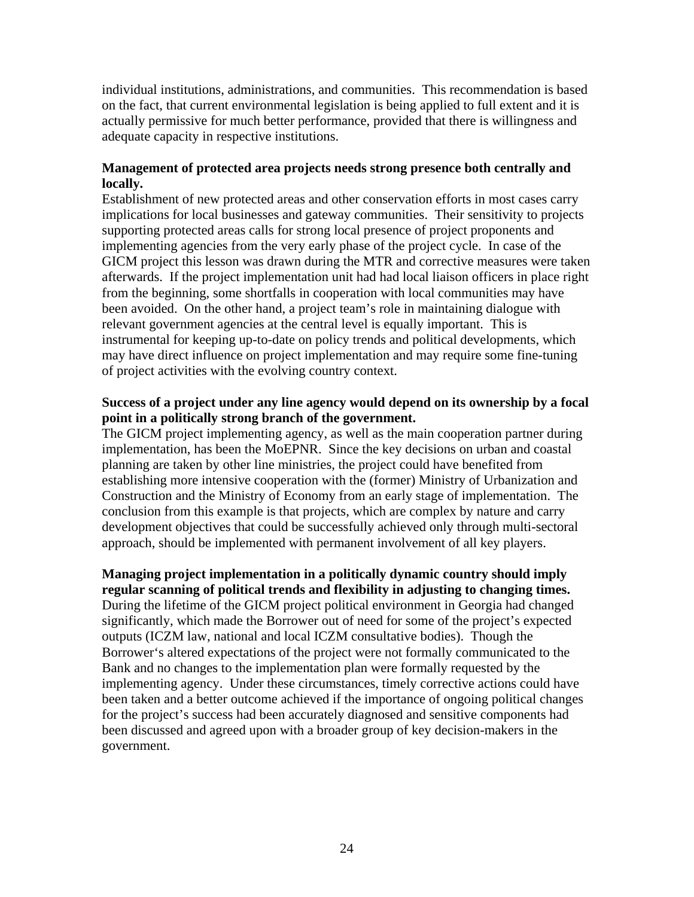individual institutions, administrations, and communities. This recommendation is based on the fact, that current environmental legislation is being applied to full extent and it is actually permissive for much better performance, provided that there is willingness and adequate capacity in respective institutions.

#### **Management of protected area projects needs strong presence both centrally and locally.**

Establishment of new protected areas and other conservation efforts in most cases carry implications for local businesses and gateway communities. Their sensitivity to projects supporting protected areas calls for strong local presence of project proponents and implementing agencies from the very early phase of the project cycle. In case of the GICM project this lesson was drawn during the MTR and corrective measures were taken afterwards. If the project implementation unit had had local liaison officers in place right from the beginning, some shortfalls in cooperation with local communities may have been avoided. On the other hand, a project team's role in maintaining dialogue with relevant government agencies at the central level is equally important. This is instrumental for keeping up-to-date on policy trends and political developments, which may have direct influence on project implementation and may require some fine-tuning of project activities with the evolving country context.

#### **Success of a project under any line agency would depend on its ownership by a focal point in a politically strong branch of the government.**

The GICM project implementing agency, as well as the main cooperation partner during implementation, has been the MoEPNR. Since the key decisions on urban and coastal planning are taken by other line ministries, the project could have benefited from establishing more intensive cooperation with the (former) Ministry of Urbanization and Construction and the Ministry of Economy from an early stage of implementation. The conclusion from this example is that projects, which are complex by nature and carry development objectives that could be successfully achieved only through multi-sectoral approach, should be implemented with permanent involvement of all key players.

#### **Managing project implementation in a politically dynamic country should imply regular scanning of political trends and flexibility in adjusting to changing times.**

During the lifetime of the GICM project political environment in Georgia had changed significantly, which made the Borrower out of need for some of the project's expected outputs (ICZM law, national and local ICZM consultative bodies). Though the Borrower's altered expectations of the project were not formally communicated to the Bank and no changes to the implementation plan were formally requested by the implementing agency. Under these circumstances, timely corrective actions could have been taken and a better outcome achieved if the importance of ongoing political changes for the project's success had been accurately diagnosed and sensitive components had been discussed and agreed upon with a broader group of key decision-makers in the government.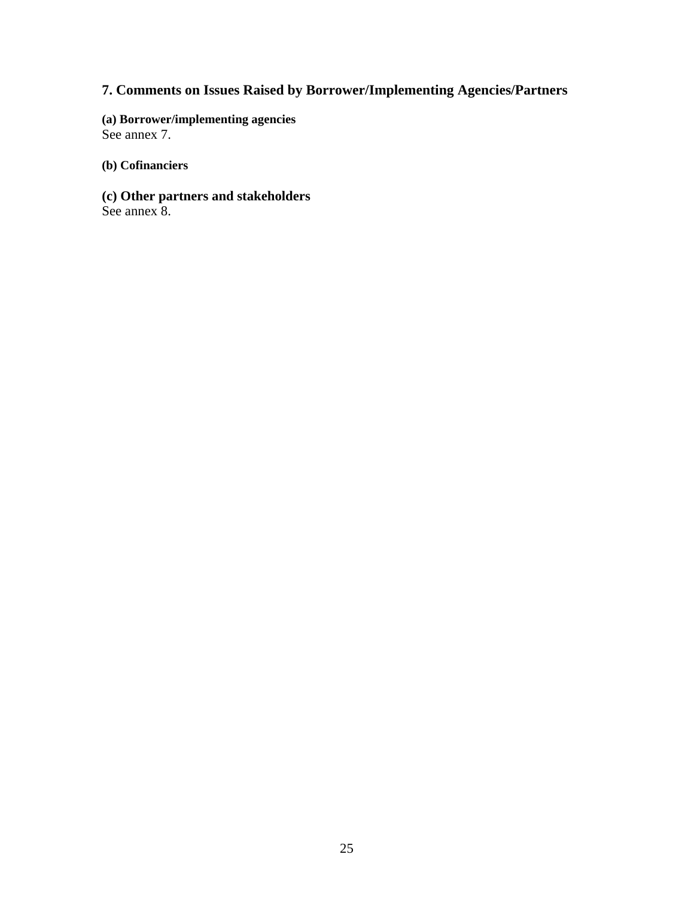# **7. Comments on Issues Raised by Borrower/Implementing Agencies/Partners**

**(a) Borrower/implementing agencies** See annex 7.

**(b) Cofinanciers**

**(c) Other partners and stakeholders** See annex 8.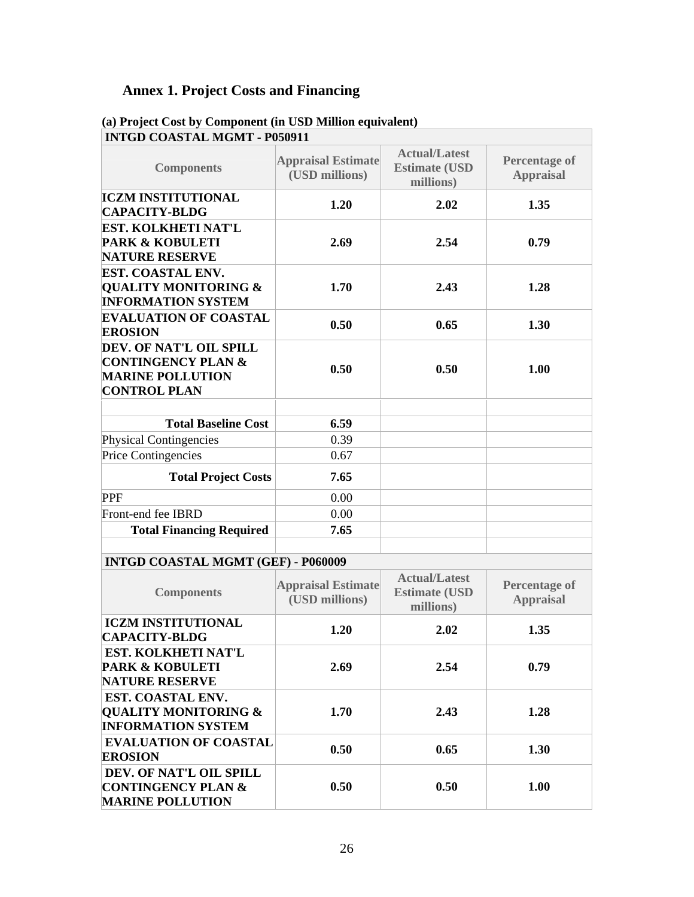# **Annex 1. Project Costs and Financing**

| <b>INTGD COASTAL MGMT - P050911</b>         |                                                            |                                          |
|---------------------------------------------|------------------------------------------------------------|------------------------------------------|
| <b>Appraisal Estimate</b><br>(USD millions) | <b>Actual/Latest</b><br><b>Estimate (USD)</b><br>millions) | <b>Percentage of</b><br><b>Appraisal</b> |
| 1.20                                        | 2.02                                                       | 1.35                                     |
| 2.69                                        | 2.54                                                       | 0.79                                     |
| 1.70                                        | 2.43                                                       | 1.28                                     |
| 0.50                                        | 0.65                                                       | 1.30                                     |
| 0.50                                        | 0.50                                                       | 1.00                                     |
| 6.59                                        |                                                            |                                          |
| 0.39                                        |                                                            |                                          |
| 0.67                                        |                                                            |                                          |
| <b>Total Project Costs</b><br>7.65          |                                                            |                                          |
| 0.00                                        |                                                            |                                          |
| 0.00                                        |                                                            |                                          |
| 7.65                                        |                                                            |                                          |
|                                             |                                                            |                                          |

# **(a) Project Cost by Component (in USD Million equivalent)**

#### **INTGD COASTAL MGMT (GEF) - P060009**

| <b>Components</b>                                                                        | <b>Appraisal Estimate</b><br>(USD millions) | <b>Actual/Latest</b><br><b>Estimate (USD)</b><br>millions) | <b>Percentage of</b><br><b>Appraisal</b> |
|------------------------------------------------------------------------------------------|---------------------------------------------|------------------------------------------------------------|------------------------------------------|
| <b>ICZM INSTITUTIONAL</b><br><b>CAPACITY-BLDG</b>                                        | 1.20                                        | 2.02                                                       | 1.35                                     |
| EST. KOLKHETI NAT'L<br><b>PARK &amp; KOBULETI</b><br><b>NATURE RESERVE</b>               | 2.69                                        | 2.54                                                       | 0.79                                     |
| <b>EST. COASTAL ENV.</b><br><b>QUALITY MONITORING &amp;</b><br><b>INFORMATION SYSTEM</b> | 1.70                                        | 2.43                                                       | 1.28                                     |
| <b>EVALUATION OF COASTAL</b><br><b>EROSION</b>                                           | 0.50                                        | 0.65                                                       | 1.30                                     |
| DEV. OF NAT'L OIL SPILL<br><b>CONTINGENCY PLAN &amp;</b><br><b>MARINE POLLUTION</b>      | 0.50                                        | 0.50                                                       | 1.00                                     |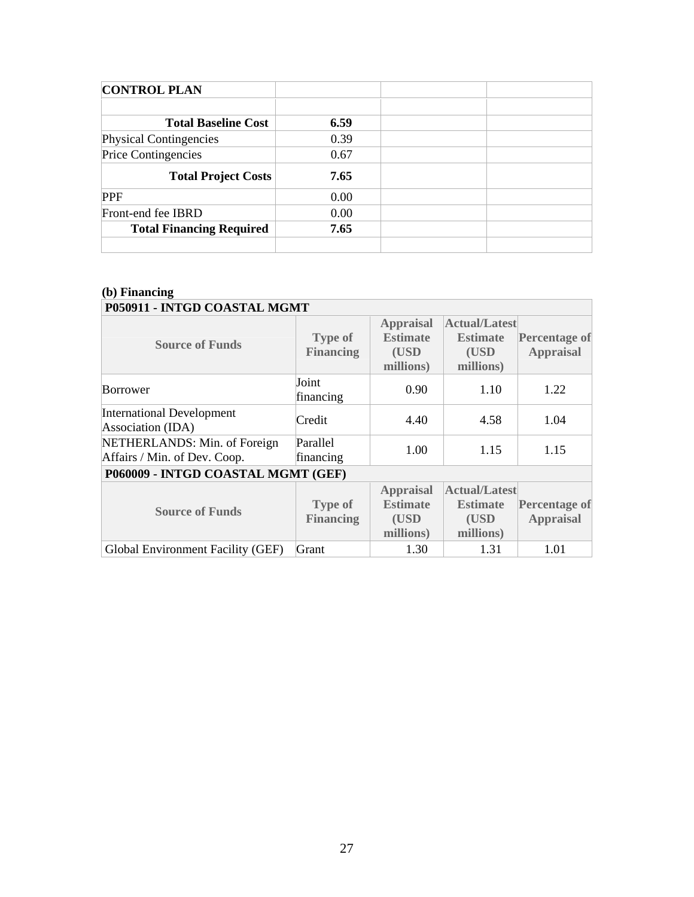| <b>CONTROL PLAN</b>             |      |  |
|---------------------------------|------|--|
|                                 |      |  |
| <b>Total Baseline Cost</b>      | 6.59 |  |
| Physical Contingencies          | 0.39 |  |
| Price Contingencies             | 0.67 |  |
| <b>Total Project Costs</b>      | 7.65 |  |
| <b>PPF</b>                      | 0.00 |  |
| Front-end fee IBRD              | 0.00 |  |
| <b>Total Financing Required</b> | 7.65 |  |
|                                 |      |  |

#### **(b) Financing P050911 - INTGD COASTAL MGMT**

| <b>Source of Funds</b>                                       | <b>Type of</b><br><b>Financing</b> | <b>Appraisal</b><br><b>Estimate</b><br>(USD<br>millions) | <b>Actual/Latest</b><br><b>Estimate</b><br>(USD<br>millions) | <b>Percentage of</b><br><b>Appraisal</b> |
|--------------------------------------------------------------|------------------------------------|----------------------------------------------------------|--------------------------------------------------------------|------------------------------------------|
| <b>Borrower</b>                                              | Joint<br>financing                 | 0.90                                                     | 1.10                                                         | 1.22                                     |
| <b>International Development</b><br>Association (IDA)        | Credit                             | 4.40                                                     | 4.58                                                         | 1.04                                     |
| NETHERLANDS: Min. of Foreign<br>Affairs / Min. of Dev. Coop. | Parallel<br>financing              | 1.00                                                     | 1.15                                                         | 1.15                                     |
| P060009 - INTGD COASTAL MGMT (GEF)                           |                                    |                                                          |                                                              |                                          |
| <b>Source of Funds</b>                                       | <b>Type of</b><br><b>Financing</b> | <b>Appraisal</b><br><b>Estimate</b><br>(USD<br>millions) | <b>Actual/Latest</b><br><b>Estimate</b><br>(USD<br>millions) | <b>Percentage of</b><br><b>Appraisal</b> |
| Global Environment Facility (GEF)                            | Grant                              | 1.30                                                     | 1.31                                                         | 1.01                                     |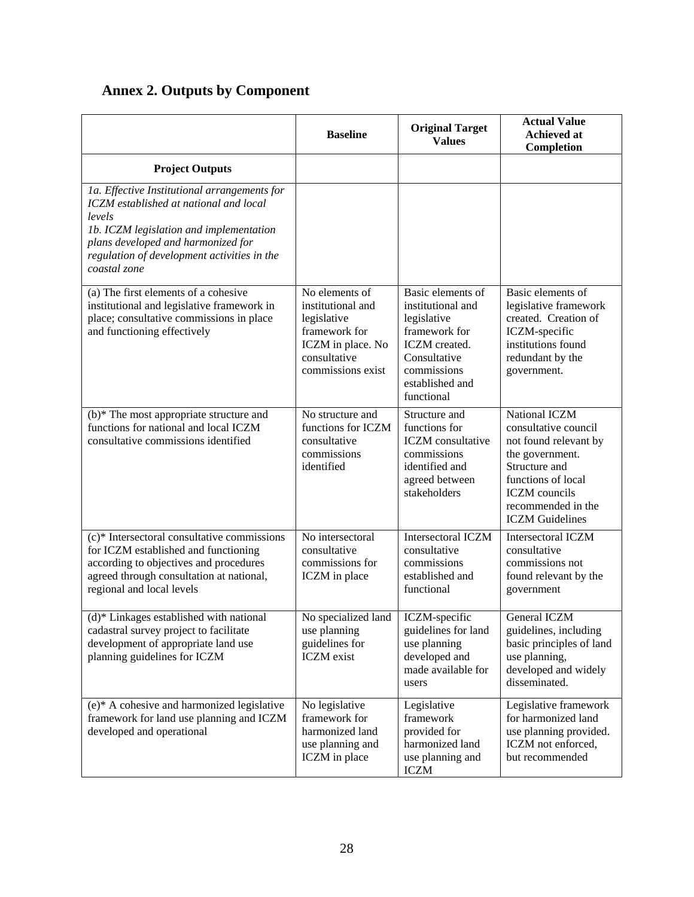|  |  | <b>Annex 2. Outputs by Component</b> |
|--|--|--------------------------------------|
|--|--|--------------------------------------|

|                                                                                                                                                                                                                                                  | <b>Baseline</b>                                                                                                               | <b>Original Target</b><br><b>Values</b>                                                                                                                        | <b>Actual Value</b><br><b>Achieved at</b><br>Completion                                                                                                                                          |
|--------------------------------------------------------------------------------------------------------------------------------------------------------------------------------------------------------------------------------------------------|-------------------------------------------------------------------------------------------------------------------------------|----------------------------------------------------------------------------------------------------------------------------------------------------------------|--------------------------------------------------------------------------------------------------------------------------------------------------------------------------------------------------|
| <b>Project Outputs</b>                                                                                                                                                                                                                           |                                                                                                                               |                                                                                                                                                                |                                                                                                                                                                                                  |
| 1a. Effective Institutional arrangements for<br>ICZM established at national and local<br>levels<br>1b. ICZM legislation and implementation<br>plans developed and harmonized for<br>regulation of development activities in the<br>coastal zone |                                                                                                                               |                                                                                                                                                                |                                                                                                                                                                                                  |
| (a) The first elements of a cohesive<br>institutional and legislative framework in<br>place; consultative commissions in place<br>and functioning effectively                                                                                    | No elements of<br>institutional and<br>legislative<br>framework for<br>ICZM in place. No<br>consultative<br>commissions exist | Basic elements of<br>institutional and<br>legislative<br>framework for<br><b>ICZM</b> created.<br>Consultative<br>commissions<br>established and<br>functional | Basic elements of<br>legislative framework<br>created. Creation of<br>ICZM-specific<br>institutions found<br>redundant by the<br>government.                                                     |
| $(b)$ <sup>*</sup> The most appropriate structure and<br>functions for national and local ICZM<br>consultative commissions identified                                                                                                            | No structure and<br>functions for ICZM<br>consultative<br>commissions<br>identified                                           | Structure and<br>functions for<br><b>ICZM</b> consultative<br>commissions<br>identified and<br>agreed between<br>stakeholders                                  | National ICZM<br>consultative council<br>not found relevant by<br>the government.<br>Structure and<br>functions of local<br><b>ICZM</b> councils<br>recommended in the<br><b>ICZM</b> Guidelines |
| (c)* Intersectoral consultative commissions<br>for ICZM established and functioning<br>according to objectives and procedures<br>agreed through consultation at national,<br>regional and local levels                                           | No intersectoral<br>consultative<br>commissions for<br>ICZM in place                                                          | <b>Intersectoral ICZM</b><br>consultative<br>commissions<br>established and<br>functional                                                                      | Intersectoral ICZM<br>consultative<br>commissions not<br>found relevant by the<br>government                                                                                                     |
| (d)* Linkages established with national<br>cadastral survey project to facilitate<br>development of appropriate land use<br>planning guidelines for ICZM                                                                                         | No specialized land   ICZM-specific<br>use planning<br>guidelines for<br><b>ICZM</b> exist                                    | guidelines for land<br>use planning<br>developed and<br>made available for<br>users                                                                            | General ICZM<br>guidelines, including<br>basic principles of land<br>use planning,<br>developed and widely<br>disseminated.                                                                      |
| (e)* A cohesive and harmonized legislative<br>framework for land use planning and ICZM<br>developed and operational                                                                                                                              | No legislative<br>framework for<br>harmonized land<br>use planning and<br>ICZM in place                                       | Legislative<br>framework<br>provided for<br>harmonized land<br>use planning and<br><b>ICZM</b>                                                                 | Legislative framework<br>for harmonized land<br>use planning provided.<br>ICZM not enforced,<br>but recommended                                                                                  |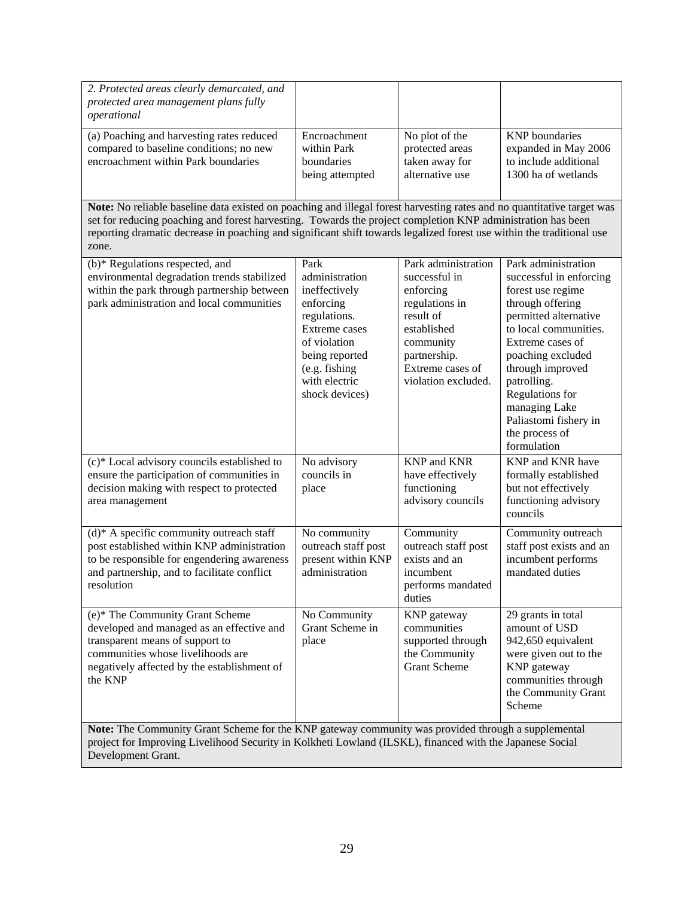| 2. Protected areas clearly demarcated, and<br>protected area management plans fully<br>operational                                                                                                                                                                                                                                                                      |                                                                                                                                                                             |                                                                                                                                                                         |                                                                                                                                                                                                                                                                                                                     |
|-------------------------------------------------------------------------------------------------------------------------------------------------------------------------------------------------------------------------------------------------------------------------------------------------------------------------------------------------------------------------|-----------------------------------------------------------------------------------------------------------------------------------------------------------------------------|-------------------------------------------------------------------------------------------------------------------------------------------------------------------------|---------------------------------------------------------------------------------------------------------------------------------------------------------------------------------------------------------------------------------------------------------------------------------------------------------------------|
| (a) Poaching and harvesting rates reduced<br>compared to baseline conditions; no new<br>encroachment within Park boundaries                                                                                                                                                                                                                                             | Encroachment<br>within Park<br>boundaries<br>being attempted                                                                                                                | No plot of the<br>protected areas<br>taken away for<br>alternative use                                                                                                  | <b>KNP</b> boundaries<br>expanded in May 2006<br>to include additional<br>1300 ha of wetlands                                                                                                                                                                                                                       |
| Note: No reliable baseline data existed on poaching and illegal forest harvesting rates and no quantitative target was<br>set for reducing poaching and forest harvesting. Towards the project completion KNP administration has been<br>reporting dramatic decrease in poaching and significant shift towards legalized forest use within the traditional use<br>zone. |                                                                                                                                                                             |                                                                                                                                                                         |                                                                                                                                                                                                                                                                                                                     |
| (b)* Regulations respected, and<br>environmental degradation trends stabilized<br>within the park through partnership between<br>park administration and local communities                                                                                                                                                                                              | Park<br>administration<br>ineffectively<br>enforcing<br>regulations.<br>Extreme cases<br>of violation<br>being reported<br>(e.g. fishing<br>with electric<br>shock devices) | Park administration<br>successful in<br>enforcing<br>regulations in<br>result of<br>established<br>community<br>partnership.<br>Extreme cases of<br>violation excluded. | Park administration<br>successful in enforcing<br>forest use regime<br>through offering<br>permitted alternative<br>to local communities.<br>Extreme cases of<br>poaching excluded<br>through improved<br>patrolling.<br>Regulations for<br>managing Lake<br>Paliastomi fishery in<br>the process of<br>formulation |
| (c)* Local advisory councils established to<br>ensure the participation of communities in<br>decision making with respect to protected<br>area management                                                                                                                                                                                                               | No advisory<br>councils in<br>place                                                                                                                                         | <b>KNP</b> and <b>KNR</b><br>have effectively<br>functioning<br>advisory councils                                                                                       | KNP and KNR have<br>formally established<br>but not effectively<br>functioning advisory<br>councils                                                                                                                                                                                                                 |
| $(d)^*$ A specific community outreach staff<br>post established within KNP administration<br>to be responsible for engendering awareness<br>and partnership, and to facilitate conflict<br>resolution                                                                                                                                                                   | No community<br>outreach staff post<br>present within KNP<br>administration                                                                                                 | Community<br>outreach staff post<br>exists and an<br>incumbent<br>performs mandated<br>duties                                                                           | Community outreach<br>staff post exists and an<br>incumbent performs<br>mandated duties                                                                                                                                                                                                                             |
| (e)* The Community Grant Scheme<br>developed and managed as an effective and<br>transparent means of support to<br>communities whose livelihoods are<br>negatively affected by the establishment of<br>the KNP                                                                                                                                                          | No Community<br>Grant Scheme in<br>place                                                                                                                                    | KNP gateway<br>communities<br>supported through<br>the Community<br><b>Grant Scheme</b>                                                                                 | 29 grants in total<br>amount of USD<br>942,650 equivalent<br>were given out to the<br>KNP gateway<br>communities through<br>the Community Grant<br>Scheme                                                                                                                                                           |
| Note: The Community Grant Scheme for the KNP gateway community was provided through a supplemental<br>project for Improving Livelihood Security in Kolkheti Lowland (ILSKL), financed with the Japanese Social<br>Development Grant.                                                                                                                                    |                                                                                                                                                                             |                                                                                                                                                                         |                                                                                                                                                                                                                                                                                                                     |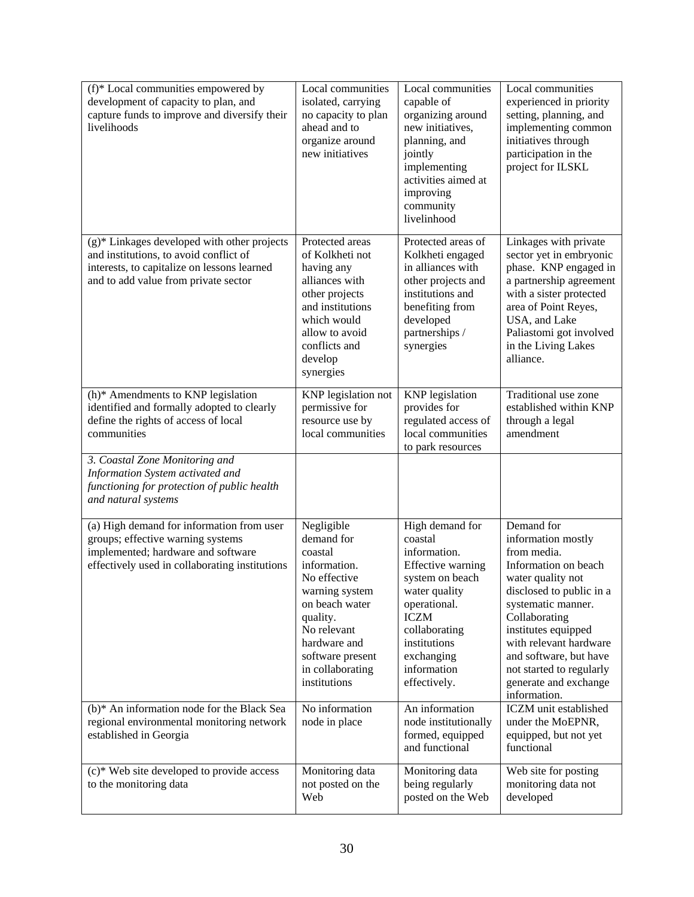| (f)* Local communities empowered by<br>development of capacity to plan, and<br>capture funds to improve and diversify their<br>livelihoods                                   | Local communities<br>isolated, carrying<br>no capacity to plan<br>ahead and to<br>organize around<br>new initiatives                                                                                       | Local communities<br>capable of<br>organizing around<br>new initiatives,<br>planning, and<br>jointly<br>implementing<br>activities aimed at<br>improving<br>community<br>livelinhood                             | Local communities<br>experienced in priority<br>setting, planning, and<br>implementing common<br>initiatives through<br>participation in the<br>project for ILSKL                                                                                                                                               |
|------------------------------------------------------------------------------------------------------------------------------------------------------------------------------|------------------------------------------------------------------------------------------------------------------------------------------------------------------------------------------------------------|------------------------------------------------------------------------------------------------------------------------------------------------------------------------------------------------------------------|-----------------------------------------------------------------------------------------------------------------------------------------------------------------------------------------------------------------------------------------------------------------------------------------------------------------|
| (g)* Linkages developed with other projects<br>and institutions, to avoid conflict of<br>interests, to capitalize on lessons learned<br>and to add value from private sector | Protected areas<br>of Kolkheti not<br>having any<br>alliances with<br>other projects<br>and institutions<br>which would<br>allow to avoid<br>conflicts and<br>develop<br>synergies                         | Protected areas of<br>Kolkheti engaged<br>in alliances with<br>other projects and<br>institutions and<br>benefiting from<br>developed<br>partnerships /<br>synergies                                             | Linkages with private<br>sector yet in embryonic<br>phase. KNP engaged in<br>a partnership agreement<br>with a sister protected<br>area of Point Reyes,<br>USA, and Lake<br>Paliastomi got involved<br>in the Living Lakes<br>alliance.                                                                         |
| $(h)$ <sup>*</sup> Amendments to KNP legislation<br>identified and formally adopted to clearly<br>define the rights of access of local<br>communities                        | KNP legislation not<br>permissive for<br>resource use by<br>local communities                                                                                                                              | <b>KNP</b> legislation<br>provides for<br>regulated access of<br>local communities<br>to park resources                                                                                                          | Traditional use zone<br>established within KNP<br>through a legal<br>amendment                                                                                                                                                                                                                                  |
| 3. Coastal Zone Monitoring and<br>Information System activated and<br>functioning for protection of public health<br>and natural systems                                     |                                                                                                                                                                                                            |                                                                                                                                                                                                                  |                                                                                                                                                                                                                                                                                                                 |
| (a) High demand for information from user<br>groups; effective warning systems<br>implemented; hardware and software<br>effectively used in collaborating institutions       | Negligible<br>demand for<br>coastal<br>information.<br>No effective<br>warning system<br>on beach water<br>quality.<br>No relevant<br>hardware and<br>software present<br>in collaborating<br>institutions | High demand for<br>coastal<br>information.<br>Effective warning<br>system on beach<br>water quality<br>operational.<br><b>ICZM</b><br>collaborating<br>institutions<br>exchanging<br>information<br>effectively. | Demand for<br>information mostly<br>from media.<br>Information on beach<br>water quality not<br>disclosed to public in a<br>systematic manner.<br>Collaborating<br>institutes equipped<br>with relevant hardware<br>and software, but have<br>not started to regularly<br>generate and exchange<br>information. |
| (b)* An information node for the Black Sea<br>regional environmental monitoring network<br>established in Georgia                                                            | No information<br>node in place                                                                                                                                                                            | An information<br>node institutionally<br>formed, equipped<br>and functional                                                                                                                                     | ICZM unit established<br>under the MoEPNR,<br>equipped, but not yet<br>functional                                                                                                                                                                                                                               |
| (c)* Web site developed to provide access<br>to the monitoring data                                                                                                          | Monitoring data<br>not posted on the<br>Web                                                                                                                                                                | Monitoring data<br>being regularly<br>posted on the Web                                                                                                                                                          | Web site for posting<br>monitoring data not<br>developed                                                                                                                                                                                                                                                        |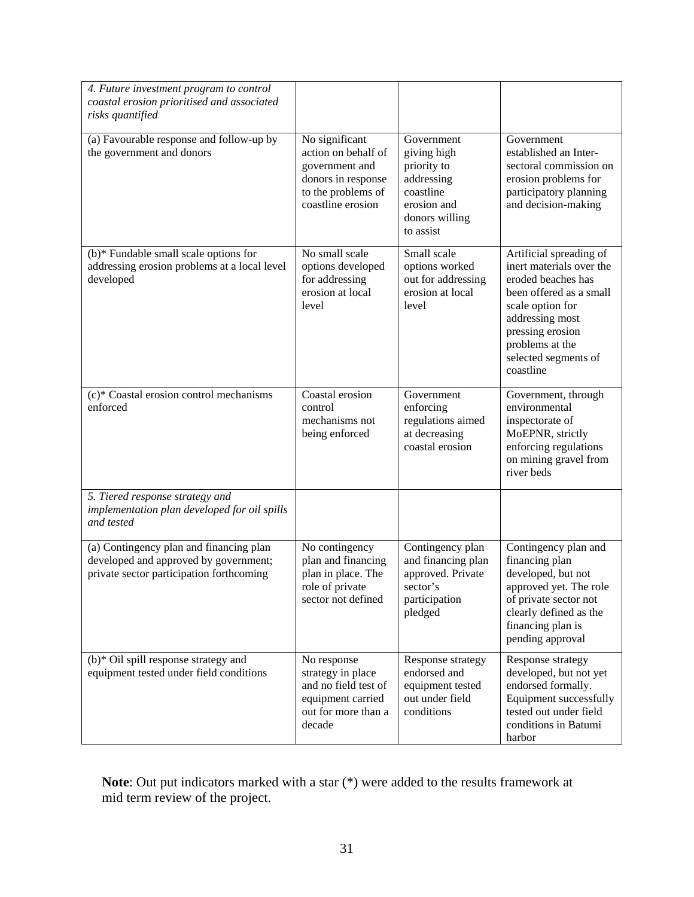| 4. Future investment program to control<br>coastal erosion prioritised and associated<br>risks quantified                    |                                                                                                                          |                                                                                                                   |                                                                                                                                                                                                                         |
|------------------------------------------------------------------------------------------------------------------------------|--------------------------------------------------------------------------------------------------------------------------|-------------------------------------------------------------------------------------------------------------------|-------------------------------------------------------------------------------------------------------------------------------------------------------------------------------------------------------------------------|
| (a) Favourable response and follow-up by<br>the government and donors                                                        | No significant<br>action on behalf of<br>government and<br>donors in response<br>to the problems of<br>coastline erosion | Government<br>giving high<br>priority to<br>addressing<br>coastline<br>erosion and<br>donors willing<br>to assist | Government<br>established an Inter-<br>sectoral commission on<br>erosion problems for<br>participatory planning<br>and decision-making                                                                                  |
| (b)* Fundable small scale options for<br>addressing erosion problems at a local level<br>developed                           | No small scale<br>options developed<br>for addressing<br>erosion at local<br>level                                       | Small scale<br>options worked<br>out for addressing<br>erosion at local<br>level                                  | Artificial spreading of<br>inert materials over the<br>eroded beaches has<br>been offered as a small<br>scale option for<br>addressing most<br>pressing erosion<br>problems at the<br>selected segments of<br>coastline |
| (c)* Coastal erosion control mechanisms<br>enforced                                                                          | Coastal erosion<br>control<br>mechanisms not<br>being enforced                                                           | Government<br>enforcing<br>regulations aimed<br>at decreasing<br>coastal erosion                                  | Government, through<br>environmental<br>inspectorate of<br>MoEPNR, strictly<br>enforcing regulations<br>on mining gravel from<br>river beds                                                                             |
| 5. Tiered response strategy and<br>implementation plan developed for oil spills<br>and tested                                |                                                                                                                          |                                                                                                                   |                                                                                                                                                                                                                         |
| (a) Contingency plan and financing plan<br>developed and approved by government;<br>private sector participation forthcoming | No contingency<br>plan and financing<br>plan in place. The<br>role of private<br>sector not defined                      | Contingency plan<br>and financing plan<br>approved. Private<br>sector's<br>participation<br>pledged               | Contingency plan and<br>financing plan<br>developed, but not<br>approved yet. The role<br>of private sector not<br>clearly defined as the<br>financing plan is<br>pending approval                                      |
| (b)* Oil spill response strategy and<br>equipment tested under field conditions                                              | No response<br>strategy in place<br>and no field test of<br>equipment carried<br>out for more than a<br>decade           | Response strategy<br>endorsed and<br>equipment tested<br>out under field<br>conditions                            | Response strategy<br>developed, but not yet<br>endorsed formally.<br>Equipment successfully<br>tested out under field<br>conditions in Batumi<br>harbor                                                                 |

**Note**: Out put indicators marked with a star (\*) were added to the results framework at mid term review of the project.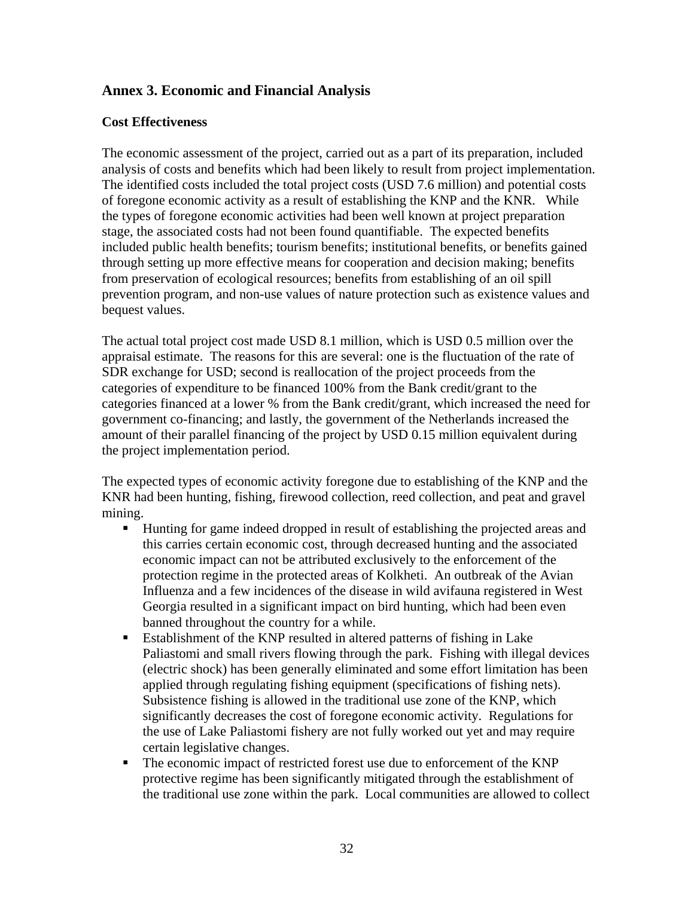### **Annex 3. Economic and Financial Analysis**

#### **Cost Effectiveness**

The economic assessment of the project, carried out as a part of its preparation, included analysis of costs and benefits which had been likely to result from project implementation. The identified costs included the total project costs (USD 7.6 million) and potential costs of foregone economic activity as a result of establishing the KNP and the KNR. While the types of foregone economic activities had been well known at project preparation stage, the associated costs had not been found quantifiable. The expected benefits included public health benefits; tourism benefits; institutional benefits, or benefits gained through setting up more effective means for cooperation and decision making; benefits from preservation of ecological resources; benefits from establishing of an oil spill prevention program, and non-use values of nature protection such as existence values and bequest values.

The actual total project cost made USD 8.1 million, which is USD 0.5 million over the appraisal estimate. The reasons for this are several: one is the fluctuation of the rate of SDR exchange for USD; second is reallocation of the project proceeds from the categories of expenditure to be financed 100% from the Bank credit/grant to the categories financed at a lower % from the Bank credit/grant, which increased the need for government co-financing; and lastly, the government of the Netherlands increased the amount of their parallel financing of the project by USD 0.15 million equivalent during the project implementation period.

The expected types of economic activity foregone due to establishing of the KNP and the KNR had been hunting, fishing, firewood collection, reed collection, and peat and gravel mining.

- Hunting for game indeed dropped in result of establishing the projected areas and this carries certain economic cost, through decreased hunting and the associated economic impact can not be attributed exclusively to the enforcement of the protection regime in the protected areas of Kolkheti. An outbreak of the Avian Influenza and a few incidences of the disease in wild avifauna registered in West Georgia resulted in a significant impact on bird hunting, which had been even banned throughout the country for a while.
- Establishment of the KNP resulted in altered patterns of fishing in Lake Paliastomi and small rivers flowing through the park. Fishing with illegal devices (electric shock) has been generally eliminated and some effort limitation has been applied through regulating fishing equipment (specifications of fishing nets). Subsistence fishing is allowed in the traditional use zone of the KNP, which significantly decreases the cost of foregone economic activity. Regulations for the use of Lake Paliastomi fishery are not fully worked out yet and may require certain legislative changes.
- The economic impact of restricted forest use due to enforcement of the KNP protective regime has been significantly mitigated through the establishment of the traditional use zone within the park. Local communities are allowed to collect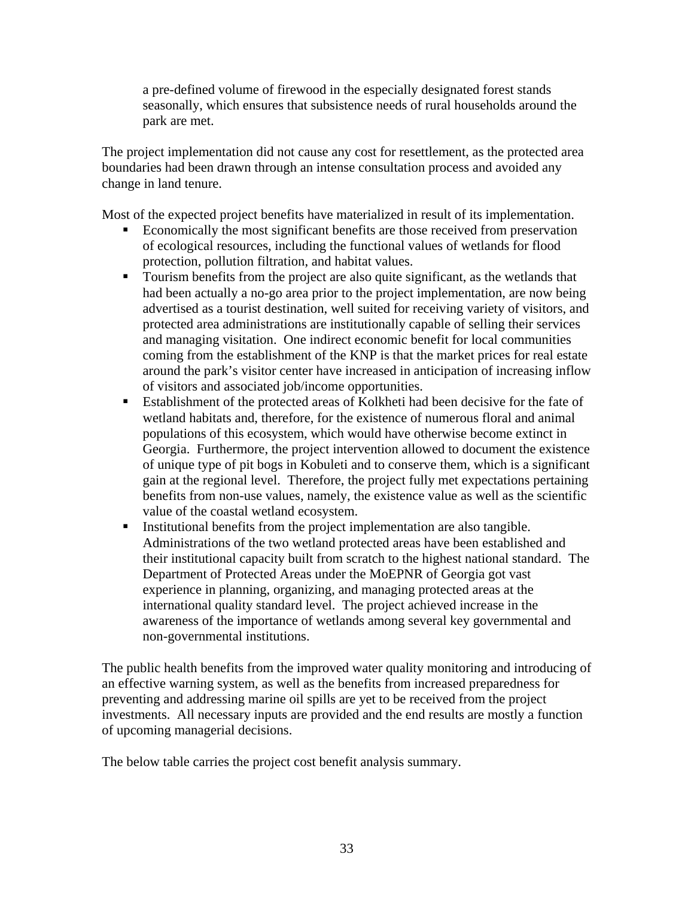a pre-defined volume of firewood in the especially designated forest stands seasonally, which ensures that subsistence needs of rural households around the park are met.

The project implementation did not cause any cost for resettlement, as the protected area boundaries had been drawn through an intense consultation process and avoided any change in land tenure.

Most of the expected project benefits have materialized in result of its implementation.

- Economically the most significant benefits are those received from preservation of ecological resources, including the functional values of wetlands for flood protection, pollution filtration, and habitat values.
- Tourism benefits from the project are also quite significant, as the wetlands that had been actually a no-go area prior to the project implementation, are now being advertised as a tourist destination, well suited for receiving variety of visitors, and protected area administrations are institutionally capable of selling their services and managing visitation. One indirect economic benefit for local communities coming from the establishment of the KNP is that the market prices for real estate around the park's visitor center have increased in anticipation of increasing inflow of visitors and associated job/income opportunities.
- Establishment of the protected areas of Kolkheti had been decisive for the fate of wetland habitats and, therefore, for the existence of numerous floral and animal populations of this ecosystem, which would have otherwise become extinct in Georgia. Furthermore, the project intervention allowed to document the existence of unique type of pit bogs in Kobuleti and to conserve them, which is a significant gain at the regional level. Therefore, the project fully met expectations pertaining benefits from non-use values, namely, the existence value as well as the scientific value of the coastal wetland ecosystem.
- Institutional benefits from the project implementation are also tangible. Administrations of the two wetland protected areas have been established and their institutional capacity built from scratch to the highest national standard. The Department of Protected Areas under the MoEPNR of Georgia got vast experience in planning, organizing, and managing protected areas at the international quality standard level. The project achieved increase in the awareness of the importance of wetlands among several key governmental and non-governmental institutions.

The public health benefits from the improved water quality monitoring and introducing of an effective warning system, as well as the benefits from increased preparedness for preventing and addressing marine oil spills are yet to be received from the project investments. All necessary inputs are provided and the end results are mostly a function of upcoming managerial decisions.

The below table carries the project cost benefit analysis summary.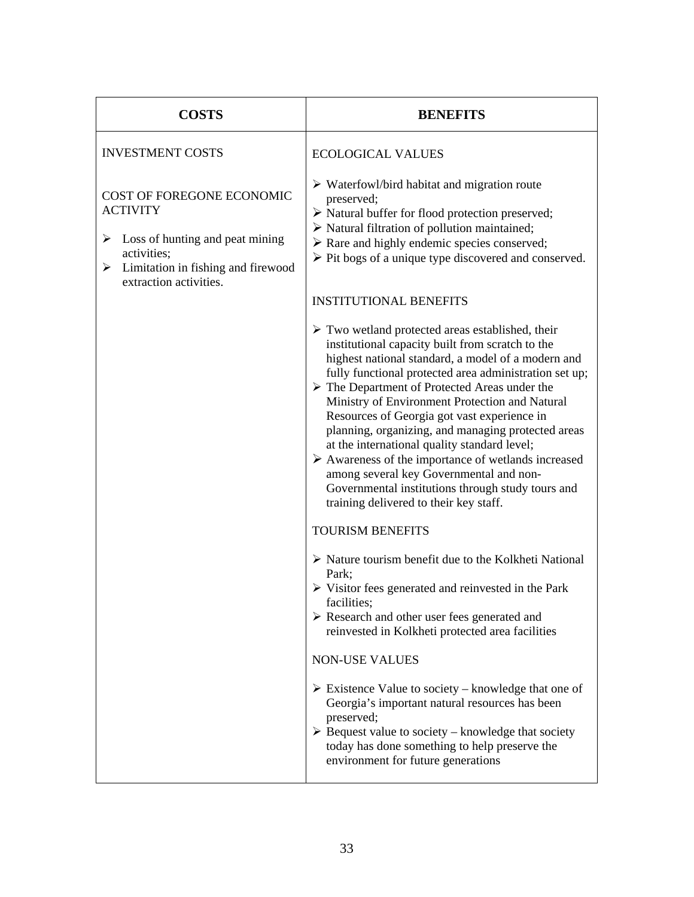| <b>COSTS</b>                                                                                                                                                             | <b>BENEFITS</b>                                                                                                                                                                                                                                                                                                                                                                                                                                                                                                                                                                                                                                                                                                            |
|--------------------------------------------------------------------------------------------------------------------------------------------------------------------------|----------------------------------------------------------------------------------------------------------------------------------------------------------------------------------------------------------------------------------------------------------------------------------------------------------------------------------------------------------------------------------------------------------------------------------------------------------------------------------------------------------------------------------------------------------------------------------------------------------------------------------------------------------------------------------------------------------------------------|
| <b>INVESTMENT COSTS</b>                                                                                                                                                  | <b>ECOLOGICAL VALUES</b>                                                                                                                                                                                                                                                                                                                                                                                                                                                                                                                                                                                                                                                                                                   |
| COST OF FOREGONE ECONOMIC<br><b>ACTIVITY</b><br>Loss of hunting and peat mining<br>➤<br>activities;<br>Limitation in fishing and firewood<br>➤<br>extraction activities. | $\triangleright$ Waterfowl/bird habitat and migration route<br>preserved;<br>$\triangleright$ Natural buffer for flood protection preserved;<br>$\triangleright$ Natural filtration of pollution maintained;<br>> Rare and highly endemic species conserved;<br>$\triangleright$ Pit bogs of a unique type discovered and conserved.                                                                                                                                                                                                                                                                                                                                                                                       |
|                                                                                                                                                                          | <b>INSTITUTIONAL BENEFITS</b>                                                                                                                                                                                                                                                                                                                                                                                                                                                                                                                                                                                                                                                                                              |
|                                                                                                                                                                          | $\triangleright$ Two wetland protected areas established, their<br>institutional capacity built from scratch to the<br>highest national standard, a model of a modern and<br>fully functional protected area administration set up;<br>$\triangleright$ The Department of Protected Areas under the<br>Ministry of Environment Protection and Natural<br>Resources of Georgia got vast experience in<br>planning, organizing, and managing protected areas<br>at the international quality standard level;<br>$\triangleright$ Awareness of the importance of wetlands increased<br>among several key Governmental and non-<br>Governmental institutions through study tours and<br>training delivered to their key staff. |
|                                                                                                                                                                          | <b>TOURISM BENEFITS</b>                                                                                                                                                                                                                                                                                                                                                                                                                                                                                                                                                                                                                                                                                                    |
|                                                                                                                                                                          | > Nature tourism benefit due to the Kolkheti National<br>Park;<br>$\triangleright$ Visitor fees generated and reinvested in the Park<br>facilities;<br>$\triangleright$ Research and other user fees generated and<br>reinvested in Kolkheti protected area facilities                                                                                                                                                                                                                                                                                                                                                                                                                                                     |
|                                                                                                                                                                          | <b>NON-USE VALUES</b>                                                                                                                                                                                                                                                                                                                                                                                                                                                                                                                                                                                                                                                                                                      |
|                                                                                                                                                                          | $\triangleright$ Existence Value to society – knowledge that one of<br>Georgia's important natural resources has been<br>preserved;<br>$\triangleright$ Bequest value to society – knowledge that society<br>today has done something to help preserve the<br>environment for future generations                                                                                                                                                                                                                                                                                                                                                                                                                           |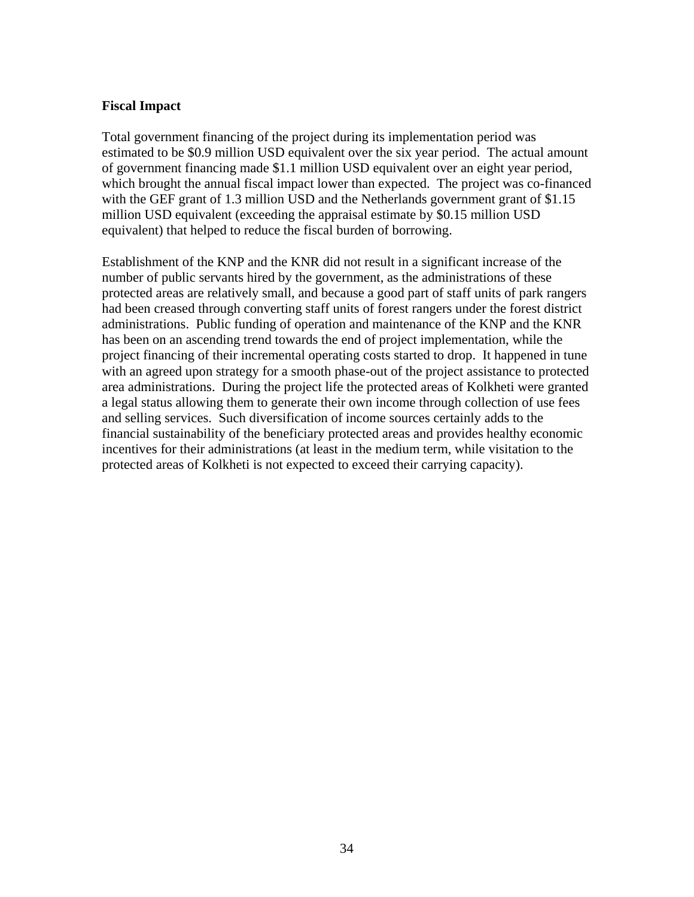#### **Fiscal Impact**

Total government financing of the project during its implementation period was estimated to be \$0.9 million USD equivalent over the six year period. The actual amount of government financing made \$1.1 million USD equivalent over an eight year period, which brought the annual fiscal impact lower than expected. The project was co-financed with the GEF grant of 1.3 million USD and the Netherlands government grant of \$1.15 million USD equivalent (exceeding the appraisal estimate by \$0.15 million USD equivalent) that helped to reduce the fiscal burden of borrowing.

Establishment of the KNP and the KNR did not result in a significant increase of the number of public servants hired by the government, as the administrations of these protected areas are relatively small, and because a good part of staff units of park rangers had been creased through converting staff units of forest rangers under the forest district administrations. Public funding of operation and maintenance of the KNP and the KNR has been on an ascending trend towards the end of project implementation, while the project financing of their incremental operating costs started to drop. It happened in tune with an agreed upon strategy for a smooth phase-out of the project assistance to protected area administrations. During the project life the protected areas of Kolkheti were granted a legal status allowing them to generate their own income through collection of use fees and selling services. Such diversification of income sources certainly adds to the financial sustainability of the beneficiary protected areas and provides healthy economic incentives for their administrations (at least in the medium term, while visitation to the protected areas of Kolkheti is not expected to exceed their carrying capacity).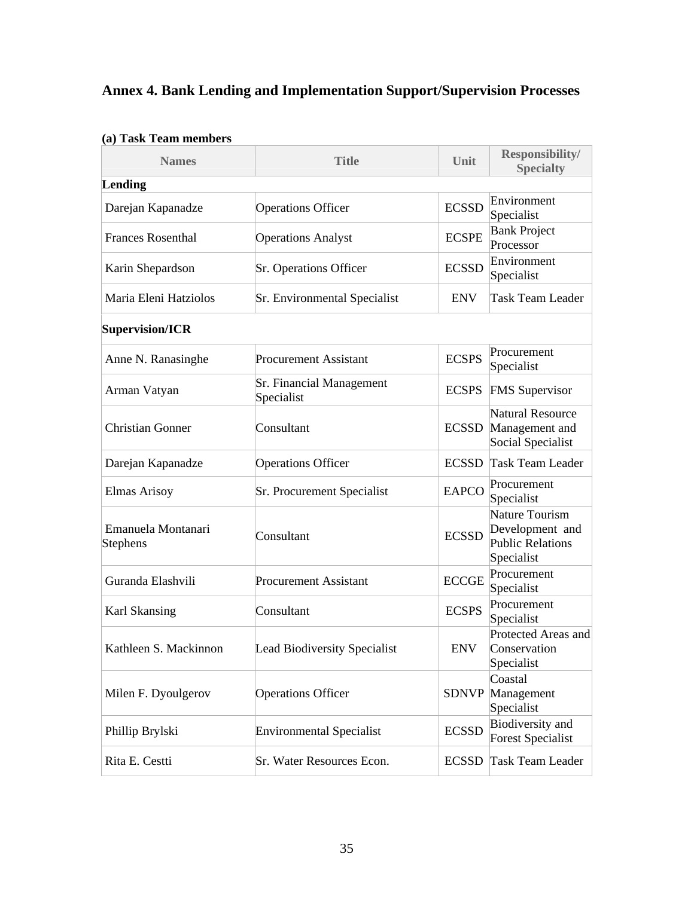# **Annex 4. Bank Lending and Implementation Support/Supervision Processes**

| <b>Names</b>                   | <b>Title</b>                                  | Unit         | Responsibility/<br><b>Specialty</b>                                        |
|--------------------------------|-----------------------------------------------|--------------|----------------------------------------------------------------------------|
| Lending                        |                                               |              |                                                                            |
| Darejan Kapanadze              | <b>Operations Officer</b>                     | <b>ECSSD</b> | Environment<br>Specialist                                                  |
| <b>Frances Rosenthal</b>       | <b>Operations Analyst</b>                     | <b>ECSPE</b> | <b>Bank Project</b><br>Processor                                           |
| Karin Shepardson               | Sr. Operations Officer                        | <b>ECSSD</b> | Environment<br>Specialist                                                  |
| Maria Eleni Hatziolos          | Sr. Environmental Specialist                  | <b>ENV</b>   | <b>Task Team Leader</b>                                                    |
| Supervision/ICR                |                                               |              |                                                                            |
| Anne N. Ranasinghe             | <b>Procurement Assistant</b>                  | <b>ECSPS</b> | Procurement<br>Specialist                                                  |
| Arman Vatyan                   | <b>Sr. Financial Management</b><br>Specialist |              | <b>ECSPS</b> FMS Supervisor                                                |
| <b>Christian Gonner</b>        | Consultant                                    |              | Natural Resource<br><b>ECSSD</b> Management and<br>Social Specialist       |
| Darejan Kapanadze              | <b>Operations Officer</b>                     |              | <b>ECSSD</b> Task Team Leader                                              |
| <b>Elmas Arisoy</b>            | Sr. Procurement Specialist                    | <b>EAPCO</b> | Procurement<br>Specialist                                                  |
| Emanuela Montanari<br>Stephens | Consultant                                    | <b>ECSSD</b> | Nature Tourism<br>Development and<br><b>Public Relations</b><br>Specialist |
| Guranda Elashvili              | <b>Procurement Assistant</b>                  | <b>ECCGE</b> | Procurement<br>Specialist                                                  |
| Karl Skansing                  | Consultant                                    | <b>ECSPS</b> | Procurement<br>Specialist                                                  |
| Kathleen S. Mackinnon          | <b>Lead Biodiversity Specialist</b>           | <b>ENV</b>   | Protected Areas and<br>Conservation<br>Specialist                          |
| Milen F. Dyoulgerov            | <b>Operations Officer</b>                     |              | Coastal<br><b>SDNVP</b> Management<br>Specialist                           |
| Phillip Brylski                | <b>Environmental Specialist</b>               | <b>ECSSD</b> | Biodiversity and<br><b>Forest Specialist</b>                               |
| Rita E. Cestti                 | Sr. Water Resources Econ.                     | <b>ECSSD</b> | <b>Task Team Leader</b>                                                    |

#### **(a) Task Team members**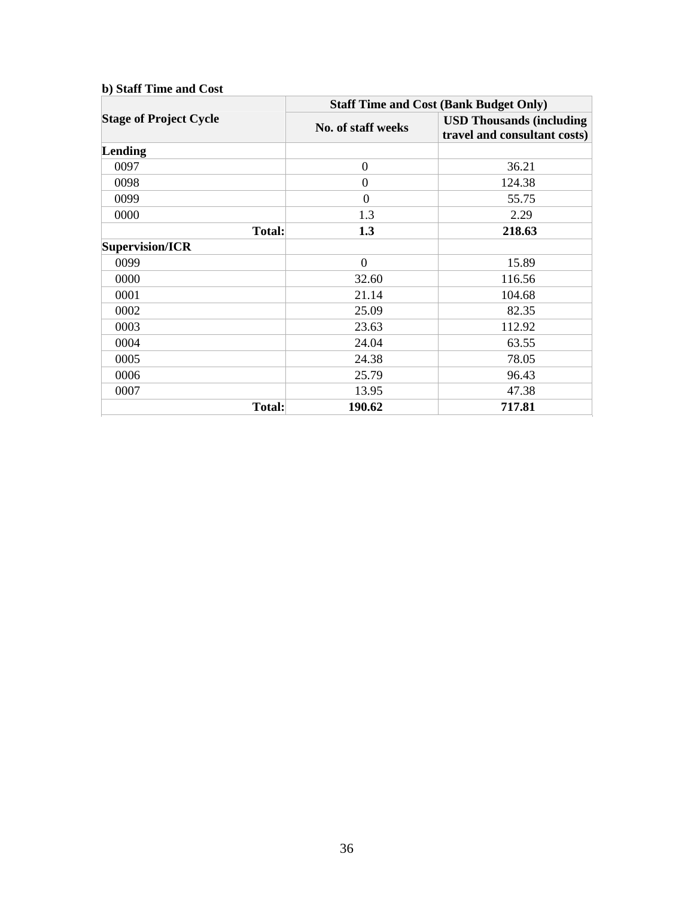| b) Staff Time and Cost        |                                               |                                                                  |  |
|-------------------------------|-----------------------------------------------|------------------------------------------------------------------|--|
|                               | <b>Staff Time and Cost (Bank Budget Only)</b> |                                                                  |  |
| <b>Stage of Project Cycle</b> | No. of staff weeks                            | <b>USD Thousands (including)</b><br>travel and consultant costs) |  |
| Lending                       |                                               |                                                                  |  |
| 0097                          | $\overline{0}$                                | 36.21                                                            |  |
| 0098                          | $\overline{0}$                                | 124.38                                                           |  |
| 0099                          | $\Omega$                                      | 55.75                                                            |  |
| 0000                          | 1.3                                           | 2.29                                                             |  |
| <b>Total:</b>                 | 1.3                                           | 218.63                                                           |  |
| Supervision/ICR               |                                               |                                                                  |  |
| 0099                          | $\overline{0}$                                | 15.89                                                            |  |
| 0000                          | 32.60                                         | 116.56                                                           |  |
| 0001                          | 21.14                                         | 104.68                                                           |  |
| 0002                          | 25.09                                         | 82.35                                                            |  |
| 0003                          | 23.63                                         | 112.92                                                           |  |
| 0004                          | 24.04                                         | 63.55                                                            |  |
| 0005                          | 24.38                                         | 78.05                                                            |  |
| 0006                          | 25.79                                         | 96.43                                                            |  |
| 0007                          | 13.95                                         | 47.38                                                            |  |
| <b>Total:</b>                 | 190.62                                        | 717.81                                                           |  |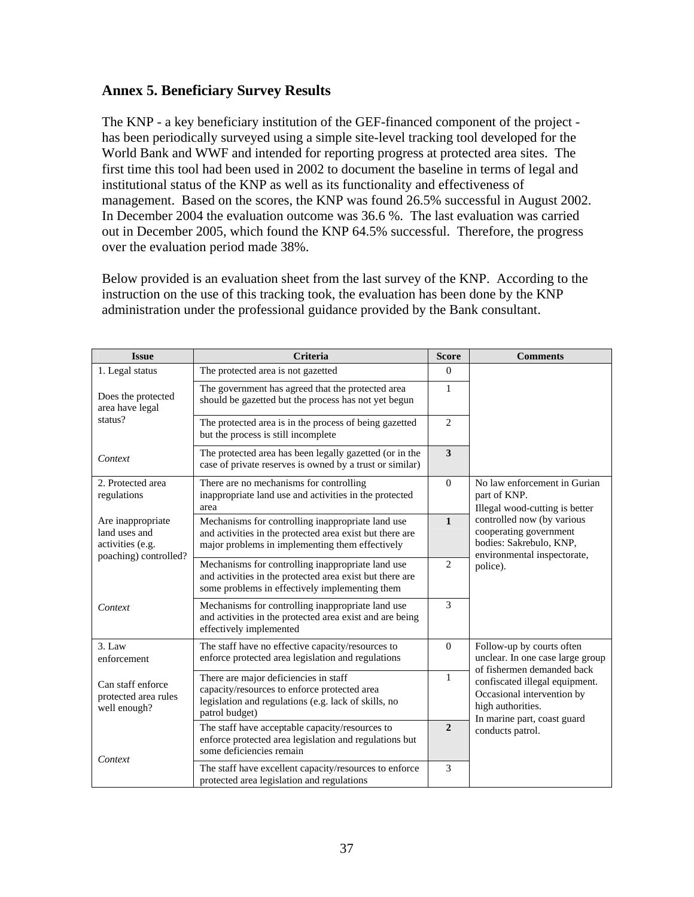#### **Annex 5. Beneficiary Survey Results**

The KNP - a key beneficiary institution of the GEF-financed component of the project has been periodically surveyed using a simple site-level tracking tool developed for the World Bank and WWF and intended for reporting progress at protected area sites. The first time this tool had been used in 2002 to document the baseline in terms of legal and institutional status of the KNP as well as its functionality and effectiveness of management. Based on the scores, the KNP was found 26.5% successful in August 2002. In December 2004 the evaluation outcome was 36.6 %. The last evaluation was carried out in December 2005, which found the KNP 64.5% successful. Therefore, the progress over the evaluation period made 38%.

Below provided is an evaluation sheet from the last survey of the KNP. According to the instruction on the use of this tracking took, the evaluation has been done by the KNP administration under the professional guidance provided by the Bank consultant.

| <b>Issue</b>                                              | <b>Criteria</b>                                                                                                                                                  | <b>Score</b>   | <b>Comments</b>                                                                                                  |
|-----------------------------------------------------------|------------------------------------------------------------------------------------------------------------------------------------------------------------------|----------------|------------------------------------------------------------------------------------------------------------------|
| 1. Legal status                                           | The protected area is not gazetted                                                                                                                               | $\Omega$       |                                                                                                                  |
| Does the protected<br>area have legal                     | The government has agreed that the protected area<br>should be gazetted but the process has not yet begun                                                        | 1              |                                                                                                                  |
| status?                                                   | The protected area is in the process of being gazetted<br>but the process is still incomplete                                                                    | $\overline{2}$ |                                                                                                                  |
| Context                                                   | The protected area has been legally gazetted (or in the<br>case of private reserves is owned by a trust or similar)                                              | 3              |                                                                                                                  |
| 2. Protected area<br>regulations                          | There are no mechanisms for controlling<br>inappropriate land use and activities in the protected<br>area                                                        | $\Omega$       | No law enforcement in Gurian<br>part of KNP.<br>Illegal wood-cutting is better                                   |
| Are inappropriate<br>land uses and<br>activities (e.g.    | Mechanisms for controlling inappropriate land use<br>and activities in the protected area exist but there are<br>major problems in implementing them effectively | $\mathbf{1}$   | controlled now (by various<br>cooperating government<br>bodies: Sakrebulo, KNP,<br>environmental inspectorate,   |
| poaching) controlled?                                     | Mechanisms for controlling inappropriate land use<br>and activities in the protected area exist but there are<br>some problems in effectively implementing them  | $\overline{2}$ | police).                                                                                                         |
| Context                                                   | Mechanisms for controlling inappropriate land use<br>and activities in the protected area exist and are being<br>effectively implemented                         | $\overline{3}$ |                                                                                                                  |
| $3.$ Law<br>enforcement                                   | The staff have no effective capacity/resources to<br>enforce protected area legislation and regulations                                                          | $\Omega$       | Follow-up by courts often<br>unclear. In one case large group<br>of fishermen demanded back                      |
| Can staff enforce<br>protected area rules<br>well enough? | There are major deficiencies in staff<br>capacity/resources to enforce protected area<br>legislation and regulations (e.g. lack of skills, no<br>patrol budget)  | 1              | confiscated illegal equipment.<br>Occasional intervention by<br>high authorities.<br>In marine part, coast guard |
| Context                                                   | The staff have acceptable capacity/resources to<br>enforce protected area legislation and regulations but<br>some deficiencies remain                            | $\overline{2}$ | conducts patrol.                                                                                                 |
|                                                           | The staff have excellent capacity/resources to enforce<br>protected area legislation and regulations                                                             | 3              |                                                                                                                  |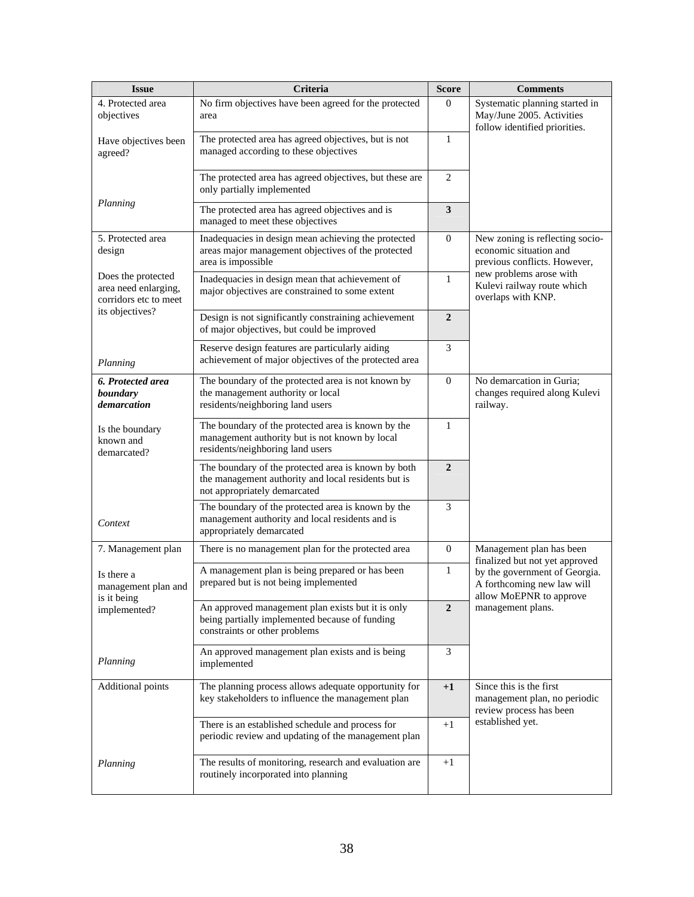| <b>Issue</b>                                                        | Criteria                                                                                                                                   | <b>Score</b>     | <b>Comments</b>                                                                                             |
|---------------------------------------------------------------------|--------------------------------------------------------------------------------------------------------------------------------------------|------------------|-------------------------------------------------------------------------------------------------------------|
| 4. Protected area<br>objectives                                     | No firm objectives have been agreed for the protected<br>area                                                                              | $\boldsymbol{0}$ | Systematic planning started in<br>May/June 2005. Activities<br>follow identified priorities.                |
| Have objectives been<br>agreed?                                     | The protected area has agreed objectives, but is not<br>managed according to these objectives                                              | 1                |                                                                                                             |
|                                                                     | The protected area has agreed objectives, but these are<br>only partially implemented                                                      | $\mathbf{2}$     |                                                                                                             |
| Planning                                                            | The protected area has agreed objectives and is<br>managed to meet these objectives                                                        | $\mathbf{3}$     |                                                                                                             |
| 5. Protected area<br>design                                         | Inadequacies in design mean achieving the protected<br>areas major management objectives of the protected<br>area is impossible            | $\overline{0}$   | New zoning is reflecting socio-<br>economic situation and<br>previous conflicts. However,                   |
| Does the protected<br>area need enlarging,<br>corridors etc to meet | Inadequacies in design mean that achievement of<br>major objectives are constrained to some extent                                         | $\mathbf{1}$     | new problems arose with<br>Kulevi railway route which<br>overlaps with KNP.                                 |
| its objectives?                                                     | Design is not significantly constraining achievement<br>of major objectives, but could be improved                                         | $\overline{2}$   |                                                                                                             |
| Planning                                                            | Reserve design features are particularly aiding<br>achievement of major objectives of the protected area                                   | 3                |                                                                                                             |
| 6. Protected area<br>boundary<br>demarcation                        | The boundary of the protected area is not known by<br>the management authority or local<br>residents/neighboring land users                | $\overline{0}$   | No demarcation in Guria;<br>changes required along Kulevi<br>railway.                                       |
| Is the boundary<br>known and<br>demarcated?                         | The boundary of the protected area is known by the<br>management authority but is not known by local<br>residents/neighboring land users   | 1                |                                                                                                             |
|                                                                     | The boundary of the protected area is known by both<br>the management authority and local residents but is<br>not appropriately demarcated | $\overline{2}$   |                                                                                                             |
| Context                                                             | The boundary of the protected area is known by the<br>management authority and local residents and is<br>appropriately demarcated          | 3                |                                                                                                             |
| 7. Management plan                                                  | There is no management plan for the protected area                                                                                         | $\mathbf{0}$     | Management plan has been<br>finalized but not yet approved                                                  |
| Is there a<br>management plan and<br>is it being                    | A management plan is being prepared or has been<br>prepared but is not being implemented                                                   | 1                | by the government of Georgia.<br>A forthcoming new law will<br>allow MoEPNR to approve<br>management plans. |
| implemented?                                                        | An approved management plan exists but it is only<br>being partially implemented because of funding<br>constraints or other problems       | $\overline{2}$   |                                                                                                             |
| Planning                                                            | An approved management plan exists and is being<br>implemented                                                                             | 3                |                                                                                                             |
| Additional points                                                   | The planning process allows adequate opportunity for<br>key stakeholders to influence the management plan                                  | $+1$             | Since this is the first<br>management plan, no periodic<br>review process has been                          |
|                                                                     | There is an established schedule and process for<br>periodic review and updating of the management plan                                    | $+1$             | established yet.                                                                                            |
| Planning                                                            | The results of monitoring, research and evaluation are<br>routinely incorporated into planning                                             | $+1$             |                                                                                                             |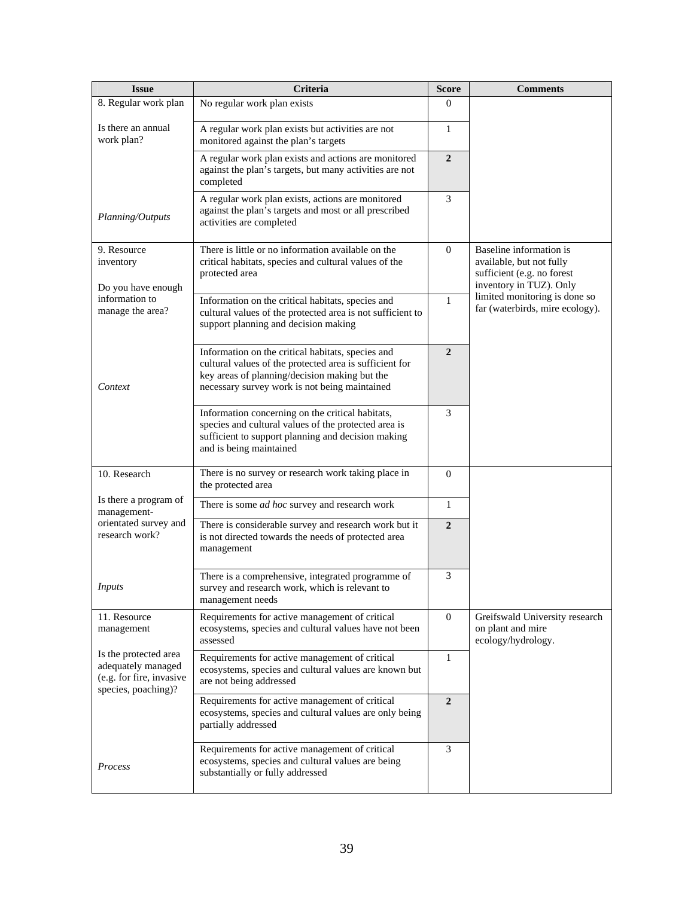| <b>Issue</b>                                                                                   | Criteria                                                                                                                                                                                                       | <b>Score</b>     | <b>Comments</b>                                                                                              |
|------------------------------------------------------------------------------------------------|----------------------------------------------------------------------------------------------------------------------------------------------------------------------------------------------------------------|------------------|--------------------------------------------------------------------------------------------------------------|
| 8. Regular work plan                                                                           | No regular work plan exists                                                                                                                                                                                    | $\boldsymbol{0}$ |                                                                                                              |
| Is there an annual<br>work plan?                                                               | A regular work plan exists but activities are not<br>monitored against the plan's targets                                                                                                                      | 1                |                                                                                                              |
|                                                                                                | A regular work plan exists and actions are monitored<br>against the plan's targets, but many activities are not<br>completed                                                                                   | $\overline{2}$   |                                                                                                              |
| Planning/Outputs                                                                               | A regular work plan exists, actions are monitored<br>against the plan's targets and most or all prescribed<br>activities are completed                                                                         | 3                |                                                                                                              |
| 9. Resource<br>inventory<br>Do you have enough                                                 | There is little or no information available on the<br>critical habitats, species and cultural values of the<br>protected area                                                                                  | $\Omega$         | Baseline information is<br>available, but not fully<br>sufficient (e.g. no forest<br>inventory in TUZ). Only |
| information to<br>manage the area?                                                             | Information on the critical habitats, species and<br>cultural values of the protected area is not sufficient to<br>support planning and decision making                                                        | $\mathbf{1}$     | limited monitoring is done so<br>far (waterbirds, mire ecology).                                             |
| Context                                                                                        | Information on the critical habitats, species and<br>cultural values of the protected area is sufficient for<br>key areas of planning/decision making but the<br>necessary survey work is not being maintained | $\overline{2}$   |                                                                                                              |
|                                                                                                | Information concerning on the critical habitats,<br>species and cultural values of the protected area is<br>sufficient to support planning and decision making<br>and is being maintained                      | 3                |                                                                                                              |
| 10. Research                                                                                   | There is no survey or research work taking place in<br>the protected area                                                                                                                                      | $\mathbf{0}$     |                                                                                                              |
| Is there a program of<br>management-                                                           | There is some <i>ad hoc</i> survey and research work                                                                                                                                                           | $\mathbf{1}$     |                                                                                                              |
| orientated survey and<br>research work?                                                        | There is considerable survey and research work but it<br>is not directed towards the needs of protected area<br>management                                                                                     | $\overline{2}$   |                                                                                                              |
| <i>Inputs</i>                                                                                  | There is a comprehensive, integrated programme of<br>survey and research work, which is relevant to<br>management needs                                                                                        | 3                |                                                                                                              |
| 11. Resource<br>management                                                                     | Requirements for active management of critical<br>ecosystems, species and cultural values have not been<br>assessed                                                                                            | $\boldsymbol{0}$ | Greifswald University research<br>on plant and mire<br>ecology/hydrology.                                    |
| Is the protected area<br>adequately managed<br>(e.g. for fire, invasive<br>species, poaching)? | Requirements for active management of critical<br>ecosystems, species and cultural values are known but<br>are not being addressed                                                                             | $\mathbf{1}$     |                                                                                                              |
|                                                                                                | Requirements for active management of critical<br>ecosystems, species and cultural values are only being<br>partially addressed                                                                                | $\boldsymbol{2}$ |                                                                                                              |
| Process                                                                                        | Requirements for active management of critical<br>ecosystems, species and cultural values are being<br>substantially or fully addressed                                                                        | 3                |                                                                                                              |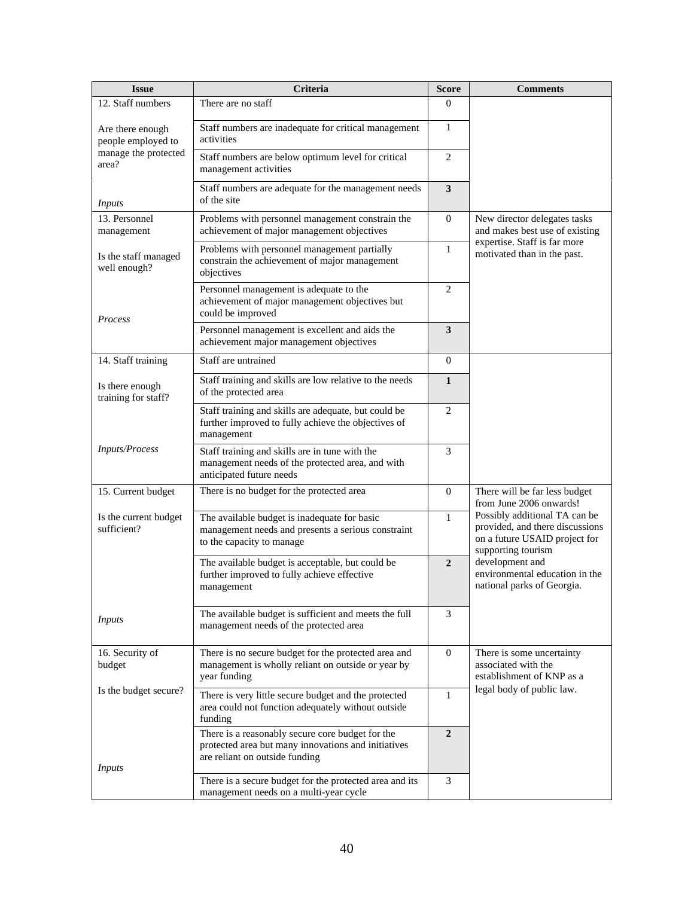| <b>Issue</b>                           | Criteria                                                                                                                                  | <b>Score</b>            | Comments                                                                                                                |
|----------------------------------------|-------------------------------------------------------------------------------------------------------------------------------------------|-------------------------|-------------------------------------------------------------------------------------------------------------------------|
| 12. Staff numbers                      | There are no staff                                                                                                                        | 0                       |                                                                                                                         |
| Are there enough<br>people employed to | Staff numbers are inadequate for critical management<br>activities                                                                        | $\mathbf{1}$            |                                                                                                                         |
| manage the protected<br>area?          | Staff numbers are below optimum level for critical<br>management activities                                                               | 2                       |                                                                                                                         |
| <i>Inputs</i>                          | Staff numbers are adequate for the management needs<br>of the site                                                                        | $\overline{\mathbf{3}}$ |                                                                                                                         |
| 13. Personnel<br>management            | Problems with personnel management constrain the<br>achievement of major management objectives                                            | $\boldsymbol{0}$        | New director delegates tasks<br>and makes best use of existing                                                          |
| Is the staff managed<br>well enough?   | Problems with personnel management partially<br>constrain the achievement of major management<br>objectives                               | $\mathbf{1}$            | expertise. Staff is far more<br>motivated than in the past.                                                             |
| Process                                | Personnel management is adequate to the<br>achievement of major management objectives but<br>could be improved                            | $\overline{c}$          |                                                                                                                         |
|                                        | Personnel management is excellent and aids the<br>achievement major management objectives                                                 | 3                       |                                                                                                                         |
| 14. Staff training                     | Staff are untrained                                                                                                                       | $\mathbf{0}$            |                                                                                                                         |
| Is there enough<br>training for staff? | Staff training and skills are low relative to the needs<br>of the protected area                                                          | 1                       |                                                                                                                         |
|                                        | Staff training and skills are adequate, but could be<br>further improved to fully achieve the objectives of<br>management                 | 2                       |                                                                                                                         |
| <b>Inputs/Process</b>                  | Staff training and skills are in tune with the<br>management needs of the protected area, and with<br>anticipated future needs            | 3                       |                                                                                                                         |
| 15. Current budget                     | There is no budget for the protected area                                                                                                 | $\mathbf{0}$            | There will be far less budget<br>from June 2006 onwards!                                                                |
| Is the current budget<br>sufficient?   | The available budget is inadequate for basic<br>management needs and presents a serious constraint<br>to the capacity to manage           | $\mathbf{1}$            | Possibly additional TA can be<br>provided, and there discussions<br>on a future USAID project for<br>supporting tourism |
|                                        | The available budget is acceptable, but could be<br>further improved to fully achieve effective<br>management                             | $\overline{2}$          | development and<br>environmental education in the<br>national parks of Georgia.                                         |
| <i>Inputs</i>                          | The available budget is sufficient and meets the full<br>management needs of the protected area                                           | 3                       |                                                                                                                         |
| 16. Security of<br>budget              | There is no secure budget for the protected area and<br>management is wholly reliant on outside or year by<br>year funding                | $\mathbf{0}$            | There is some uncertainty<br>associated with the<br>establishment of KNP as a                                           |
| Is the budget secure?                  | There is very little secure budget and the protected<br>area could not function adequately without outside<br>funding                     | 1                       | legal body of public law.                                                                                               |
| <i>Inputs</i>                          | There is a reasonably secure core budget for the<br>protected area but many innovations and initiatives<br>are reliant on outside funding | $\overline{2}$          |                                                                                                                         |
|                                        | There is a secure budget for the protected area and its<br>management needs on a multi-year cycle                                         | 3                       |                                                                                                                         |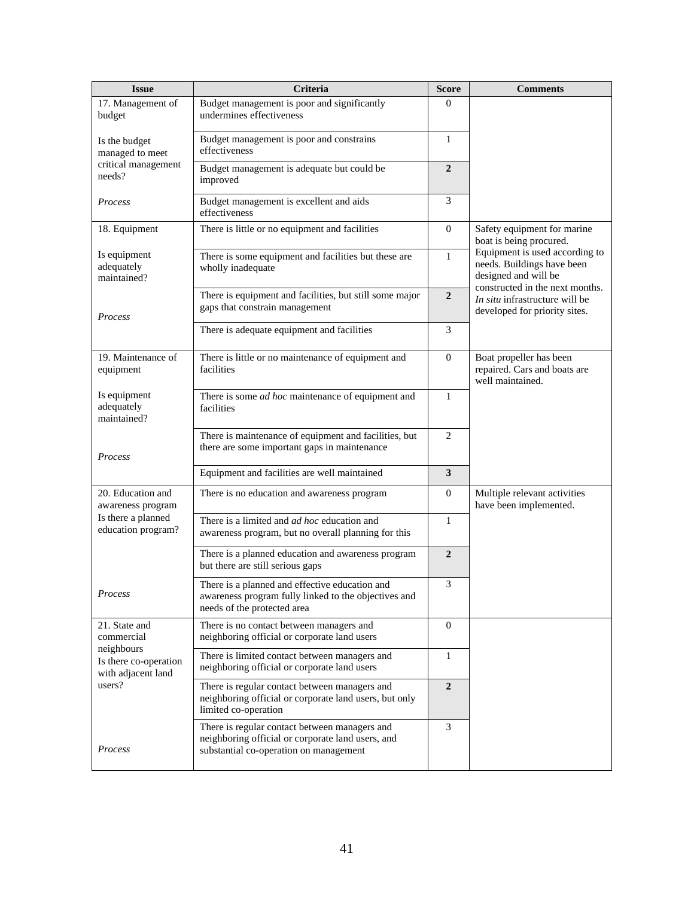| <b>Issue</b>                                                        | Criteria                                                                                                                                     | <b>Score</b>     | <b>Comments</b>                                                                                                         |
|---------------------------------------------------------------------|----------------------------------------------------------------------------------------------------------------------------------------------|------------------|-------------------------------------------------------------------------------------------------------------------------|
| 17. Management of<br>budget                                         | Budget management is poor and significantly<br>undermines effectiveness                                                                      | $\Omega$         |                                                                                                                         |
| Is the budget<br>managed to meet                                    | Budget management is poor and constrains<br>effectiveness                                                                                    | $\mathbf{1}$     |                                                                                                                         |
| critical management<br>needs?                                       | Budget management is adequate but could be<br>improved                                                                                       | $\overline{2}$   |                                                                                                                         |
| Process                                                             | Budget management is excellent and aids<br>effectiveness                                                                                     | $\overline{3}$   |                                                                                                                         |
| 18. Equipment                                                       | There is little or no equipment and facilities                                                                                               | $\mathbf{0}$     | Safety equipment for marine<br>boat is being procured.                                                                  |
| Is equipment<br>adequately<br>maintained?                           | There is some equipment and facilities but these are<br>wholly inadequate                                                                    | $\mathbf{1}$     | Equipment is used according to<br>needs. Buildings have been<br>designed and will be<br>constructed in the next months. |
| Process                                                             | There is equipment and facilities, but still some major<br>gaps that constrain management                                                    | $\overline{2}$   | In situ infrastructure will be<br>developed for priority sites.                                                         |
|                                                                     | There is adequate equipment and facilities                                                                                                   | 3                |                                                                                                                         |
| 19. Maintenance of<br>equipment                                     | There is little or no maintenance of equipment and<br>facilities                                                                             | $\Omega$         | Boat propeller has been<br>repaired. Cars and boats are<br>well maintained.                                             |
| Is equipment<br>adequately<br>maintained?                           | There is some <i>ad hoc</i> maintenance of equipment and<br>facilities                                                                       | 1                |                                                                                                                         |
| Process                                                             | There is maintenance of equipment and facilities, but<br>there are some important gaps in maintenance                                        | $\overline{2}$   |                                                                                                                         |
|                                                                     | Equipment and facilities are well maintained                                                                                                 | 3                |                                                                                                                         |
| 20. Education and<br>awareness program                              | There is no education and awareness program                                                                                                  | $\Omega$         | Multiple relevant activities<br>have been implemented.                                                                  |
| Is there a planned<br>education program?                            | There is a limited and <i>ad hoc</i> education and<br>awareness program, but no overall planning for this                                    | 1                |                                                                                                                         |
|                                                                     | There is a planned education and awareness program<br>but there are still serious gaps                                                       | $\overline{2}$   |                                                                                                                         |
| Process                                                             | There is a planned and effective education and<br>awareness program fully linked to the objectives and<br>needs of the protected area        | 3                |                                                                                                                         |
| 21. State and<br>commercial                                         | There is no contact between managers and<br>neighboring official or corporate land users                                                     | $\mathbf{0}$     |                                                                                                                         |
| neighbours<br>Is there co-operation<br>with adjacent land<br>users? | There is limited contact between managers and<br>neighboring official or corporate land users                                                | 1                |                                                                                                                         |
|                                                                     | There is regular contact between managers and<br>neighboring official or corporate land users, but only<br>limited co-operation              | $\boldsymbol{2}$ |                                                                                                                         |
| Process                                                             | There is regular contact between managers and<br>neighboring official or corporate land users, and<br>substantial co-operation on management | 3                |                                                                                                                         |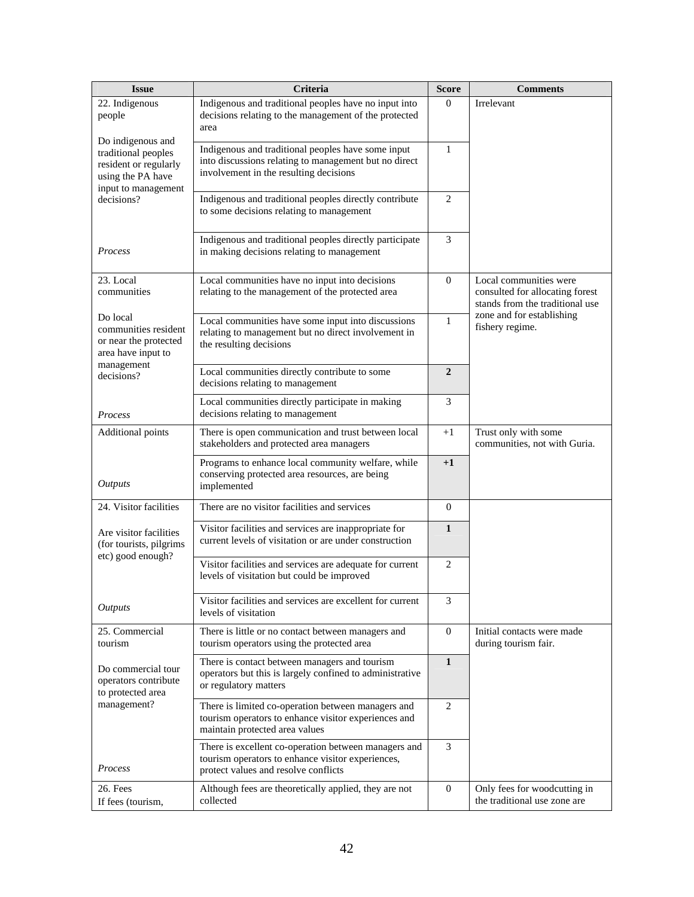| <b>Issue</b>                                                                                                  | Criteria                                                                                                                                              | <b>Score</b>     | <b>Comments</b>                                                                              |
|---------------------------------------------------------------------------------------------------------------|-------------------------------------------------------------------------------------------------------------------------------------------------------|------------------|----------------------------------------------------------------------------------------------|
| 22. Indigenous<br>people                                                                                      | Indigenous and traditional peoples have no input into<br>decisions relating to the management of the protected<br>area                                | $\Omega$         | Irrelevant                                                                                   |
| Do indigenous and<br>traditional peoples<br>resident or regularly<br>using the PA have<br>input to management | Indigenous and traditional peoples have some input<br>into discussions relating to management but no direct<br>involvement in the resulting decisions | 1                |                                                                                              |
| decisions?                                                                                                    | Indigenous and traditional peoples directly contribute<br>to some decisions relating to management                                                    | $\overline{c}$   |                                                                                              |
| Process                                                                                                       | Indigenous and traditional peoples directly participate<br>in making decisions relating to management                                                 | 3                |                                                                                              |
| 23. Local<br>communities                                                                                      | Local communities have no input into decisions<br>relating to the management of the protected area                                                    | $\mathbf{0}$     | Local communities were<br>consulted for allocating forest<br>stands from the traditional use |
| Do local<br>communities resident<br>or near the protected<br>area have input to                               | Local communities have some input into discussions<br>relating to management but no direct involvement in<br>the resulting decisions                  | 1                | zone and for establishing<br>fishery regime.                                                 |
| management<br>decisions?                                                                                      | Local communities directly contribute to some<br>decisions relating to management                                                                     | $\overline{2}$   |                                                                                              |
| Process                                                                                                       | Local communities directly participate in making<br>decisions relating to management                                                                  | 3                |                                                                                              |
| Additional points                                                                                             | There is open communication and trust between local<br>stakeholders and protected area managers                                                       | $+1$             | Trust only with some<br>communities, not with Guria.                                         |
| <b>Outputs</b>                                                                                                | Programs to enhance local community welfare, while<br>conserving protected area resources, are being<br>implemented                                   | $+1$             |                                                                                              |
| 24. Visitor facilities                                                                                        | There are no visitor facilities and services                                                                                                          | $\overline{0}$   |                                                                                              |
| Are visitor facilities<br>(for tourists, pilgrims                                                             | Visitor facilities and services are inappropriate for<br>current levels of visitation or are under construction                                       | $\mathbf{1}$     |                                                                                              |
| etc) good enough?                                                                                             | Visitor facilities and services are adequate for current<br>levels of visitation but could be improved                                                | 2                |                                                                                              |
| <b>Outputs</b>                                                                                                | Visitor facilities and services are excellent for current<br>levels of visitation                                                                     | 3                |                                                                                              |
| 25. Commercial<br>tourism                                                                                     | There is little or no contact between managers and<br>tourism operators using the protected area                                                      | $\mathbf{0}$     | Initial contacts were made<br>during tourism fair.                                           |
| Do commercial tour<br>operators contribute<br>to protected area                                               | There is contact between managers and tourism<br>operators but this is largely confined to administrative<br>or regulatory matters                    | $\mathbf{1}$     |                                                                                              |
| management?                                                                                                   | There is limited co-operation between managers and<br>tourism operators to enhance visitor experiences and<br>maintain protected area values          | $\overline{c}$   |                                                                                              |
| Process                                                                                                       | There is excellent co-operation between managers and<br>tourism operators to enhance visitor experiences,<br>protect values and resolve conflicts     | 3                |                                                                                              |
| 26. Fees<br>If fees (tourism,                                                                                 | Although fees are theoretically applied, they are not<br>collected                                                                                    | $\boldsymbol{0}$ | Only fees for woodcutting in<br>the traditional use zone are                                 |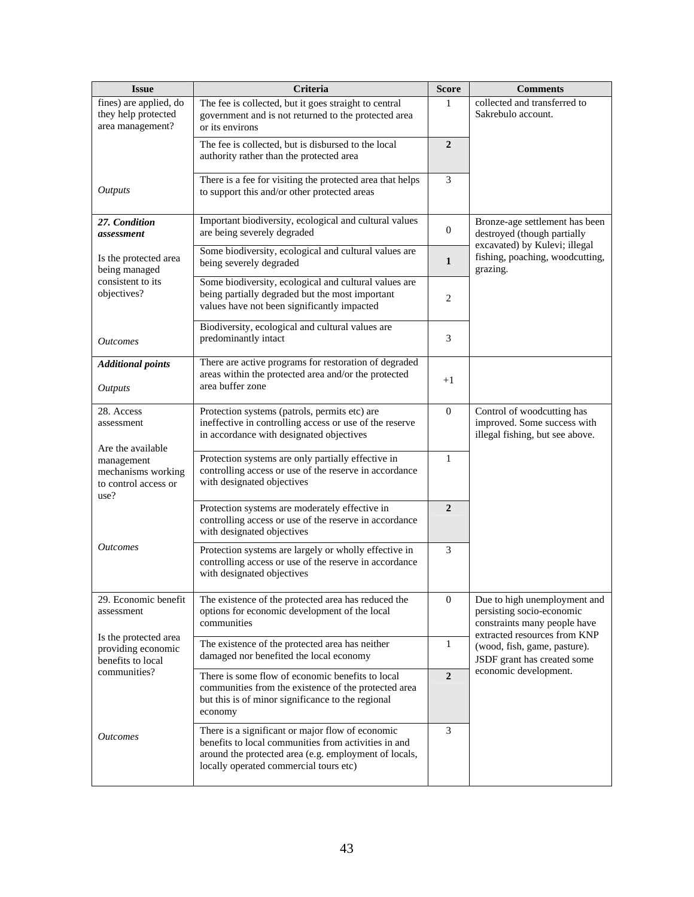| <b>Issue</b>                                                      | Criteria                                                                                                                                                                                                    | <b>Score</b>     | <b>Comments</b>                                                                                                           |
|-------------------------------------------------------------------|-------------------------------------------------------------------------------------------------------------------------------------------------------------------------------------------------------------|------------------|---------------------------------------------------------------------------------------------------------------------------|
| fines) are applied, do<br>they help protected<br>area management? | The fee is collected, but it goes straight to central<br>government and is not returned to the protected area<br>or its environs                                                                            | $\mathbf{1}$     | collected and transferred to<br>Sakrebulo account.                                                                        |
|                                                                   | The fee is collected, but is disbursed to the local<br>authority rather than the protected area                                                                                                             | $\overline{2}$   |                                                                                                                           |
| <b>Outputs</b>                                                    | There is a fee for visiting the protected area that helps<br>to support this and/or other protected areas                                                                                                   | 3                |                                                                                                                           |
| 27. Condition<br>assessment                                       | Important biodiversity, ecological and cultural values<br>are being severely degraded                                                                                                                       | $\mathbf{0}$     | Bronze-age settlement has been<br>destroyed (though partially                                                             |
| Is the protected area<br>being managed                            | Some biodiversity, ecological and cultural values are<br>being severely degraded                                                                                                                            | $\mathbf{1}$     | excavated) by Kulevi; illegal<br>fishing, poaching, woodcutting,<br>grazing.                                              |
| consistent to its<br>objectives?                                  | Some biodiversity, ecological and cultural values are<br>being partially degraded but the most important<br>values have not been significantly impacted                                                     | 2                |                                                                                                                           |
| <b>Outcomes</b>                                                   | Biodiversity, ecological and cultural values are<br>predominantly intact                                                                                                                                    | 3                |                                                                                                                           |
| <b>Additional points</b><br><b>Outputs</b>                        | There are active programs for restoration of degraded<br>areas within the protected area and/or the protected<br>area buffer zone                                                                           | $+1$             |                                                                                                                           |
| 28. Access<br>assessment<br>Are the available                     | Protection systems (patrols, permits etc) are<br>ineffective in controlling access or use of the reserve<br>in accordance with designated objectives                                                        | $\overline{0}$   | Control of woodcutting has<br>improved. Some success with<br>illegal fishing, but see above.                              |
| management<br>mechanisms working<br>to control access or<br>use?  | Protection systems are only partially effective in<br>controlling access or use of the reserve in accordance<br>with designated objectives                                                                  | $\mathbf{1}$     |                                                                                                                           |
|                                                                   | Protection systems are moderately effective in<br>controlling access or use of the reserve in accordance<br>with designated objectives                                                                      | $\overline{2}$   |                                                                                                                           |
| <i>Outcomes</i>                                                   | Protection systems are largely or wholly effective in<br>controlling access or use of the reserve in accordance<br>with designated objectives                                                               | 3                |                                                                                                                           |
| 29. Economic benefit<br>assessment                                | The existence of the protected area has reduced the<br>options for economic development of the local<br>communities                                                                                         | $\boldsymbol{0}$ | Due to high unemployment and<br>persisting socio-economic<br>constraints many people have<br>extracted resources from KNP |
| Is the protected area<br>providing economic<br>benefits to local  | The existence of the protected area has neither<br>damaged nor benefited the local economy                                                                                                                  | $\mathbf{1}$     | (wood, fish, game, pasture).<br>JSDF grant has created some                                                               |
| communities?                                                      | There is some flow of economic benefits to local<br>communities from the existence of the protected area<br>but this is of minor significance to the regional<br>economy                                    | $\overline{2}$   | economic development.                                                                                                     |
| <i>Outcomes</i>                                                   | There is a significant or major flow of economic<br>benefits to local communities from activities in and<br>around the protected area (e.g. employment of locals,<br>locally operated commercial tours etc) | 3                |                                                                                                                           |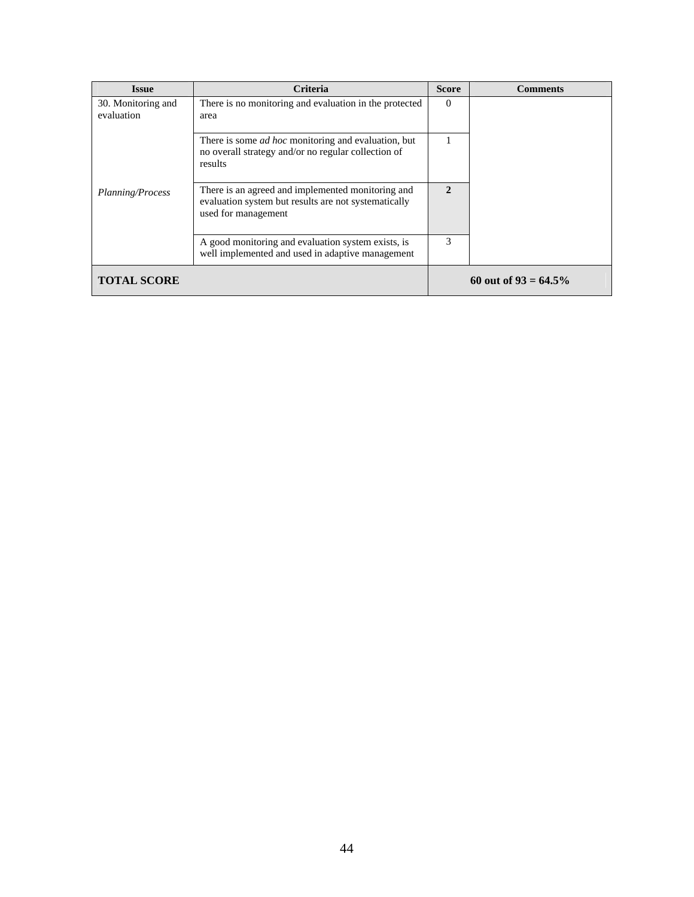| <b>Issue</b>                     | <b>Criteria</b>                                                                                                                  | <b>Score</b> | <b>Comments</b>         |
|----------------------------------|----------------------------------------------------------------------------------------------------------------------------------|--------------|-------------------------|
| 30. Monitoring and<br>evaluation | There is no monitoring and evaluation in the protected<br>area                                                                   | $\Omega$     |                         |
|                                  | There is some <i>ad hoc</i> monitoring and evaluation, but<br>no overall strategy and/or no regular collection of<br>results     |              |                         |
| Planning/Process                 | There is an agreed and implemented monitoring and<br>evaluation system but results are not systematically<br>used for management | 2            |                         |
|                                  | A good monitoring and evaluation system exists, is<br>well implemented and used in adaptive management                           | 3            |                         |
| <b>TOTAL SCORE</b>               |                                                                                                                                  |              | 60 out of $93 = 64.5\%$ |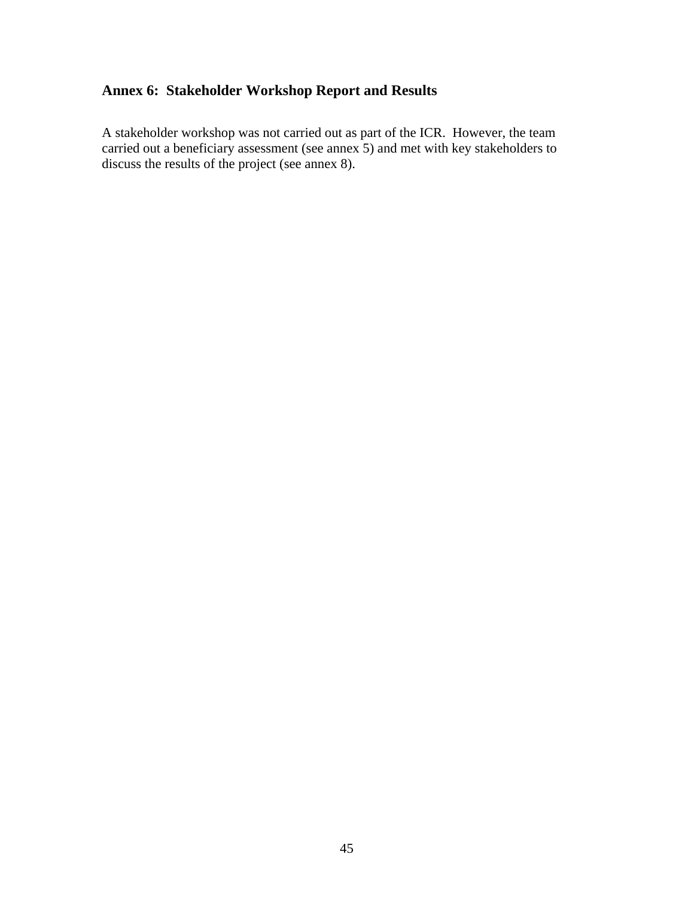# **Annex 6: Stakeholder Workshop Report and Results**

A stakeholder workshop was not carried out as part of the ICR. However, the team carried out a beneficiary assessment (see annex 5) and met with key stakeholders to discuss the results of the project (see annex 8).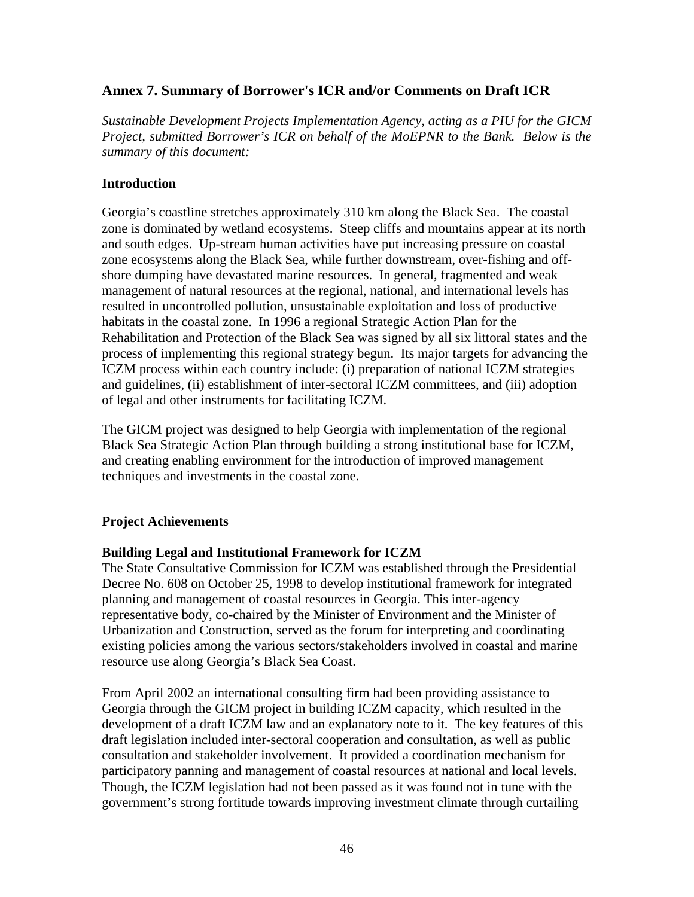#### **Annex 7. Summary of Borrower's ICR and/or Comments on Draft ICR**

*Sustainable Development Projects Implementation Agency, acting as a PIU for the GICM Project, submitted Borrower's ICR on behalf of the MoEPNR to the Bank. Below is the summary of this document:* 

#### **Introduction**

Georgia's coastline stretches approximately 310 km along the Black Sea. The coastal zone is dominated by wetland ecosystems. Steep cliffs and mountains appear at its north and south edges. Up-stream human activities have put increasing pressure on coastal zone ecosystems along the Black Sea, while further downstream, over-fishing and offshore dumping have devastated marine resources. In general, fragmented and weak management of natural resources at the regional, national, and international levels has resulted in uncontrolled pollution, unsustainable exploitation and loss of productive habitats in the coastal zone. In 1996 a regional Strategic Action Plan for the Rehabilitation and Protection of the Black Sea was signed by all six littoral states and the process of implementing this regional strategy begun. Its major targets for advancing the ICZM process within each country include: (i) preparation of national ICZM strategies and guidelines, (ii) establishment of inter-sectoral ICZM committees, and (iii) adoption of legal and other instruments for facilitating ICZM.

The GICM project was designed to help Georgia with implementation of the regional Black Sea Strategic Action Plan through building a strong institutional base for ICZM, and creating enabling environment for the introduction of improved management techniques and investments in the coastal zone.

#### **Project Achievements**

#### **Building Legal and Institutional Framework for ICZM**

The State Consultative Commission for ICZM was established through the Presidential Decree No. 608 on October 25, 1998 to develop institutional framework for integrated planning and management of coastal resources in Georgia. This inter-agency representative body, co-chaired by the Minister of Environment and the Minister of Urbanization and Construction, served as the forum for interpreting and coordinating existing policies among the various sectors/stakeholders involved in coastal and marine resource use along Georgia's Black Sea Coast.

From April 2002 an international consulting firm had been providing assistance to Georgia through the GICM project in building ICZM capacity, which resulted in the development of a draft ICZM law and an explanatory note to it. The key features of this draft legislation included inter-sectoral cooperation and consultation, as well as public consultation and stakeholder involvement. It provided a coordination mechanism for participatory panning and management of coastal resources at national and local levels. Though, the ICZM legislation had not been passed as it was found not in tune with the government's strong fortitude towards improving investment climate through curtailing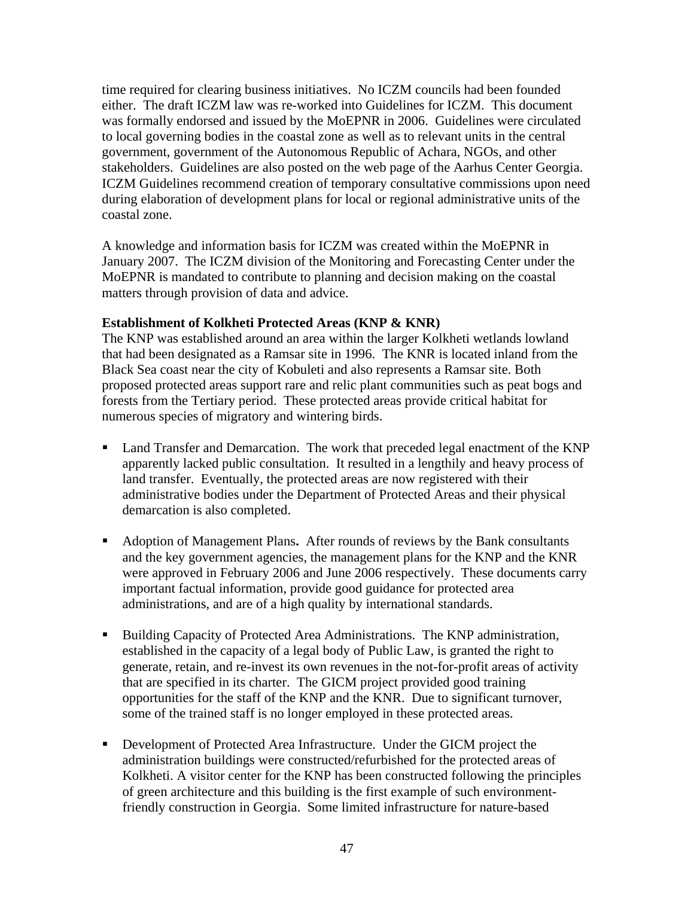time required for clearing business initiatives. No ICZM councils had been founded either. The draft ICZM law was re-worked into Guidelines for ICZM. This document was formally endorsed and issued by the MoEPNR in 2006. Guidelines were circulated to local governing bodies in the coastal zone as well as to relevant units in the central government, government of the Autonomous Republic of Achara, NGOs, and other stakeholders. Guidelines are also posted on the web page of the Aarhus Center Georgia. ICZM Guidelines recommend creation of temporary consultative commissions upon need during elaboration of development plans for local or regional administrative units of the coastal zone.

A knowledge and information basis for ICZM was created within the MoEPNR in January 2007. The ICZM division of the Monitoring and Forecasting Center under the MoEPNR is mandated to contribute to planning and decision making on the coastal matters through provision of data and advice.

#### **Establishment of Kolkheti Protected Areas (KNP & KNR)**

The KNP was established around an area within the larger Kolkheti wetlands lowland that had been designated as a Ramsar site in 1996. The KNR is located inland from the Black Sea coast near the city of Kobuleti and also represents a Ramsar site. Both proposed protected areas support rare and relic plant communities such as peat bogs and forests from the Tertiary period. These protected areas provide critical habitat for numerous species of migratory and wintering birds.

- Land Transfer and Demarcation. The work that preceded legal enactment of the KNP apparently lacked public consultation. It resulted in a lengthily and heavy process of land transfer. Eventually, the protected areas are now registered with their administrative bodies under the Department of Protected Areas and their physical demarcation is also completed.
- Adoption of Management Plans**.** After rounds of reviews by the Bank consultants and the key government agencies, the management plans for the KNP and the KNR were approved in February 2006 and June 2006 respectively. These documents carry important factual information, provide good guidance for protected area administrations, and are of a high quality by international standards.
- Building Capacity of Protected Area Administrations. The KNP administration, established in the capacity of a legal body of Public Law, is granted the right to generate, retain, and re-invest its own revenues in the not-for-profit areas of activity that are specified in its charter. The GICM project provided good training opportunities for the staff of the KNP and the KNR. Due to significant turnover, some of the trained staff is no longer employed in these protected areas.
- Development of Protected Area Infrastructure. Under the GICM project the administration buildings were constructed/refurbished for the protected areas of Kolkheti. A visitor center for the KNP has been constructed following the principles of green architecture and this building is the first example of such environmentfriendly construction in Georgia. Some limited infrastructure for nature-based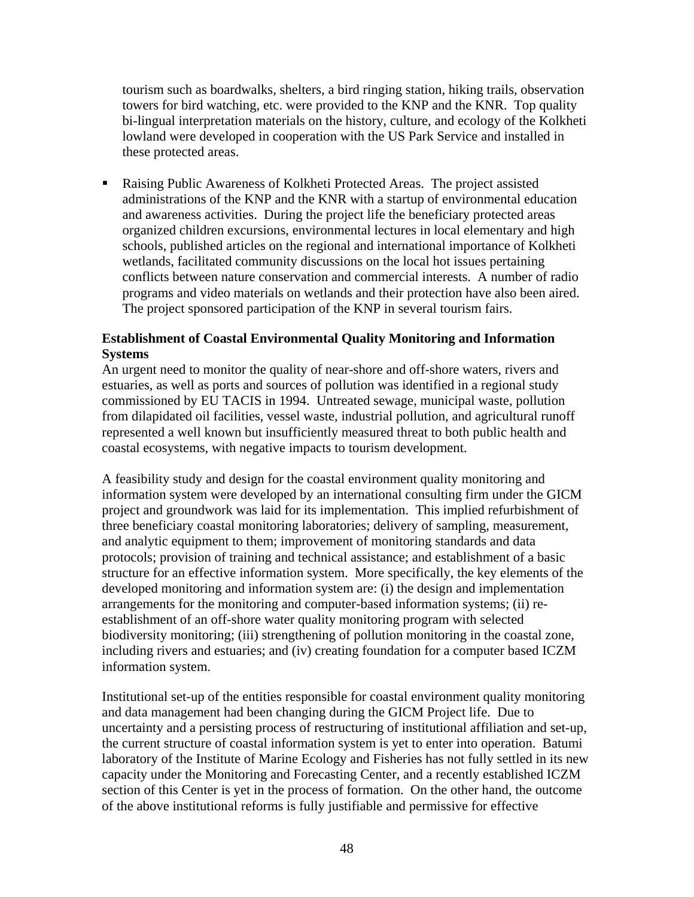tourism such as boardwalks, shelters, a bird ringing station, hiking trails, observation towers for bird watching, etc. were provided to the KNP and the KNR. Top quality bi-lingual interpretation materials on the history, culture, and ecology of the Kolkheti lowland were developed in cooperation with the US Park Service and installed in these protected areas.

 Raising Public Awareness of Kolkheti Protected Areas. The project assisted administrations of the KNP and the KNR with a startup of environmental education and awareness activities. During the project life the beneficiary protected areas organized children excursions, environmental lectures in local elementary and high schools, published articles on the regional and international importance of Kolkheti wetlands, facilitated community discussions on the local hot issues pertaining conflicts between nature conservation and commercial interests. A number of radio programs and video materials on wetlands and their protection have also been aired. The project sponsored participation of the KNP in several tourism fairs.

#### **Establishment of Coastal Environmental Quality Monitoring and Information Systems**

An urgent need to monitor the quality of near-shore and off-shore waters, rivers and estuaries, as well as ports and sources of pollution was identified in a regional study commissioned by EU TACIS in 1994. Untreated sewage, municipal waste, pollution from dilapidated oil facilities, vessel waste, industrial pollution, and agricultural runoff represented a well known but insufficiently measured threat to both public health and coastal ecosystems, with negative impacts to tourism development.

A feasibility study and design for the coastal environment quality monitoring and information system were developed by an international consulting firm under the GICM project and groundwork was laid for its implementation. This implied refurbishment of three beneficiary coastal monitoring laboratories; delivery of sampling, measurement, and analytic equipment to them; improvement of monitoring standards and data protocols; provision of training and technical assistance; and establishment of a basic structure for an effective information system. More specifically, the key elements of the developed monitoring and information system are: (i) the design and implementation arrangements for the monitoring and computer-based information systems; (ii) reestablishment of an off-shore water quality monitoring program with selected biodiversity monitoring; (iii) strengthening of pollution monitoring in the coastal zone, including rivers and estuaries; and (iv) creating foundation for a computer based ICZM information system.

Institutional set-up of the entities responsible for coastal environment quality monitoring and data management had been changing during the GICM Project life. Due to uncertainty and a persisting process of restructuring of institutional affiliation and set-up, the current structure of coastal information system is yet to enter into operation. Batumi laboratory of the Institute of Marine Ecology and Fisheries has not fully settled in its new capacity under the Monitoring and Forecasting Center, and a recently established ICZM section of this Center is yet in the process of formation. On the other hand, the outcome of the above institutional reforms is fully justifiable and permissive for effective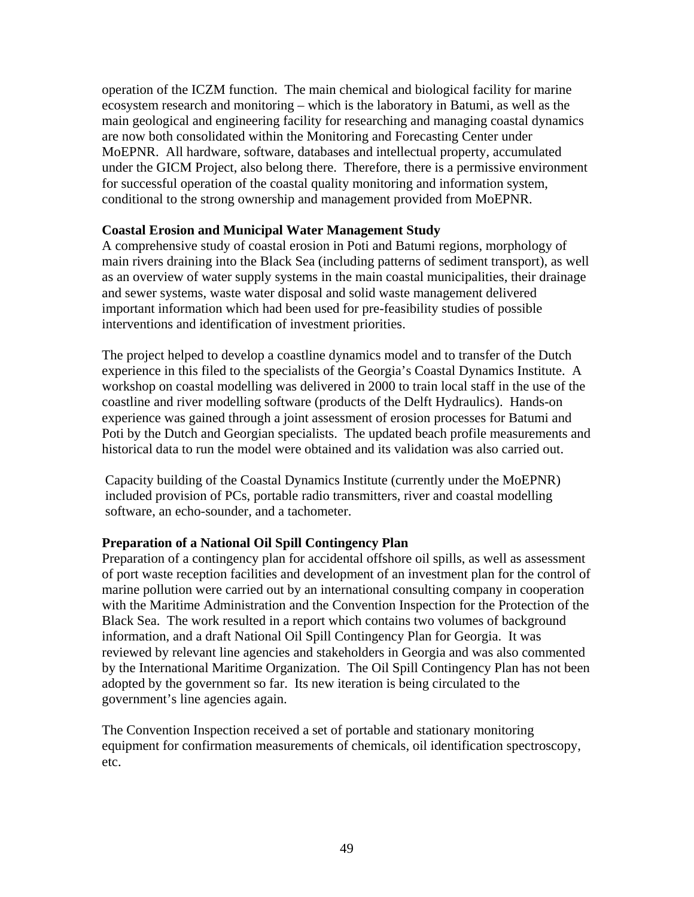operation of the ICZM function. The main chemical and biological facility for marine ecosystem research and monitoring – which is the laboratory in Batumi, as well as the main geological and engineering facility for researching and managing coastal dynamics are now both consolidated within the Monitoring and Forecasting Center under MoEPNR. All hardware, software, databases and intellectual property, accumulated under the GICM Project, also belong there. Therefore, there is a permissive environment for successful operation of the coastal quality monitoring and information system, conditional to the strong ownership and management provided from MoEPNR.

#### **Coastal Erosion and Municipal Water Management Study**

A comprehensive study of coastal erosion in Poti and Batumi regions, morphology of main rivers draining into the Black Sea (including patterns of sediment transport), as well as an overview of water supply systems in the main coastal municipalities, their drainage and sewer systems, waste water disposal and solid waste management delivered important information which had been used for pre-feasibility studies of possible interventions and identification of investment priorities.

The project helped to develop a coastline dynamics model and to transfer of the Dutch experience in this filed to the specialists of the Georgia's Coastal Dynamics Institute. A workshop on coastal modelling was delivered in 2000 to train local staff in the use of the coastline and river modelling software (products of the Delft Hydraulics). Hands-on experience was gained through a joint assessment of erosion processes for Batumi and Poti by the Dutch and Georgian specialists. The updated beach profile measurements and historical data to run the model were obtained and its validation was also carried out.

Capacity building of the Coastal Dynamics Institute (currently under the MoEPNR) included provision of PCs, portable radio transmitters, river and coastal modelling software, an echo-sounder, and a tachometer.

#### **Preparation of a National Oil Spill Contingency Plan**

Preparation of a contingency plan for accidental offshore oil spills, as well as assessment of port waste reception facilities and development of an investment plan for the control of marine pollution were carried out by an international consulting company in cooperation with the Maritime Administration and the Convention Inspection for the Protection of the Black Sea. The work resulted in a report which contains two volumes of background information, and a draft National Oil Spill Contingency Plan for Georgia. It was reviewed by relevant line agencies and stakeholders in Georgia and was also commented by the International Maritime Organization. The Oil Spill Contingency Plan has not been adopted by the government so far. Its new iteration is being circulated to the government's line agencies again.

The Convention Inspection received a set of portable and stationary monitoring equipment for confirmation measurements of chemicals, oil identification spectroscopy, etc.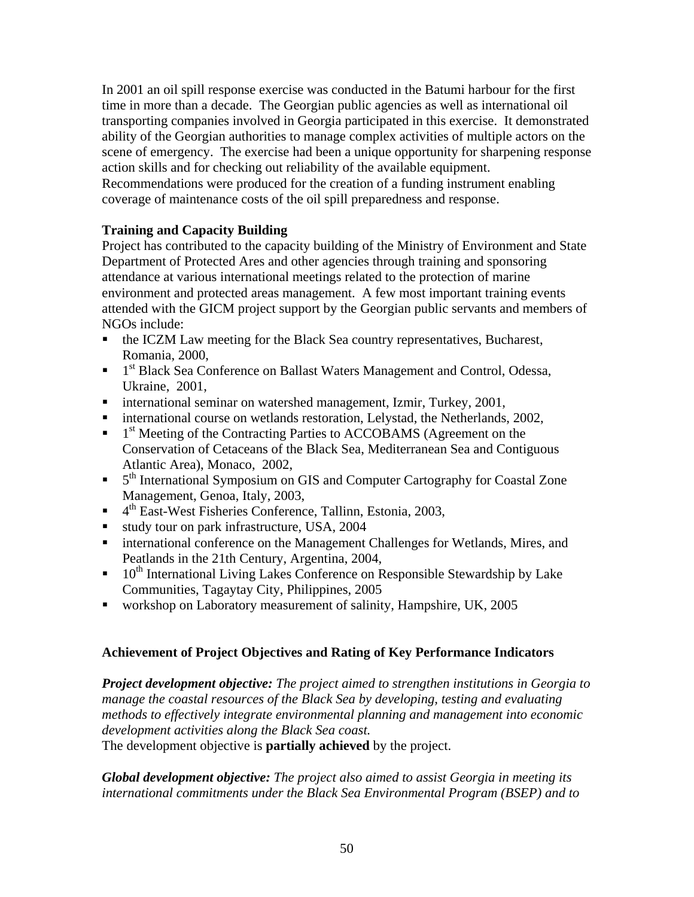In 2001 an oil spill response exercise was conducted in the Batumi harbour for the first time in more than a decade. The Georgian public agencies as well as international oil transporting companies involved in Georgia participated in this exercise. It demonstrated ability of the Georgian authorities to manage complex activities of multiple actors on the scene of emergency. The exercise had been a unique opportunity for sharpening response action skills and for checking out reliability of the available equipment. Recommendations were produced for the creation of a funding instrument enabling coverage of maintenance costs of the oil spill preparedness and response.

#### **Training and Capacity Building**

Project has contributed to the capacity building of the Ministry of Environment and State Department of Protected Ares and other agencies through training and sponsoring attendance at various international meetings related to the protection of marine environment and protected areas management. A few most important training events attended with the GICM project support by the Georgian public servants and members of NGOs include:

- the ICZM Law meeting for the Black Sea country representatives, Bucharest, Romania, 2000,
- $\blacksquare$  1<sup>st</sup> Black Sea Conference on Ballast Waters Management and Control, Odessa, Ukraine, 2001,
- international seminar on watershed management, Izmir, Turkey, 2001,
- international course on wetlands restoration, Lelystad, the Netherlands, 2002,
- $\blacksquare$  1<sup>st</sup> Meeting of the Contracting Parties to ACCOBAMS (Agreement on the Conservation of Cetaceans of the Black Sea, Mediterranean Sea and Contiguous Atlantic Area), Monaco, 2002,
- <sup>5th</sup> International Symposium on GIS and Computer Cartography for Coastal Zone Management, Genoa, Italy, 2003,
- $\blacksquare$  4<sup>th</sup> East-West Fisheries Conference, Tallinn, Estonia, 2003,
- study tour on park infrastructure, USA, 2004
- international conference on the Management Challenges for Wetlands, Mires, and Peatlands in the 21th Century, Argentina, 2004,
- $10<sup>th</sup>$  International Living Lakes Conference on Responsible Stewardship by Lake Communities, Tagaytay City, Philippines, 2005
- workshop on Laboratory measurement of salinity, Hampshire, UK, 2005

#### **Achievement of Project Objectives and Rating of Key Performance Indicators**

*Project development objective: The project aimed to strengthen institutions in Georgia to manage the coastal resources of the Black Sea by developing, testing and evaluating methods to effectively integrate environmental planning and management into economic development activities along the Black Sea coast.* 

The development objective is **partially achieved** by the project.

*Global development objective: The project also aimed to assist Georgia in meeting its international commitments under the Black Sea Environmental Program (BSEP) and to*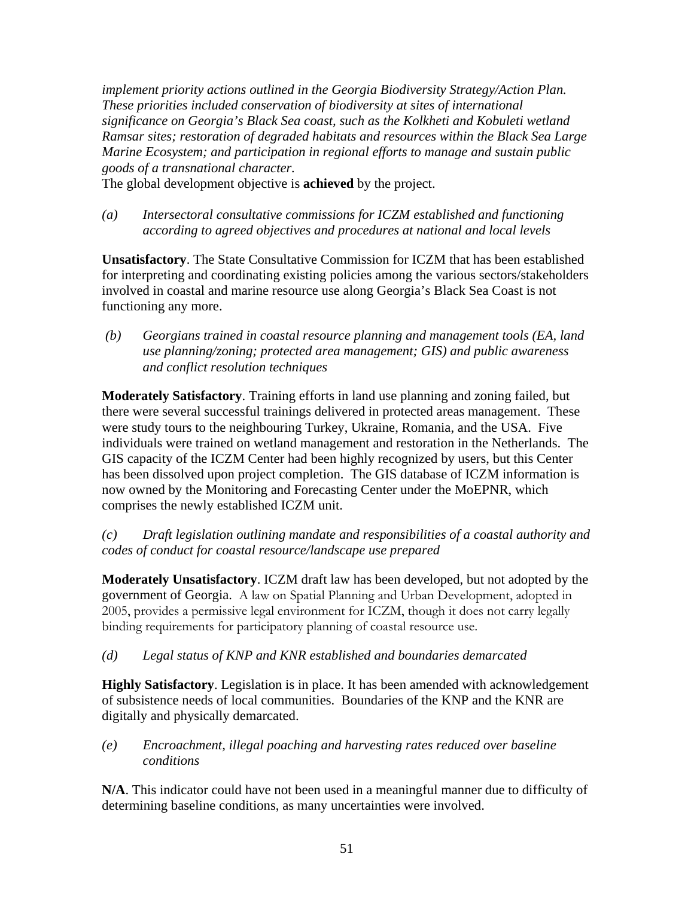*implement priority actions outlined in the Georgia Biodiversity Strategy/Action Plan. These priorities included conservation of biodiversity at sites of international significance on Georgia's Black Sea coast, such as the Kolkheti and Kobuleti wetland Ramsar sites; restoration of degraded habitats and resources within the Black Sea Large Marine Ecosystem; and participation in regional efforts to manage and sustain public goods of a transnational character.* 

The global development objective is **achieved** by the project.

*(a) Intersectoral consultative commissions for ICZM established and functioning according to agreed objectives and procedures at national and local levels* 

**Unsatisfactory**. The State Consultative Commission for ICZM that has been established for interpreting and coordinating existing policies among the various sectors/stakeholders involved in coastal and marine resource use along Georgia's Black Sea Coast is not functioning any more.

 *(b) Georgians trained in coastal resource planning and management tools (EA, land use planning/zoning; protected area management; GIS) and public awareness and conflict resolution techniques* 

**Moderately Satisfactory**. Training efforts in land use planning and zoning failed, but there were several successful trainings delivered in protected areas management. These were study tours to the neighbouring Turkey, Ukraine, Romania, and the USA. Five individuals were trained on wetland management and restoration in the Netherlands. The GIS capacity of the ICZM Center had been highly recognized by users, but this Center has been dissolved upon project completion. The GIS database of ICZM information is now owned by the Monitoring and Forecasting Center under the MoEPNR, which comprises the newly established ICZM unit.

*(c) Draft legislation outlining mandate and responsibilities of a coastal authority and codes of conduct for coastal resource/landscape use prepared* 

**Moderately Unsatisfactory**. ICZM draft law has been developed, but not adopted by the government of Georgia. A law on Spatial Planning and Urban Development, adopted in 2005, provides a permissive legal environment for ICZM, though it does not carry legally binding requirements for participatory planning of coastal resource use.

#### *(d) Legal status of KNP and KNR established and boundaries demarcated*

**Highly Satisfactory**. Legislation is in place. It has been amended with acknowledgement of subsistence needs of local communities. Boundaries of the KNP and the KNR are digitally and physically demarcated.

*(e) Encroachment, illegal poaching and harvesting rates reduced over baseline conditions* 

**N/A**. This indicator could have not been used in a meaningful manner due to difficulty of determining baseline conditions, as many uncertainties were involved.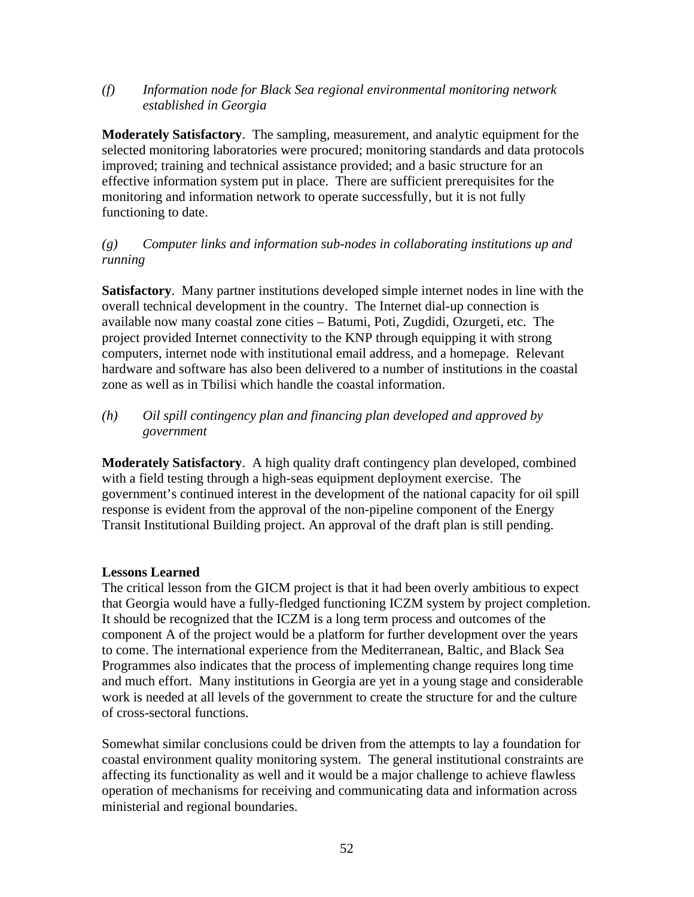*(f) Information node for Black Sea regional environmental monitoring network established in Georgia* 

**Moderately Satisfactory**. The sampling, measurement, and analytic equipment for the selected monitoring laboratories were procured; monitoring standards and data protocols improved; training and technical assistance provided; and a basic structure for an effective information system put in place. There are sufficient prerequisites for the monitoring and information network to operate successfully, but it is not fully functioning to date.

#### *(g) Computer links and information sub-nodes in collaborating institutions up and running*

**Satisfactory**. Many partner institutions developed simple internet nodes in line with the overall technical development in the country. The Internet dial-up connection is available now many coastal zone cities – Batumi, Poti, Zugdidi, Ozurgeti, etc. The project provided Internet connectivity to the KNP through equipping it with strong computers, internet node with institutional email address, and a homepage. Relevant hardware and software has also been delivered to a number of institutions in the coastal zone as well as in Tbilisi which handle the coastal information.

#### *(h) Oil spill contingency plan and financing plan developed and approved by government*

**Moderately Satisfactory**. A high quality draft contingency plan developed, combined with a field testing through a high-seas equipment deployment exercise. The government's continued interest in the development of the national capacity for oil spill response is evident from the approval of the non-pipeline component of the Energy Transit Institutional Building project. An approval of the draft plan is still pending.

#### **Lessons Learned**

The critical lesson from the GICM project is that it had been overly ambitious to expect that Georgia would have a fully-fledged functioning ICZM system by project completion. It should be recognized that the ICZM is a long term process and outcomes of the component A of the project would be a platform for further development over the years to come. The international experience from the Mediterranean, Baltic, and Black Sea Programmes also indicates that the process of implementing change requires long time and much effort. Many institutions in Georgia are yet in a young stage and considerable work is needed at all levels of the government to create the structure for and the culture of cross-sectoral functions.

Somewhat similar conclusions could be driven from the attempts to lay a foundation for coastal environment quality monitoring system. The general institutional constraints are affecting its functionality as well and it would be a major challenge to achieve flawless operation of mechanisms for receiving and communicating data and information across ministerial and regional boundaries.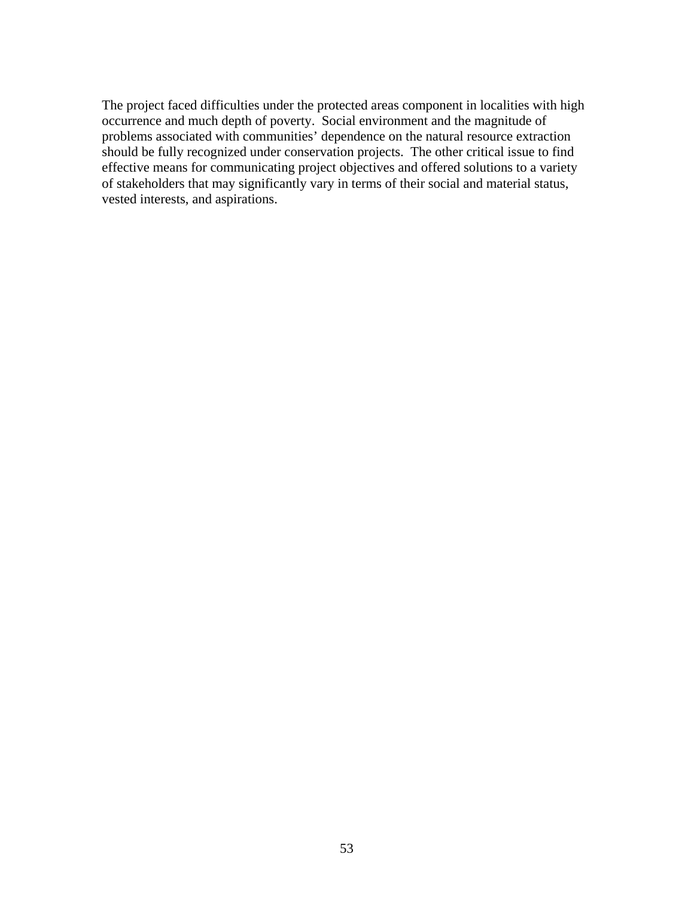The project faced difficulties under the protected areas component in localities with high occurrence and much depth of poverty. Social environment and the magnitude of problems associated with communities' dependence on the natural resource extraction should be fully recognized under conservation projects. The other critical issue to find effective means for communicating project objectives and offered solutions to a variety of stakeholders that may significantly vary in terms of their social and material status, vested interests, and aspirations.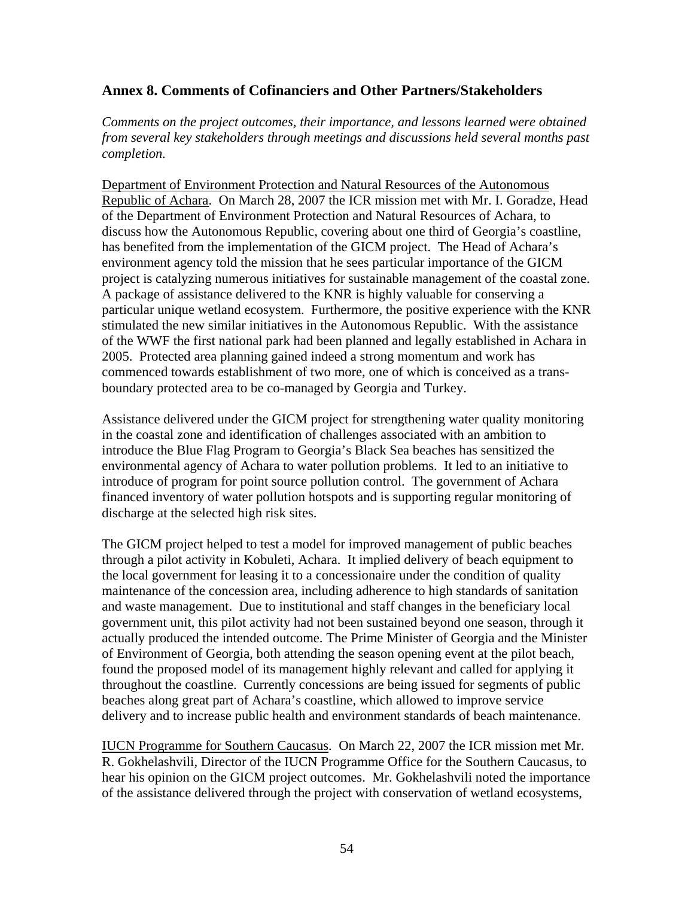#### **Annex 8. Comments of Cofinanciers and Other Partners/Stakeholders**

*Comments on the project outcomes, their importance, and lessons learned were obtained from several key stakeholders through meetings and discussions held several months past completion.* 

Department of Environment Protection and Natural Resources of the Autonomous Republic of Achara. On March 28, 2007 the ICR mission met with Mr. I. Goradze, Head of the Department of Environment Protection and Natural Resources of Achara, to discuss how the Autonomous Republic, covering about one third of Georgia's coastline, has benefited from the implementation of the GICM project. The Head of Achara's environment agency told the mission that he sees particular importance of the GICM project is catalyzing numerous initiatives for sustainable management of the coastal zone. A package of assistance delivered to the KNR is highly valuable for conserving a particular unique wetland ecosystem. Furthermore, the positive experience with the KNR stimulated the new similar initiatives in the Autonomous Republic. With the assistance of the WWF the first national park had been planned and legally established in Achara in 2005. Protected area planning gained indeed a strong momentum and work has commenced towards establishment of two more, one of which is conceived as a transboundary protected area to be co-managed by Georgia and Turkey.

Assistance delivered under the GICM project for strengthening water quality monitoring in the coastal zone and identification of challenges associated with an ambition to introduce the Blue Flag Program to Georgia's Black Sea beaches has sensitized the environmental agency of Achara to water pollution problems. It led to an initiative to introduce of program for point source pollution control. The government of Achara financed inventory of water pollution hotspots and is supporting regular monitoring of discharge at the selected high risk sites.

The GICM project helped to test a model for improved management of public beaches through a pilot activity in Kobuleti, Achara. It implied delivery of beach equipment to the local government for leasing it to a concessionaire under the condition of quality maintenance of the concession area, including adherence to high standards of sanitation and waste management. Due to institutional and staff changes in the beneficiary local government unit, this pilot activity had not been sustained beyond one season, through it actually produced the intended outcome. The Prime Minister of Georgia and the Minister of Environment of Georgia, both attending the season opening event at the pilot beach, found the proposed model of its management highly relevant and called for applying it throughout the coastline. Currently concessions are being issued for segments of public beaches along great part of Achara's coastline, which allowed to improve service delivery and to increase public health and environment standards of beach maintenance.

IUCN Programme for Southern Caucasus. On March 22, 2007 the ICR mission met Mr. R. Gokhelashvili, Director of the IUCN Programme Office for the Southern Caucasus, to hear his opinion on the GICM project outcomes. Mr. Gokhelashvili noted the importance of the assistance delivered through the project with conservation of wetland ecosystems,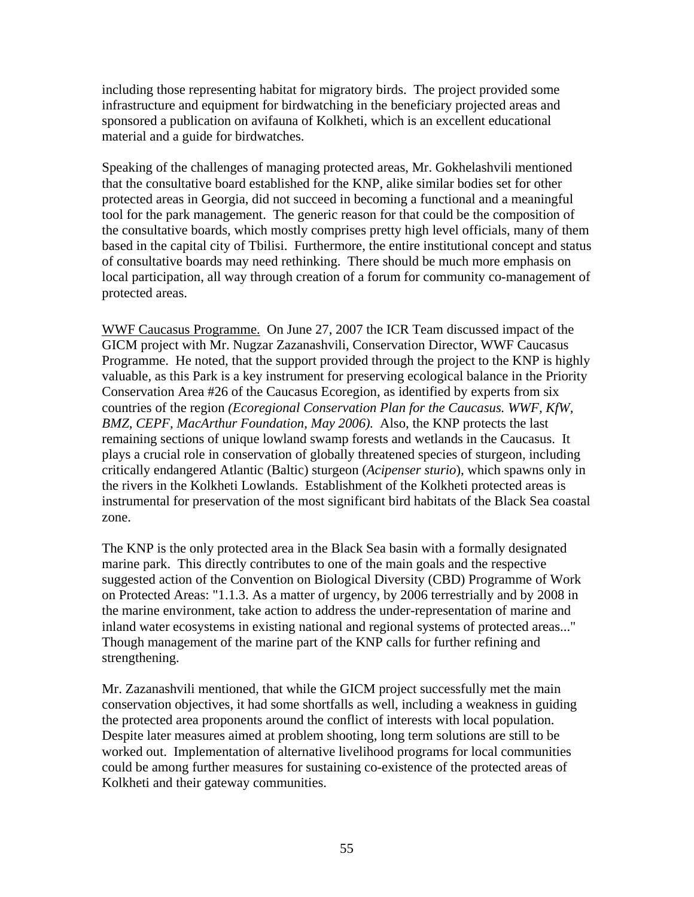including those representing habitat for migratory birds. The project provided some infrastructure and equipment for birdwatching in the beneficiary projected areas and sponsored a publication on avifauna of Kolkheti, which is an excellent educational material and a guide for birdwatches.

Speaking of the challenges of managing protected areas, Mr. Gokhelashvili mentioned that the consultative board established for the KNP, alike similar bodies set for other protected areas in Georgia, did not succeed in becoming a functional and a meaningful tool for the park management. The generic reason for that could be the composition of the consultative boards, which mostly comprises pretty high level officials, many of them based in the capital city of Tbilisi. Furthermore, the entire institutional concept and status of consultative boards may need rethinking. There should be much more emphasis on local participation, all way through creation of a forum for community co-management of protected areas.

WWF Caucasus Programme. On June 27, 2007 the ICR Team discussed impact of the GICM project with Mr. Nugzar Zazanashvili, Conservation Director, WWF Caucasus Programme. He noted, that the support provided through the project to the KNP is highly valuable, as this Park is a key instrument for preserving ecological balance in the Priority Conservation Area #26 of the Caucasus Ecoregion, as identified by experts from six countries of the region *(Ecoregional Conservation Plan for the Caucasus. WWF, KfW, BMZ, CEPF, MacArthur Foundation, May 2006).* Also, the KNP protects the last remaining sections of unique lowland swamp forests and wetlands in the Caucasus. It plays a crucial role in conservation of globally threatened species of sturgeon, including critically endangered Atlantic (Baltic) sturgeon (*Acipenser sturio*), which spawns only in the rivers in the Kolkheti Lowlands. Establishment of the Kolkheti protected areas is instrumental for preservation of the most significant bird habitats of the Black Sea coastal zone.

The KNP is the only protected area in the Black Sea basin with a formally designated marine park. This directly contributes to one of the main goals and the respective suggested action of the Convention on Biological Diversity (CBD) Programme of Work on Protected Areas: "1.1.3. As a matter of urgency, by 2006 terrestrially and by 2008 in the marine environment, take action to address the under-representation of marine and inland water ecosystems in existing national and regional systems of protected areas..." Though management of the marine part of the KNP calls for further refining and strengthening.

Mr. Zazanashvili mentioned, that while the GICM project successfully met the main conservation objectives, it had some shortfalls as well, including a weakness in guiding the protected area proponents around the conflict of interests with local population. Despite later measures aimed at problem shooting, long term solutions are still to be worked out. Implementation of alternative livelihood programs for local communities could be among further measures for sustaining co-existence of the protected areas of Kolkheti and their gateway communities.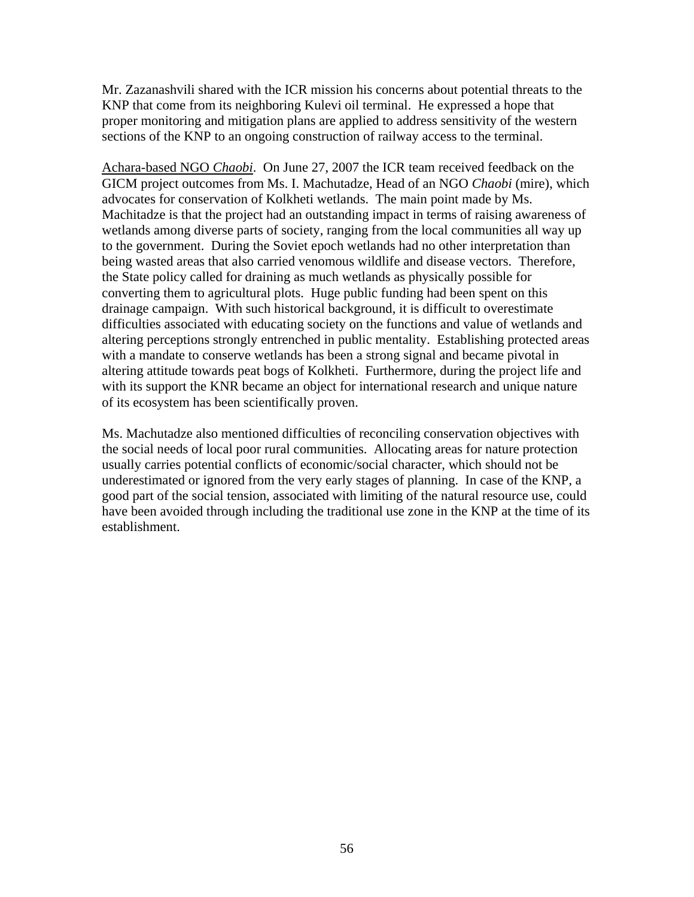Mr. Zazanashvili shared with the ICR mission his concerns about potential threats to the KNP that come from its neighboring Kulevi oil terminal. He expressed a hope that proper monitoring and mitigation plans are applied to address sensitivity of the western sections of the KNP to an ongoing construction of railway access to the terminal.

Achara-based NGO *Chaobi*. On June 27, 2007 the ICR team received feedback on the GICM project outcomes from Ms. I. Machutadze, Head of an NGO *Chaobi* (mire), which advocates for conservation of Kolkheti wetlands. The main point made by Ms. Machitadze is that the project had an outstanding impact in terms of raising awareness of wetlands among diverse parts of society, ranging from the local communities all way up to the government. During the Soviet epoch wetlands had no other interpretation than being wasted areas that also carried venomous wildlife and disease vectors. Therefore, the State policy called for draining as much wetlands as physically possible for converting them to agricultural plots. Huge public funding had been spent on this drainage campaign. With such historical background, it is difficult to overestimate difficulties associated with educating society on the functions and value of wetlands and altering perceptions strongly entrenched in public mentality. Establishing protected areas with a mandate to conserve wetlands has been a strong signal and became pivotal in altering attitude towards peat bogs of Kolkheti. Furthermore, during the project life and with its support the KNR became an object for international research and unique nature of its ecosystem has been scientifically proven.

Ms. Machutadze also mentioned difficulties of reconciling conservation objectives with the social needs of local poor rural communities. Allocating areas for nature protection usually carries potential conflicts of economic/social character, which should not be underestimated or ignored from the very early stages of planning. In case of the KNP, a good part of the social tension, associated with limiting of the natural resource use, could have been avoided through including the traditional use zone in the KNP at the time of its establishment.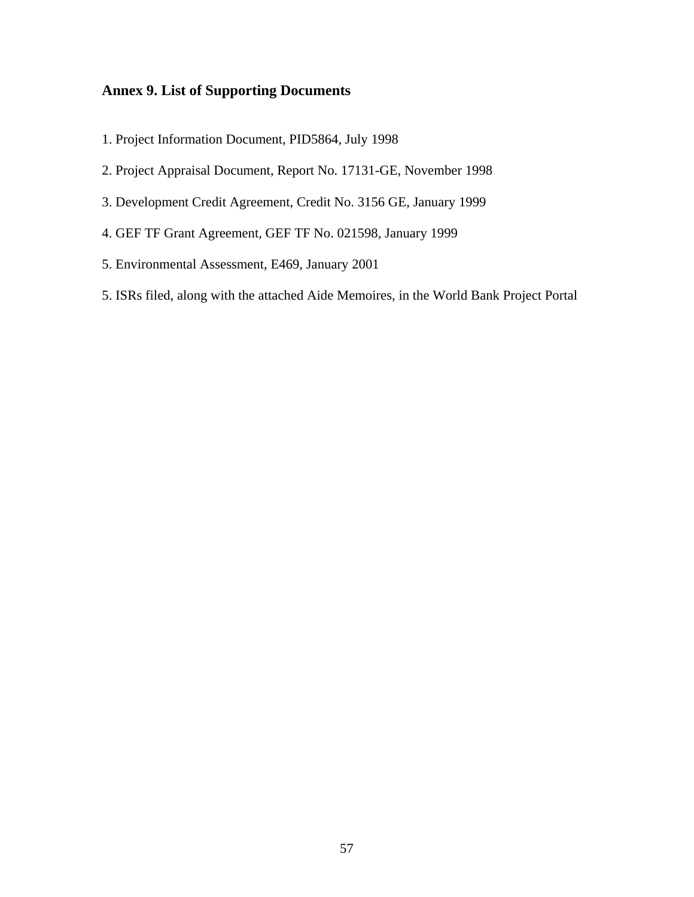## **Annex 9. List of Supporting Documents**

- 1. Project Information Document, PID5864, July 1998
- 2. Project Appraisal Document, Report No. 17131-GE, November 1998
- 3. Development Credit Agreement, Credit No. 3156 GE, January 1999
- 4. GEF TF Grant Agreement, GEF TF No. 021598, January 1999
- 5. Environmental Assessment, E469, January 2001
- 5. ISRs filed, along with the attached Aide Memoires, in the World Bank Project Portal